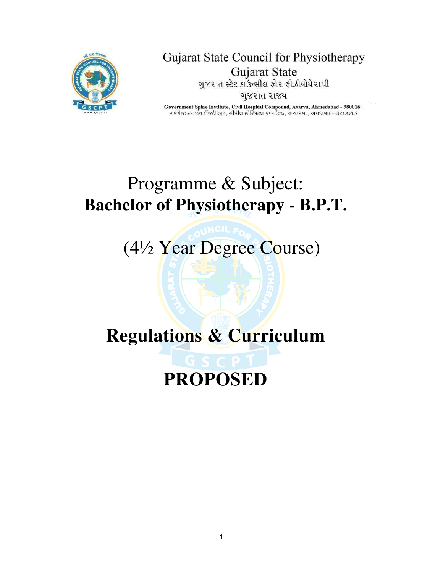

Gujarat State Council for Physiotherapy **Gujarat State** ગુજરાત સ્ટેટ કાઉન્સીલ ફોર ફીઝીયોથેરાપી ગુજરાત રાજય

Government Spine Institute, Civil Hospital Compound, Asarva, Ahmedabad - 380016 ગર્વમેન્ટ સ્પાઈન ઈન્સ્ટીટયુટ, સીવીલ હોસ્પિટલ કમ્પાઉન્ડ, અસા૨વા, અમદાવાદ–૩૮૦૦૧*૬* 

# Programme & Subject: **Bachelor of Physiotherapy - B.P.T.**

(4½ Year Degree Course)

# **Regulations & Curriculum**

# **PROPOSED**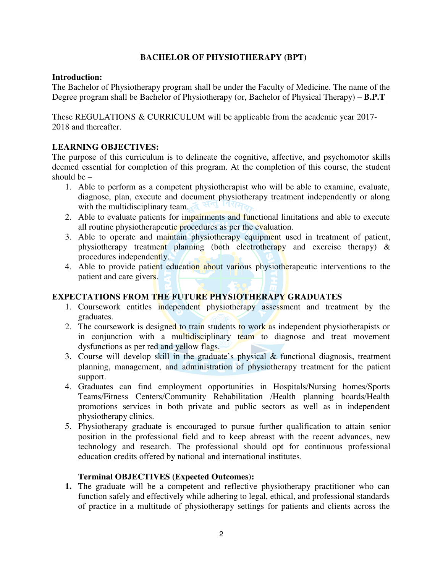# **BACHELOR OF PHYSIOTHERAPY (BPT)**

# **Introduction:**

The Bachelor of Physiotherapy program shall be under the Faculty of Medicine. The name of the Degree program shall be Bachelor of Physiotherapy (or, Bachelor of Physical Therapy) – **B.P.T**

These REGULATIONS & CURRICULUM will be applicable from the academic year 2017- 2018 and thereafter.

# **LEARNING OBJECTIVES:**

The purpose of this curriculum is to delineate the cognitive, affective, and psychomotor skills deemed essential for completion of this program. At the completion of this course, the student should be –

- 1. Able to perform as a competent physiotherapist who will be able to examine, evaluate, diagnose, plan, execute and document physiotherapy treatment independently or along with the multidisciplinary team.
- 2. Able to evaluate patients for impairments and functional limitations and able to execute all routine physiotherapeutic procedures as per the evaluation.
- 3. Able to operate and maintain physiotherapy equipment used in treatment of patient, physiotherapy treatment planning (both electrotherapy and exercise therapy) & procedures independently.
- 4. Able to provide patient education about various physiotherapeutic interventions to the patient and care givers.

# **EXPECTATIONS FROM THE FUTURE PHYSIOTHERAPY GRADUATES**

- 1. Coursework entitles independent physiotherapy assessment and treatment by the graduates.
- 2. The coursework is designed to train students to work as independent physiotherapists or in conjunction with a multidisciplinary team to diagnose and treat movement dysfunctions as per red and yellow flags.
- 3. Course will develop skill in the graduate's physical  $\&$  functional diagnosis, treatment planning, management, and administration of physiotherapy treatment for the patient support.
- 4. Graduates can find employment opportunities in Hospitals/Nursing homes/Sports Teams/Fitness Centers/Community Rehabilitation /Health planning boards/Health promotions services in both private and public sectors as well as in independent physiotherapy clinics.
- 5. Physiotherapy graduate is encouraged to pursue further qualification to attain senior position in the professional field and to keep abreast with the recent advances, new technology and research. The professional should opt for continuous professional education credits offered by national and international institutes.

# **Terminal OBJECTIVES (Expected Outcomes):**

**1.** The graduate will be a competent and reflective physiotherapy practitioner who can function safely and effectively while adhering to legal, ethical, and professional standards of practice in a multitude of physiotherapy settings for patients and clients across the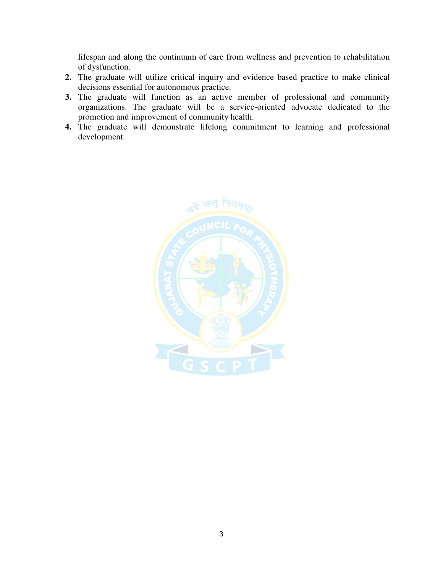lifespan and along the continuum of care from wellness and prevention to rehabilitation of dysfunction.

- **2.** The graduate will utilize critical inquiry and evidence based practice to make clinical decisions essential for autonomous practice.
- **3.** The graduate will function as an active member of professional and community organizations. The graduate will be a service-oriented advocate dedicated to the promotion and improvement of community health.
- **4.** The graduate will demonstrate lifelong commitment to learning and professional development.

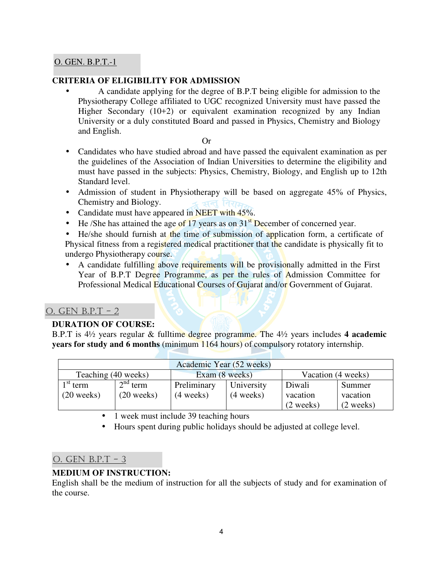# O. GEN. B.P.T.-1

# **CRITERIA OF ELIGIBILITY FOR ADMISSION**

• A candidate applying for the degree of B.P.T being eligible for admission to the Physiotherapy College affiliated to UGC recognized University must have passed the Higher Secondary (10+2) or equivalent examination recognized by any Indian University or a duly constituted Board and passed in Physics, Chemistry and Biology and English.

Or

- Candidates who have studied abroad and have passed the equivalent examination as per the guidelines of the Association of Indian Universities to determine the eligibility and must have passed in the subjects: Physics, Chemistry, Biology, and English up to 12th Standard level.
- Admission of student in Physiotherapy will be based on aggregate 45% of Physics, Chemistry and Biology. মন
- Candidate must have appeared in NEET with 45%.
- He /She has attained the age of 17 years as on  $31<sup>st</sup>$  December of concerned year.

• He/she should furnish at the time of submission of application form, a certificate of Physical fitness from a registered medical practitioner that the candidate is physically fit to undergo Physiotherapy course.

• A candidate fulfilling above requirements will be provisionally admitted in the First Year of B.P.T Degree Programme, as per the rules of Admission Committee for Professional Medical Educational Courses of Gujarat and/or Government of Gujarat.

# O. GEN B.P.T - 2

#### **DURATION OF COURSE:**

B.P.T is 4½ years regular & fulltime degree programme. The 4½ years includes **4 academic years for study and 6 months** (minimum 1164 hours) of compulsory rotatory internship.

| Academic Year (52 weeks)                                    |              |                     |                     |                     |                     |  |  |
|-------------------------------------------------------------|--------------|---------------------|---------------------|---------------------|---------------------|--|--|
| Vacation (4 weeks)<br>Teaching (40 weeks)<br>Exam (8 weeks) |              |                     |                     |                     |                     |  |  |
| $\frac{1}{\pi}$ st term                                     | $2nd$ term   | Preliminary         | University          | Diwali              | Summer              |  |  |
| $(20$ weeks)                                                | $(20$ weeks) | $(4 \text{ weeks})$ | $(4 \text{ weeks})$ | vacation            | vacation            |  |  |
|                                                             |              |                     |                     | $(2 \text{ weeks})$ | $(2 \text{ weeks})$ |  |  |

• 1 week must include 39 teaching hours

• Hours spent during public holidays should be adjusted at college level.

# O. GEN B.P.T - 3

# **MEDIUM OF INSTRUCTION:**

English shall be the medium of instruction for all the subjects of study and for examination of the course.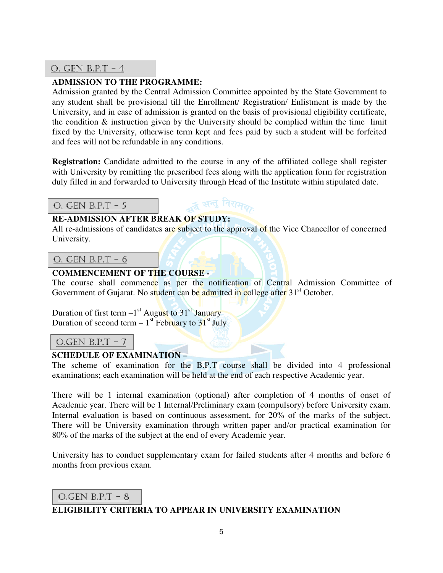# O. GEN B.P.T - 4

# **ADMISSION TO THE PROGRAMME:**

Admission granted by the Central Admission Committee appointed by the State Government to any student shall be provisional till the Enrollment/ Registration/ Enlistment is made by the University, and in case of admission is granted on the basis of provisional eligibility certificate, the condition & instruction given by the University should be complied within the time limit fixed by the University, otherwise term kept and fees paid by such a student will be forfeited and fees will not be refundable in any conditions.

**Registration:** Candidate admitted to the course in any of the affiliated college shall register with University by remitting the prescribed fees along with the application form for registration duly filled in and forwarded to University through Head of the Institute within stipulated date.

≱ सन् निराम<sub>र</sub>

# O. GEN B.P.T - 5

# **RE-ADMISSION AFTER BREAK OF STUDY:**

All re-admissions of candidates are subject to the approval of the Vice Chancellor of concerned University.

O. GEN B.P.T - 6

# **COMMENCEMENT OF THE COURSE -**

The course shall commence as per the notification of Central Admission Committee of Government of Gujarat. No student can be admitted in college after 31<sup>st</sup> October.

Duration of first term  $-1$ <sup>st</sup> August to 31<sup>st</sup> January Duration of second term  $-1$ <sup>st</sup> February to  $31<sup>st</sup>$  July

# O.GEN  $B.P.T - 7$

#### **SCHEDULE OF EXAMINATION –**

The scheme of examination for the B.P.T course shall be divided into 4 professional examinations; each examination will be held at the end of each respective Academic year.

There will be 1 internal examination (optional) after completion of 4 months of onset of Academic year. There will be 1 Internal/Preliminary exam (compulsory) before University exam. Internal evaluation is based on continuous assessment, for 20% of the marks of the subject. There will be University examination through written paper and/or practical examination for 80% of the marks of the subject at the end of every Academic year.

University has to conduct supplementary exam for failed students after 4 months and before 6 months from previous exam.

# O.GEN  $B.P.T - 8$

# **ELIGIBILITY CRITERIA TO APPEAR IN UNIVERSITY EXAMINATION**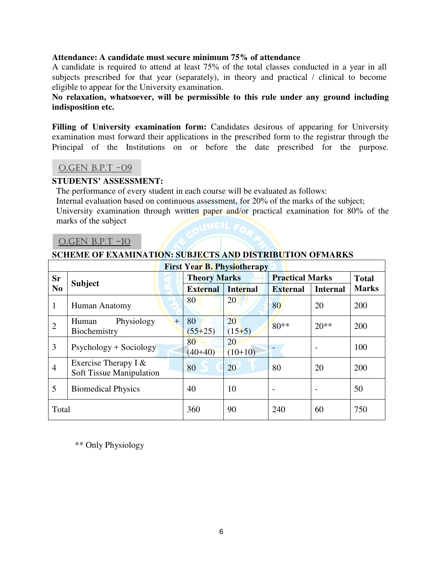#### **Attendance: A candidate must secure minimum 75% of attendance**

A candidate is required to attend at least 75% of the total classes conducted in a year in all subjects prescribed for that year (separately), in theory and practical / clinical to become eligible to appear for the University examination.

# **No relaxation, whatsoever, will be permissible to this rule under any ground including indisposition etc.**

Filling of University examination form: Candidates desirous of appearing for University examination must forward their applications in the prescribed form to the registrar through the Principal of the Institutions on or before the date prescribed for the purpose.

#### O.GEN B.P.T -09

#### **STUDENTS' ASSESSMENT:**

The performance of every student in each course will be evaluated as follows: Internal evaluation based on continuous assessment, for 20% of the marks of the subject; University examination through written paper and/or practical examination for 80% of the marks of the subject

#### O.GEN B.P.T -10

#### **SCHEME OF EXAMINATION: SUBJECTS AND DISTRIBUTION OFMARKS**

| <b>First Year B. Physiotherapy</b> |                                                    |                     |                 |                        |                          |              |
|------------------------------------|----------------------------------------------------|---------------------|-----------------|------------------------|--------------------------|--------------|
| Sr                                 |                                                    | <b>Theory Marks</b> |                 | <b>Practical Marks</b> |                          | <b>Total</b> |
| N <sub>0</sub>                     | <b>Subject</b>                                     | <b>External</b>     | <b>Internal</b> | <b>External</b>        | <b>Internal</b>          | <b>Marks</b> |
| $\mathbf{1}$                       | Human Anatomy                                      | 80                  | 20              | 80                     | 20                       | 200          |
| $\overline{2}$                     | Physiology<br>Human<br>$+$<br>Biochemistry         | 80<br>$(55+25)$     | 20<br>$(15+5)$  | $80**$                 | $20**$                   | 200          |
| 3                                  | $Psychology + Sociology$                           | 80<br>$(40+40)$     | 20<br>$(10+10)$ |                        | $\overline{\phantom{0}}$ | 100          |
| $\overline{4}$                     | Exercise Therapy I $&$<br>Soft Tissue Manipulation | 80                  | 20              | 80                     | 20                       | 200          |
| 5                                  | <b>Biomedical Physics</b>                          | 40                  | 10              |                        |                          | 50           |
| Total                              |                                                    | 360                 | 90              | 240                    | 60                       | 750          |

\*\* Only Physiology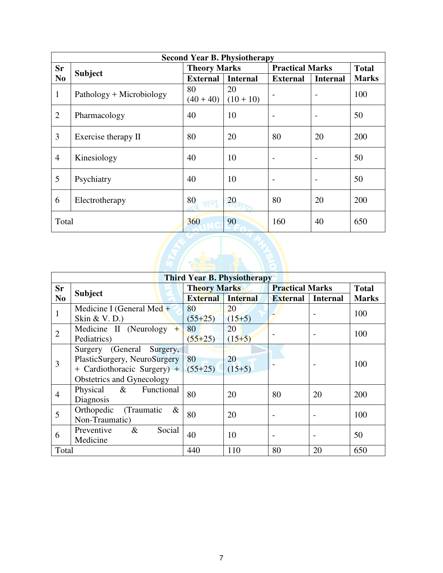|                | <b>Second Year B. Physiotherapy</b> |                     |                   |                        |                          |              |  |
|----------------|-------------------------------------|---------------------|-------------------|------------------------|--------------------------|--------------|--|
| <b>Sr</b>      |                                     | <b>Theory Marks</b> |                   | <b>Practical Marks</b> |                          | <b>Total</b> |  |
| N <sub>0</sub> | <b>Subject</b>                      | <b>External</b>     | <b>Internal</b>   | <b>External</b>        | <b>Internal</b>          | <b>Marks</b> |  |
| $\mathbf{1}$   | Pathology + Microbiology            | 80<br>$(40 + 40)$   | 20<br>$(10 + 10)$ |                        | -                        | 100          |  |
| $\overline{2}$ | Pharmacology                        | 40                  | 10                |                        |                          | 50           |  |
| 3              | Exercise therapy II                 | 80                  | 20                | 80                     | 20                       | 200          |  |
| $\overline{4}$ | Kinesiology                         | 40                  | 10                |                        | -                        | 50           |  |
| 5              | Psychiatry                          | 40                  | 10                |                        | $\overline{\phantom{0}}$ | 50           |  |
| 6              | Electrotherapy                      | 80<br>सन्त          | 20                | 80                     | 20                       | 200          |  |
| Total          |                                     | 360                 | 90                | 160                    | 40                       | 650          |  |
|                |                                     |                     |                   |                        |                          |              |  |

|                | <b>Third Year B. Physiotherapy</b>    |                     |                 |                        |                 |              |  |
|----------------|---------------------------------------|---------------------|-----------------|------------------------|-----------------|--------------|--|
| <b>Sr</b>      |                                       | <b>Theory Marks</b> |                 | <b>Practical Marks</b> |                 | <b>Total</b> |  |
| N <sub>0</sub> | <b>Subject</b>                        | <b>External</b>     | <b>Internal</b> | <b>External</b>        | <b>Internal</b> | <b>Marks</b> |  |
| 1              | Medicine I (General Med $+$           | 80                  | 20              |                        |                 | 100          |  |
|                | Skin & V. D.)                         | $(55+25)$           | $(15+5)$        |                        |                 |              |  |
| $\overline{2}$ | Medicine II (Neurology<br>$+$         | 80                  | 20              |                        |                 | 100          |  |
|                | Pediatrics)                           | $(55+25)$           | $(15+5)$        |                        |                 |              |  |
|                | Surgery (General Surgery,             |                     |                 |                        |                 |              |  |
| 3              | PlasticSurgery, NeuroSurgery          | 80                  | 20              |                        |                 | 100          |  |
|                | + Cardiothoracic Surgery) + $(55+25)$ |                     | $(15+5)$        |                        |                 |              |  |
|                | Obstetrics and Gynecology             |                     |                 |                        |                 |              |  |
| $\overline{4}$ | Functional<br>Physical $\&$           | 80                  | 20              | 80                     | 20              | 200          |  |
|                | Diagnosis                             |                     |                 |                        |                 |              |  |
| 5              | Orthopedic<br>(Traumatic<br>$\&$      | 80                  | 20              |                        |                 | 100          |  |
|                | Non-Traumatic)                        |                     |                 |                        |                 |              |  |
| 6              | Social<br>Preventive<br>$\&$          | 40                  | 10              |                        |                 | 50           |  |
|                | Medicine                              |                     |                 |                        |                 |              |  |
| Total          |                                       | 440                 | 110             | 80                     | 20              | 650          |  |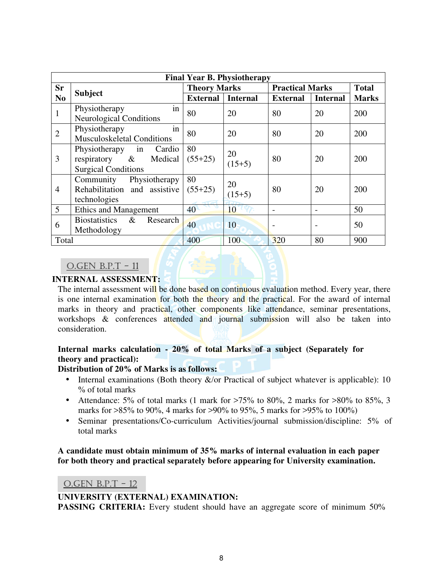| <b>Final Year B. Physiotherapy</b> |                                                                                            |                     |                 |                        |                          |              |
|------------------------------------|--------------------------------------------------------------------------------------------|---------------------|-----------------|------------------------|--------------------------|--------------|
| <b>Sr</b>                          |                                                                                            | <b>Theory Marks</b> |                 | <b>Practical Marks</b> |                          | <b>Total</b> |
| N <sub>0</sub>                     | <b>Subject</b>                                                                             | <b>External</b>     | <b>Internal</b> | <b>External</b>        | <b>Internal</b>          | <b>Marks</b> |
| $\mathbf{1}$                       | in<br>Physiotherapy<br><b>Neurological Conditions</b>                                      | 80                  | 20              | 80                     | 20                       | 200          |
| $\overline{2}$                     | Physiotherapy<br>in<br>Musculoskeletal Conditions                                          | 80                  | 20              | 80                     | 20                       | 200          |
| 3                                  | Physiotherapy<br>Cardio<br>in<br>Medical<br>respiratory $\&$<br><b>Surgical Conditions</b> | 80<br>$(55+25)$     | 20<br>$(15+5)$  | 80                     | 20                       | 200          |
| $\overline{4}$                     | Community<br>Physiotherapy<br>Rehabilitation and assistive<br>technologies                 | 80<br>$(55+25)$     | 20<br>$(15+5)$  | 80                     | 20                       | 200          |
| 5                                  | <b>Ethics and Management</b>                                                               | 40                  | 10              |                        |                          | 50           |
| 6                                  | <b>Biostatistics</b><br>Research<br>$\&$<br>Methodology                                    | 40                  | 10              |                        | $\overline{\phantom{0}}$ | 50           |
| Total                              |                                                                                            | 400                 | 100             | 320                    | 80                       | 900          |

#### O.GEN B.P.T - 11

#### **INTERNAL ASSESSMENT:**

The internal assessment will be done based on continuous evaluation method. Every year, there is one internal examination for both the theory and the practical. For the award of internal marks in theory and practical, other components like attendance, seminar presentations, workshops & conferences attended and journal submission will also be taken into consideration.

# **Internal marks calculation - 20% of total Marks of a subject (Separately for theory and practical):**

#### **Distribution of 20% of Marks is as follows:**

- Internal examinations (Both theory  $\&$ /or Practical of subject whatever is applicable): 10 % of total marks
- Attendance: 5% of total marks (1 mark for  $>75\%$  to 80%, 2 marks for  $>80\%$  to 85%, 3 marks for >85% to 90%, 4 marks for >90% to 95%, 5 marks for >95% to 100%)
- Seminar presentations/Co-curriculum Activities/journal submission/discipline: 5% of total marks

### **A candidate must obtain minimum of 35% marks of internal evaluation in each paper for both theory and practical separately before appearing for University examination.**

#### O.GEN B.P.T - 12

#### **UNIVERSITY (EXTERNAL) EXAMINATION:**

**PASSING CRITERIA:** Every student should have an aggregate score of minimum 50%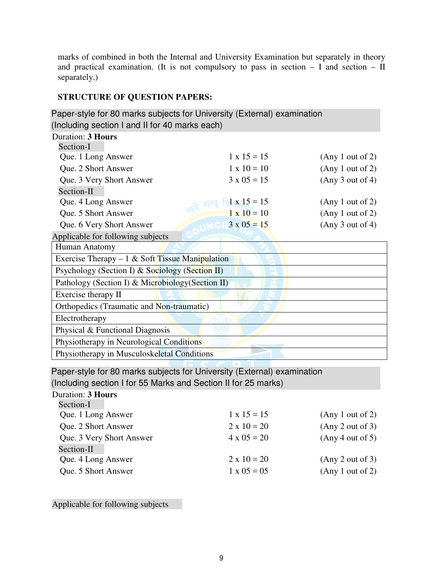marks of combined in both the Internal and University Examination but separately in theory and practical examination. (It is not compulsory to pass in section – I and section – II separately.)

# **STRUCTURE OF QUESTION PAPERS:**

| Paper-style for 80 marks subjects for University (External) examination |                         |                  |  |  |  |  |
|-------------------------------------------------------------------------|-------------------------|------------------|--|--|--|--|
| (Including section I and II for 40 marks each)                          |                         |                  |  |  |  |  |
| <b>Duration: 3 Hours</b>                                                |                         |                  |  |  |  |  |
| Section-I                                                               |                         |                  |  |  |  |  |
| Que. 1 Long Answer                                                      | $1 \times 15 = 15$      | (Any 1 out of 2) |  |  |  |  |
| Que. 2 Short Answer                                                     | $1 \times 10 = 10$      | (Any 1 out of 2) |  |  |  |  |
| Que. 3 Very Short Answer                                                | $3 \times 0.5 = 1.5$    | (Any 3 out of 4) |  |  |  |  |
| Section-II                                                              |                         |                  |  |  |  |  |
| Que. 4 Long Answer                                                      | $1 \times 15 = 15$      | (Any 1 out of 2) |  |  |  |  |
| Que. 5 Short Answer                                                     | $1 \times 10 = 10$      | (Any 1 out of 2) |  |  |  |  |
| Que. 6 Very Short Answer                                                | $\sqrt{C}$ 13 x 05 = 15 | (Any 3 out of 4) |  |  |  |  |
| Applicable for following subjects                                       |                         |                  |  |  |  |  |
| Human Anatomy                                                           |                         |                  |  |  |  |  |
| Exercise Therapy $-1$ & Soft Tissue Manipulation                        |                         |                  |  |  |  |  |
| Psychology (Section I) & Sociology (Section II)                         |                         |                  |  |  |  |  |
| Pathology (Section I) & Microbiology (Section II)                       |                         |                  |  |  |  |  |
| Exercise therapy II                                                     |                         |                  |  |  |  |  |
| Orthopedics (Traumatic and Non-traumatic)                               |                         |                  |  |  |  |  |
| Electrotherapy                                                          |                         |                  |  |  |  |  |
| Physical & Functional Diagnosis                                         |                         |                  |  |  |  |  |
| Physiotherapy in Neurological Conditions                                |                         |                  |  |  |  |  |
| Physiotherapy in Musculoskeletal Conditions                             |                         |                  |  |  |  |  |

Paper-style for 80 marks subjects for University (External) examination

Duration: **3 Hours**  (Including section I for 55 Marks and Section II for 25 marks)

| Duration. Э <b>почі</b> з |                    |                  |
|---------------------------|--------------------|------------------|
| Section-I                 |                    |                  |
| Que. 1 Long Answer        | $1 \times 15 = 15$ | (Any 1 out of 2) |
| Que. 2 Short Answer       | $2 \times 10 = 20$ | (Any 2 out of 3) |
| Que. 3 Very Short Answer  | $4 \times 05 = 20$ | (Any 4 out of 5) |
| Section-II                |                    |                  |
| Que. 4 Long Answer        | $2 \times 10 = 20$ | (Any 2 out of 3) |
| Que. 5 Short Answer       | $1 \times 05 = 05$ | (Any 1 out of 2) |
|                           |                    |                  |

Applicable for following subjects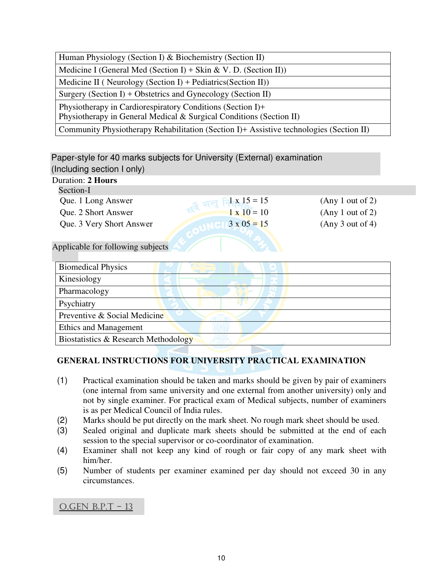| Human Physiology (Section I) & Biochemistry (Section II)                                                                          |
|-----------------------------------------------------------------------------------------------------------------------------------|
| Medicine I (General Med (Section I) + Skin & V. D. (Section II))                                                                  |
| Medicine II (Neurology (Section I) + Pediatrics (Section II))                                                                     |
| Surgery (Section I) + Obstetrics and Gynecology (Section II)                                                                      |
| Physiotherapy in Cardiorespiratory Conditions (Section I)+<br>Physiotherapy in General Medical & Surgical Conditions (Section II) |
| Community Physiotherapy Rehabilitation (Section I)+ Assistive technologies (Section II)                                           |

# Paper-style for 40 marks subjects for University (External) examination (Including section I only)

| Duration: 2 Hours                 |                    |                  |
|-----------------------------------|--------------------|------------------|
| Section-I                         |                    |                  |
| Que. 1 Long Answer                | $1 \times 15 = 15$ | (Any 1 out of 2) |
| Que. 2 Short Answer               | $1 \times 10 = 10$ | (Any 1 out of 2) |
| Que. 3 Very Short Answer          | $3 \times 05 = 15$ | (Any 3 out of 4) |
|                                   |                    |                  |
| Applicable for following orbinate |                    |                  |

Applicable for following subjects

| <b>Biomedical Physics</b>            |
|--------------------------------------|
| Kinesiology                          |
| Pharmacology                         |
| Psychiatry                           |
| Preventive & Social Medicine         |
| <b>Ethics and Management</b>         |
| Biostatistics & Research Methodology |

# **GENERAL INSTRUCTIONS FOR UNIVERSITY PRACTICAL EXAMINATION**

- (1) Practical examination should be taken and marks should be given by pair of examiners (one internal from same university and one external from another university) only and not by single examiner. For practical exam of Medical subjects, number of examiners is as per Medical Council of India rules.
- (2) Marks should be put directly on the mark sheet. No rough mark sheet should be used.
- (3) Sealed original and duplicate mark sheets should be submitted at the end of each session to the special supervisor or co-coordinator of examination.
- (4) Examiner shall not keep any kind of rough or fair copy of any mark sheet with him/her.
- (5) Number of students per examiner examined per day should not exceed 30 in any circumstances.

# O.GEN B.P.T - 13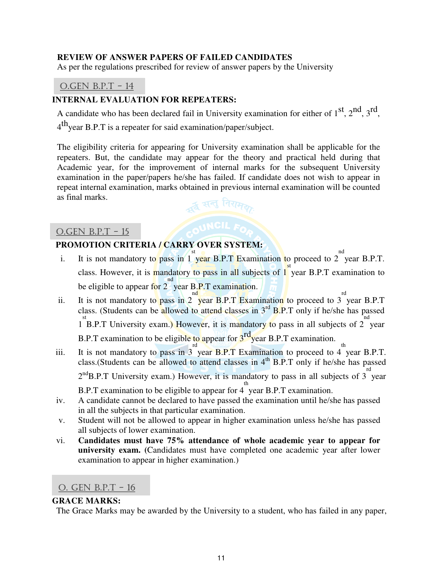#### **REVIEW OF ANSWER PAPERS OF FAILED CANDIDATES**

As per the regulations prescribed for review of answer papers by the University

# O.GEN B.P.T - 14

### **INTERNAL EVALUATION FOR REPEATERS:**

A candidate who has been declared fail in University examination for either of  $1<sup>st</sup>$ ,  $2<sup>nd</sup>$ ,  $3<sup>rd</sup>$ ,  $4^{\text{th}}$ year B.P.T is a repeater for said examination/paper/subject.

The eligibility criteria for appearing for University examination shall be applicable for the repeaters. But, the candidate may appear for the theory and practical held during that Academic year, for the improvement of internal marks for the subsequent University examination in the paper/papers he/she has failed. If candidate does not wish to appear in repeat internal examination, marks obtained in previous internal examination will be counted as final marks. ्न सन् निरामरु

# O.GEN B.P.T - 15

# **PROMOTION CRITERIA / CARRY OVER SYSTEM:**

- i. It is not mandatory to pass in 1 st year B.P.T Examination to proceed to 2 nd year B.P.T. class. However, it is mandatory to pass in all subjects of 1 st year B.P.T examination to be eligible to appear for 2 nd year B.P.T examination.
- ii. It is not mandatory to pass in 2 nd year B.P.T Examination to proceed to 3 rd year B.P.T class. (Students can be allowed to attend classes in 3<sup>rd</sup> B.P.T only if he/she has passed 1 st B.P.T University exam.) However, it is mandatory to pass in all subjects of 2 nd year B.P.T examination to be eligible to appear for  $3^{rd}$  year B.P.T examination.
- iii. It is not mandatory to pass in 3 rd year B.P.T Examination to proceed to 4 th year B.P.T. class. (Students can be allowed to attend classes in  $4<sup>th</sup>$  B.P.T only if he/she has passed  $2<sup>nd</sup>B.P.T$  University exam.) However, it is mandatory to pass in all subjects of 3 year B.P.T examination to be eligible to appear for 4 th year B.P.T examination.
- iv. A candidate cannot be declared to have passed the examination until he/she has passed in all the subjects in that particular examination.
- v. Student will not be allowed to appear in higher examination unless he/she has passed all subjects of lower examination.
- vi. **Candidates must have 75% attendance of whole academic year to appear for university exam. (**Candidates must have completed one academic year after lower examination to appear in higher examination.)

#### O. GEN B.P.T - 16

#### **GRACE MARKS:**

The Grace Marks may be awarded by the University to a student, who has failed in any paper,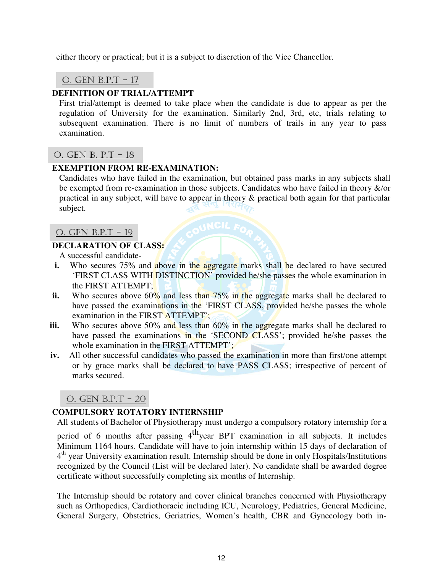either theory or practical; but it is a subject to discretion of the Vice Chancellor.

O. GEN B.P.T - 17

# **DEFINITION OF TRIAL/ATTEMPT**

First trial/attempt is deemed to take place when the candidate is due to appear as per the regulation of University for the examination. Similarly 2nd, 3rd, etc, trials relating to subsequent examination. There is no limit of numbers of trails in any year to pass examination.

# O. GEN B. P.T - 18

#### **EXEMPTION FROM RE-EXAMINATION:**

Candidates who have failed in the examination, but obtained pass marks in any subjects shall be exempted from re-examination in those subjects. Candidates who have failed in theory &/or practical in any subject, will have to appear in theory & practical both again for that particular subject.

### O. GEN B.P.T - 19

#### **DECLARATION OF CLASS:**

A successful candidate-

- **i.** Who secures 75% and above in the aggregate marks shall be declared to have secured 'FIRST CLASS WITH DISTINCTION' provided he/she passes the whole examination in the FIRST ATTEMPT;
- ii. Who secures above 60% and less than 75% in the aggregate marks shall be declared to have passed the examinations in the 'FIRST CLASS, provided he/she passes the whole examination in the FIRST ATTEMPT';
- iii. Who secures above 50% and less than 60% in the aggregate marks shall be declared to have passed the examinations in the 'SECOND CLASS'; provided he/she passes the whole examination in the FIRST ATTEMPT';
- **iv.** All other successful candidates who passed the examination in more than first/one attempt or by grace marks shall be declared to have PASS CLASS; irrespective of percent of marks secured.

O. GEN B.P.T - 20

# **COMPULSORY ROTATORY INTERNSHIP**

All students of Bachelor of Physiotherapy must undergo a compulsory rotatory internship for a

period of 6 months after passing  $4<sup>th</sup>$ year BPT examination in all subjects. It includes Minimum 1164 hours. Candidate will have to join internship within 15 days of declaration of 4<sup>th</sup> year University examination result. Internship should be done in only Hospitals/Institutions recognized by the Council (List will be declared later). No candidate shall be awarded degree certificate without successfully completing six months of Internship.

The Internship should be rotatory and cover clinical branches concerned with Physiotherapy such as Orthopedics, Cardiothoracic including ICU, Neurology, Pediatrics, General Medicine, General Surgery, Obstetrics, Geriatrics, Women's health, CBR and Gynecology both in-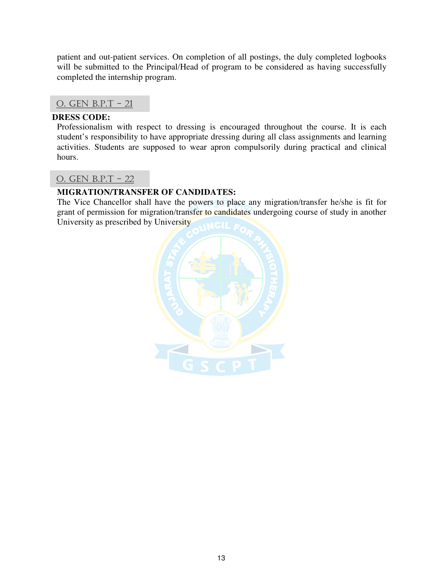patient and out-patient services. On completion of all postings, the duly completed logbooks will be submitted to the Principal/Head of program to be considered as having successfully completed the internship program.

# O. GEN B.P.T - 21

#### **DRESS CODE:**

Professionalism with respect to dressing is encouraged throughout the course. It is each student's responsibility to have appropriate dressing during all class assignments and learning activities. Students are supposed to wear apron compulsorily during practical and clinical hours.

# O. GEN B.P.T - 22

# **MIGRATION/TRANSFER OF CANDIDATES:**

The Vice Chancellor shall have the powers to place any migration/transfer he/she is fit for grant of permission for migration/transfer to candidates undergoing course of study in another University as prescribed by University

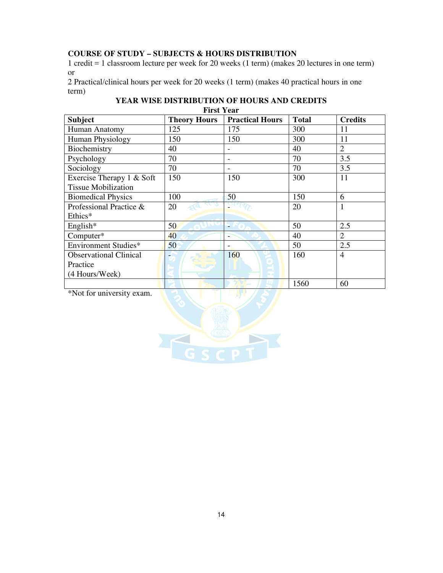# **COURSE OF STUDY – SUBJECTS & HOURS DISTRIBUTION**

1 credit = 1 classroom lecture per week for 20 weeks (1 term) (makes 20 lectures in one term) or

2 Practical/clinical hours per week for 20 weeks (1 term) (makes 40 practical hours in one term)

| YEAR WISE DISTRIBUTION OF HOURS AND CREDITS |
|---------------------------------------------|
| <b>First Year</b>                           |

| <b>Subject</b>                | <b>Theory Hours</b> | <b>Practical Hours</b>   | <b>Total</b> | <b>Credits</b> |
|-------------------------------|---------------------|--------------------------|--------------|----------------|
| Human Anatomy                 | 125                 | 175                      | 300          | 11             |
| <b>Human Physiology</b>       | 150                 | 150                      | 300          | 11             |
| Biochemistry                  | 40                  |                          | 40           | $\overline{2}$ |
| Psychology                    | 70                  |                          | 70           | 3.5            |
| Sociology                     | 70                  |                          | 70           | 3.5            |
| Exercise Therapy 1 & Soft     | 150                 | 150                      | 300          | 11             |
| <b>Tissue Mobilization</b>    |                     |                          |              |                |
| <b>Biomedical Physics</b>     | 100                 | 50                       | 150          | 6              |
| Professional Practice &       | 20                  |                          | 20           |                |
| Ethics*                       |                     |                          |              |                |
| English*                      | 50                  |                          | 50           | 2.5            |
| Computer*                     | 40                  |                          | 40           | 2              |
| Environment Studies*          | 50                  | $\overline{\phantom{a}}$ | 50           | 2.5            |
| <b>Observational Clinical</b> |                     | 160                      | 160          | $\overline{4}$ |
| Practice                      |                     |                          |              |                |
| (4 Hours/Week)                |                     |                          |              |                |
|                               |                     |                          | 1560         | 60             |

\*Not for university exam.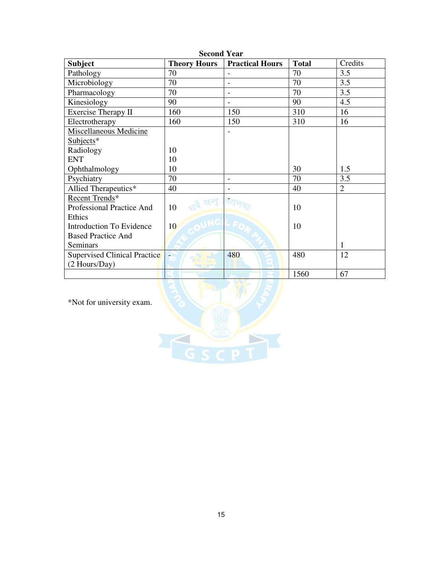| <b>Subject</b>               | ovvonu rval<br><b>Theory Hours</b> | <b>Practical Hours</b>       | <b>Total</b> | Credits        |
|------------------------------|------------------------------------|------------------------------|--------------|----------------|
| Pathology                    | 70                                 |                              | 70           | 3.5            |
| Microbiology                 | 70                                 | $\overline{\phantom{0}}$     | 70           | 3.5            |
| Pharmacology                 | 70                                 | $\qquad \qquad \blacksquare$ | 70           | 3.5            |
| Kinesiology                  | 90                                 |                              | 90           | 4.5            |
| Exercise Therapy II          | 160                                | 150                          | 310          | 16             |
| Electrotherapy               | 160                                | 150                          | 310          | 16             |
| Miscellaneous Medicine       |                                    |                              |              |                |
| $Subjects*$                  |                                    |                              |              |                |
| Radiology                    | 10                                 |                              |              |                |
| <b>ENT</b>                   | 10                                 |                              |              |                |
| Ophthalmology                | 10                                 |                              | 30           | 1.5            |
| Psychiatry                   | 70                                 | $\overline{\phantom{0}}$     | 70           | 3.5            |
| Allied Therapeutics*         | 40                                 |                              | 40           | $\overline{2}$ |
| Recent Trends*               |                                    |                              |              |                |
| Professional Practice And    | 10                                 |                              | 10           |                |
| Ethics                       |                                    |                              |              |                |
| Introduction To Evidence     | 10                                 |                              | 10           |                |
| <b>Based Practice And</b>    |                                    |                              |              |                |
| Seminars                     |                                    |                              |              | 1              |
| Supervised Clinical Practice |                                    | 480                          | 480          | 12             |
| (2 Hours/Day)                |                                    |                              |              |                |
|                              |                                    |                              | 1560         | 67             |

**Second Year** 

\*Not for university exam.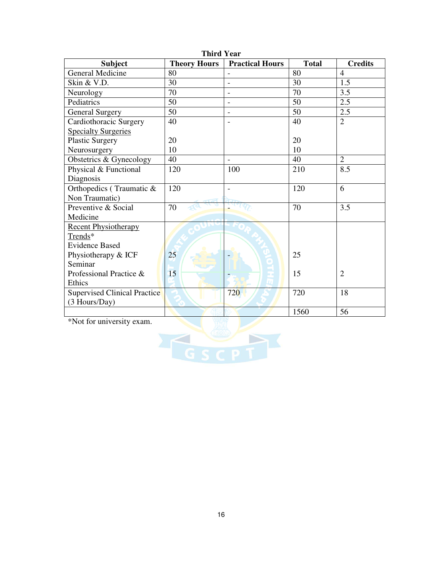| <b>Subject</b>               | <b>Theory Hours</b> | <b>Practical Hours</b>       | <b>Total</b> | <b>Credits</b> |
|------------------------------|---------------------|------------------------------|--------------|----------------|
| General Medicine             | 80                  |                              | 80           | $\overline{4}$ |
| Skin & V.D.                  | 30                  |                              | 30           | 1.5            |
| Neurology                    | 70                  | $\qquad \qquad \blacksquare$ | 70           | 3.5            |
| Pediatrics                   | 50                  | $\overline{a}$               | 50           | 2.5            |
| <b>General Surgery</b>       | 50                  |                              | 50           | 2.5            |
| Cardiothoracic Surgery       | 40                  |                              | 40           | $\overline{2}$ |
| <b>Specialty Surgeries</b>   |                     |                              |              |                |
| <b>Plastic Surgery</b>       | 20                  |                              | 20           |                |
| Neurosurgery                 | 10                  |                              | 10           |                |
| Obstetrics & Gynecology      | 40                  |                              | 40           | $\overline{2}$ |
| Physical & Functional        | 120                 | 100                          | 210          | 8.5            |
| Diagnosis                    |                     |                              |              |                |
| Orthopedics (Traumatic &     | 120                 |                              | 120          | 6              |
| Non Traumatic)               |                     |                              |              |                |
| Preventive & Social          | 70                  |                              | 70           | 3.5            |
| Medicine                     |                     |                              |              |                |
| <b>Recent Physiotherapy</b>  |                     |                              |              |                |
| Trends*                      |                     |                              |              |                |
| <b>Evidence Based</b>        |                     |                              |              |                |
| Physiotherapy & ICF          | 25                  |                              | 25           |                |
| Seminar                      |                     |                              |              |                |
| Professional Practice &      | 15                  |                              | 15           | $\overline{2}$ |
| Ethics                       |                     |                              |              |                |
| Supervised Clinical Practice |                     | 720                          | 720          | 18             |
| (3 Hours/Day)                |                     |                              |              |                |
|                              |                     |                              | 1560         | 56             |

**Third Year** 

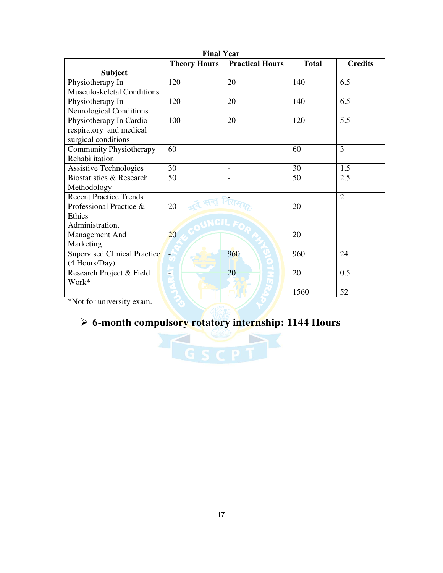| <b>Final Year</b>                   |                     |                          |              |                |
|-------------------------------------|---------------------|--------------------------|--------------|----------------|
|                                     | <b>Theory Hours</b> | <b>Practical Hours</b>   | <b>Total</b> | <b>Credits</b> |
| <b>Subject</b>                      |                     |                          |              |                |
| Physiotherapy In                    | 120                 | 20                       | 140          | 6.5            |
| Musculoskeletal Conditions          |                     |                          |              |                |
| Physiotherapy In                    | 120                 | 20                       | 140          | 6.5            |
| <b>Neurological Conditions</b>      |                     |                          |              |                |
| Physiotherapy In Cardio             | 100                 | 20                       | 120          | 5.5            |
| respiratory and medical             |                     |                          |              |                |
| surgical conditions                 |                     |                          |              |                |
| <b>Community Physiotherapy</b>      | 60                  |                          | 60           | 3              |
| Rehabilitation                      |                     |                          |              |                |
| <b>Assistive Technologies</b>       | 30                  | $\overline{\phantom{a}}$ | 30           | 1.5            |
| Biostatistics & Research            | 50                  |                          | 50           | 2.5            |
| Methodology                         |                     |                          |              |                |
| <b>Recent Practice Trends</b>       |                     |                          |              | 2              |
| Professional Practice &             | 20                  |                          | 20           |                |
| Ethics                              |                     |                          |              |                |
| Administration,                     |                     |                          |              |                |
| Management And                      | 20                  |                          | 20           |                |
| Marketing                           |                     |                          |              |                |
| <b>Supervised Clinical Practice</b> |                     | 960                      | 960          | 24             |
| (4 Hours/Day)                       |                     |                          |              |                |
| Research Project & Field            | -                   | 20                       | 20           | 0.5            |
| Work*                               |                     |                          |              |                |
|                                     |                     |                          | 1560         | 52             |

\*Not for university exam.

# **6-month compulsory rotatory internship: 1144 Hours**

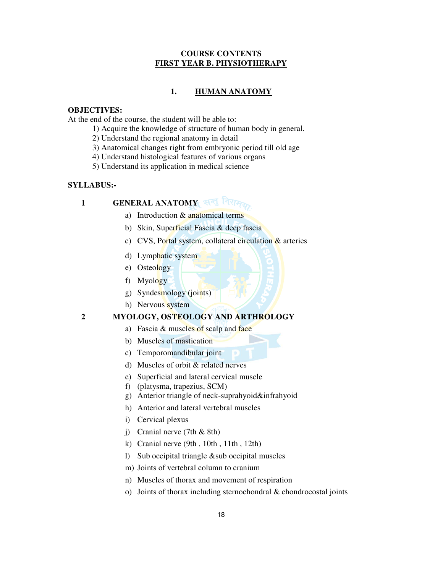#### **COURSE CONTENTS FIRST YEAR B. PHYSIOTHERAPY**

#### **1. HUMAN ANATOMY**

#### **OBJECTIVES:**

At the end of the course, the student will be able to:

- 1) Acquire the knowledge of structure of human body in general.
- 2) Understand the regional anatomy in detail
- 3) Anatomical changes right from embryonic period till old age
- 4) Understand histological features of various organs
- 5) Understand its application in medical science

#### **SYLLABUS:-**

# 1 **GENERAL ANATOMY** सन्तु निराम

- a) Introduction & anatomical terms
- b) Skin, Superficial Fascia & deep fascia
- c) CVS, Portal system, collateral circulation  $\&$  arteries
- d) Lymphatic system
- e) Osteology
- f) Myology
- g) Syndesmology (joints)
- h) Nervous system

#### **2 MYOLOGY, OSTEOLOGY AND ARTHROLOGY**

- a) Fascia  $&$  muscles of scalp and face
- b) Muscles of mastication
- c) Temporomandibular joint
- d) Muscles of orbit & related nerves
- e) Superficial and lateral cervical muscle
- f) (platysma, trapezius, SCM)
- g) Anterior triangle of neck-suprahyoid&infrahyoid
- h) Anterior and lateral vertebral muscles
- i) Cervical plexus
- j) Cranial nerve (7th & 8th)
- k) Cranial nerve (9th , 10th , 11th , 12th)
- l) Sub occipital triangle &sub occipital muscles
- m) Joints of vertebral column to cranium
- n) Muscles of thorax and movement of respiration
- o) Joints of thorax including sternochondral & chondrocostal joints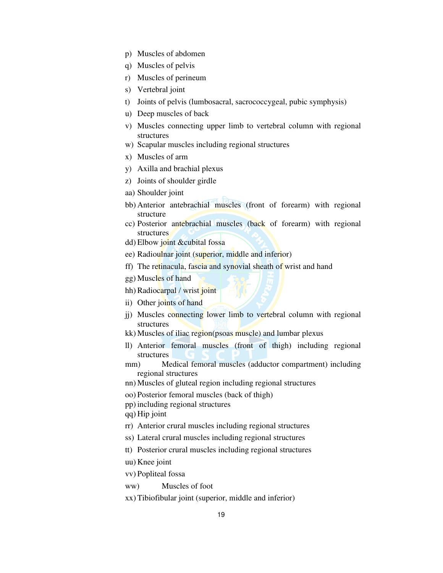- p) Muscles of abdomen
- q) Muscles of pelvis
- r) Muscles of perineum
- s) Vertebral joint
- t) Joints of pelvis (lumbosacral, sacrococcygeal, pubic symphysis)
- u) Deep muscles of back
- v) Muscles connecting upper limb to vertebral column with regional structures
- w) Scapular muscles including regional structures
- x) Muscles of arm
- y) Axilla and brachial plexus
- z) Joints of shoulder girdle
- aa) Shoulder joint
- bb) Anterior antebrachial muscles (front of forearm) with regional structure
- cc) Posterior antebrachial muscles (back of forearm) with regional structures
- dd) Elbow joint &cubital fossa
- ee) Radioulnar joint (superior, middle and inferior)
- ff) The retinacula, fascia and synovial sheath of wrist and hand
- gg) Muscles of hand
- hh) Radiocarpal / wrist joint
- ii) Other joints of hand
- jj) Muscles connecting lower limb to vertebral column with regional structures
- kk) Muscles of iliac region(psoas muscle) and lumbar plexus
- ll) Anterior femoral muscles (front of thigh) including regional structures
- mm) Medical femoral muscles (adductor compartment) including regional structures
- nn) Muscles of gluteal region including regional structures
- oo) Posterior femoral muscles (back of thigh)
- pp) including regional structures
- qq) Hip joint
- rr) Anterior crural muscles including regional structures
- ss) Lateral crural muscles including regional structures
- tt) Posterior crural muscles including regional structures
- uu) Knee joint
- vv) Popliteal fossa
- ww) Muscles of foot
- xx) Tibiofibular joint (superior, middle and inferior)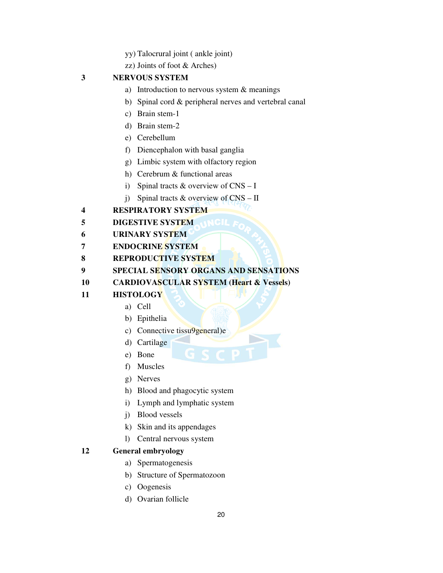- yy) Talocrural joint ( ankle joint)
- zz) Joints of foot & Arches)

# **3 NERVOUS SYSTEM**

- a) Introduction to nervous system & meanings
- b) Spinal cord & peripheral nerves and vertebral canal
- c) Brain stem-1
- d) Brain stem-2
- e) Cerebellum
- f) Diencephalon with basal ganglia
- g) Limbic system with olfactory region
- h) Cerebrum & functional areas
- i) Spinal tracts & overview of CNS I
- j) Spinal tracts & overview of CNS II

# **4 RESPIRATORY SYSTEM**

- **5** DIGESTIVE SYSTEM **INCLE**
- **6 URINARY SYSTEM**
- **7 ENDOCRINE SYSTEM**
- **8 REPRODUCTIVE SYSTEM**
- **9 SPECIAL SENSORY ORGANS AND SENSATIONS**
- **10 CARDIOVASCULAR SYSTEM (Heart & Vessels)**
- **11 HISTOLOGY** 
	- a) Cell
	- b) Epithelia
	- c) Connective tissu9general)e
	- d) Cartilage
	- e) Bone
	- f) Muscles
	- g) Nerves
	- h) Blood and phagocytic system
	- i) Lymph and lymphatic system
	- j) Blood vessels
	- k) Skin and its appendages
	- l) Central nervous system

#### **12 General embryology**

- a) Spermatogenesis
- b) Structure of Spermatozoon
- c) Oogenesis
- d) Ovarian follicle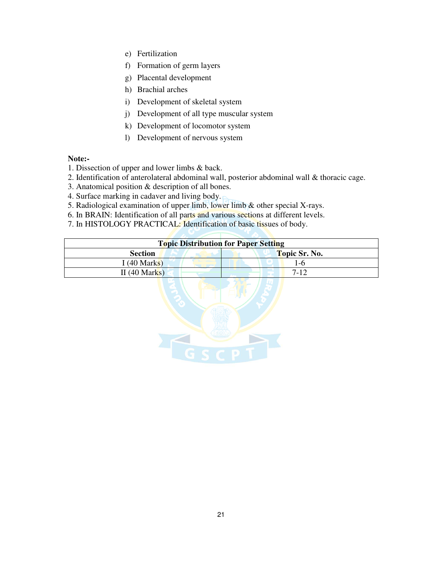- e) Fertilization
- f) Formation of germ layers
- g) Placental development
- h) Brachial arches
- i) Development of skeletal system
- j) Development of all type muscular system
- k) Development of locomotor system
- l) Development of nervous system

#### **Note:-**

- 1. Dissection of upper and lower limbs & back.
- 2. Identification of anterolateral abdominal wall, posterior abdominal wall & thoracic cage.
- 3. Anatomical position & description of all bones.
- 4. Surface marking in cadaver and living body.
- 5. Radiological examination of upper limb, lower limb & other special X-rays.
- 6. In BRAIN: Identification of all parts and various sections at different levels.
- 7. In HISTOLOGY PRACTICAL: Identification of basic tissues of body.

| <b>Topic Distribution for Paper Setting</b> |               |  |
|---------------------------------------------|---------------|--|
| <b>Section</b>                              | Topic Sr. No. |  |
| I $(40$ Marks)                              | -ი            |  |
| II(40 Marks)                                | $7 - 12$      |  |
|                                             |               |  |

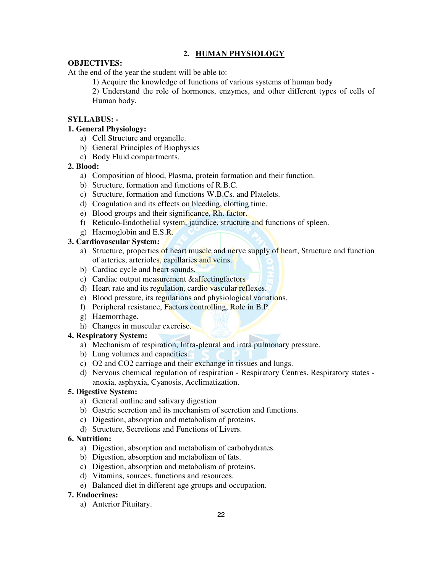# **2. HUMAN PHYSIOLOGY**

#### **OBJECTIVES:**

At the end of the year the student will be able to:

1) Acquire the knowledge of functions of various systems of human body

2) Understand the role of hormones, enzymes, and other different types of cells of Human body.

### **SYLLABUS: -**

#### **1. General Physiology:**

- a) Cell Structure and organelle.
- b) General Principles of Biophysics
- c) Body Fluid compartments.

#### **2. Blood:**

- a) Composition of blood, Plasma, protein formation and their function.
- b) Structure, formation and functions of R.B.C.
- c) Structure, formation and functions W.B.Cs. and Platelets.
- d) Coagulation and its effects on bleeding, clotting time.
- e) Blood groups and their significance, Rh. factor.
- f) Reticulo-Endothelial system, jaundice, structure and functions of spleen.
- g) Haemoglobin and E.S.R.

#### **3. Cardiovascular System:**

- a) Structure, properties of heart muscle and nerve supply of heart, Structure and function of arteries, arterioles, capillaries and veins.
- b) Cardiac cycle and heart sounds.
- c) Cardiac output measurement &affectingfactors
- d) Heart rate and its regulation, cardio vascular reflexes.
- e) Blood pressure, its regulations and physiological variations.
- f) Peripheral resistance, Factors controlling, Role in B.P.
- g) Haemorrhage.
- h) Changes in muscular exercise.

#### **4. Respiratory System:**

- a) Mechanism of respiration, Intra-pleural and intra pulmonary pressure.
- b) Lung volumes and capacities.
- c) O2 and CO2 carriage and their exchange in tissues and lungs.
- d) Nervous chemical regulation of respiration Respiratory Centres. Respiratory states anoxia, asphyxia, Cyanosis, Acclimatization.

#### **5. Digestive System:**

- a) General outline and salivary digestion
- b) Gastric secretion and its mechanism of secretion and functions.
- c) Digestion, absorption and metabolism of proteins.
- d) Structure, Secretions and Functions of Livers.

#### **6. Nutrition:**

- a) Digestion, absorption and metabolism of carbohydrates.
- b) Digestion, absorption and metabolism of fats.
- c) Digestion, absorption and metabolism of proteins.
- d) Vitamins, sources, functions and resources.
- e) Balanced diet in different age groups and occupation.

# **7. Endocrines:**

a) Anterior Pituitary.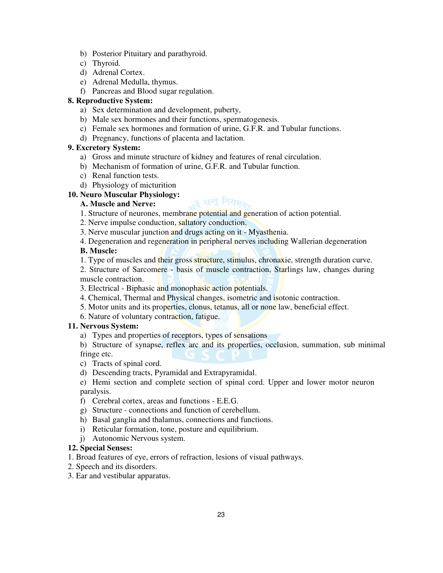- b) Posterior Pituitary and parathyroid.
- c) Thyroid.
- d) Adrenal Cortex.
- e) Adrenal Medulla, thymus.
- f) Pancreas and Blood sugar regulation.

#### **8. Reproductive System:**

- a) Sex determination and development, puberty,
- b) Male sex hormones and their functions, spermatogenesis.
- c) Female sex hormones and formation of urine, G.F.R. and Tubular functions.
- d) Pregnancy, functions of placenta and lactation.

#### **9. Excretory System:**

- a) Gross and minute structure of kidney and features of renal circulation.
- b) Mechanism of formation of urine, G.F.R. and Tubular function.
- c) Renal function tests.
- d) Physiology of micturition

#### **10. Neuro Muscular Physiology:**

#### **A. Muscle and Nerve:**

- ूर्व सन्तु निरामल 1. Structure of neurones, membrane potential and generation of action potential.
- 2. Nerve impulse conduction, saltatory conduction.
- 3. Nerve muscular junction and drugs acting on it Myasthenia.
- 4. Degeneration and regeneration in peripheral nerves including Wallerian degeneration

#### **B. Muscle:**

- 1. Type of muscles and their gross structure, stimulus, chronaxie, strength duration curve.
- 2. Structure of Sarcomere basis of muscle contraction, Starlings law, changes during muscle contraction.
- 3. Electrical Biphasic and monophasic action potentials.
- 4. Chemical, Thermal and Physical changes, isometric and isotonic contraction.
- 5. Motor units and its properties, clonus, tetanus, all or none law, beneficial effect.
- 6. Nature of voluntary contraction, fatigue.

#### **11. Nervous System:**

a) Types and properties of receptors, types of sensations

b) Structure of synapse, reflex arc and its properties, occlusion, summation, sub minimal fringe etc.

- c) Tracts of spinal cord.
- d) Descending tracts, Pyramidal and Extrapyramidal.

e) Hemi section and complete section of spinal cord. Upper and lower motor neuron paralysis.

- f) Cerebral cortex, areas and functions E.E.G.
- g) Structure connections and function of cerebellum.
- h) Basal ganglia and thalamus, connections and functions.
- i) Reticular formation, tone, posture and equilibrium.
- j) Autonomic Nervous system.

#### **12. Special Senses:**

1. Broad features of eye, errors of refraction, lesions of visual pathways.

- 2. Speech and its disorders.
- 3. Ear and vestibular apparatus.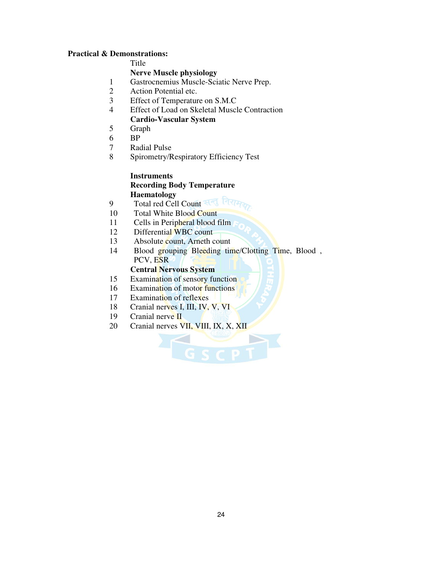#### **Practical & Demonstrations:**

Title

#### **Nerve Muscle physiology**

- 1 Gastrocnemius Muscle-Sciatic Nerve Prep.
- 2 Action Potential etc.
- 3 Effect of Temperature on S.M.C
- 4 Effect of Load on Skeletal Muscle Contraction **Cardio-Vascular System** 
	- Graph
- 5 BP
- 6
- 7 Radial Pulse
- 8 Spirometry/Respiratory Efficiency Test

#### **Instruments Recording Body Temperature Haematology**

- 9 Total red Cell Count
- 10 Total White Blood Count
- 11 Cells in Peripheral blood film
- 12 Differential WBC count
- 13 Absolute count, Arneth count
- 14 Blood grouping Bleeding time/Clotting Time, Blood , PCV, ESR

GSCPT

#### **Central Nervous System**

- 15 Examination of sensory function
- 16 Examination of motor functions
- 17 Examination of reflexes
- 18 Cranial nerves I, III, IV, V, VI
- 19 Cranial nerve II
- 20 Cranial nerves VII, VIII, IX, X, XII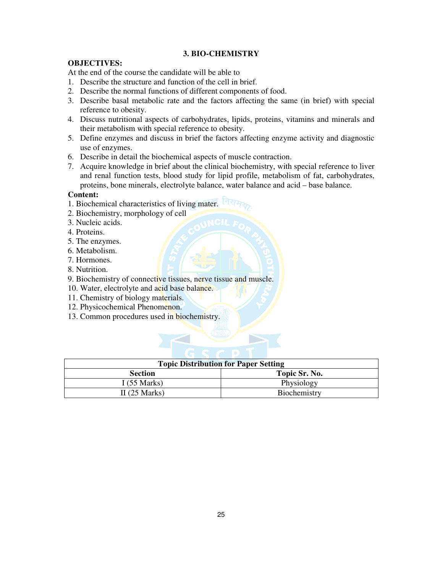#### **3. BIO-CHEMISTRY**

#### **OBJECTIVES:**

At the end of the course the candidate will be able to

- 1. Describe the structure and function of the cell in brief.
- 2. Describe the normal functions of different components of food.
- 3. Describe basal metabolic rate and the factors affecting the same (in brief) with special reference to obesity.
- 4. Discuss nutritional aspects of carbohydrates, lipids, proteins, vitamins and minerals and their metabolism with special reference to obesity.
- 5. Define enzymes and discuss in brief the factors affecting enzyme activity and diagnostic use of enzymes.
- 6. Describe in detail the biochemical aspects of muscle contraction.
- 7. Acquire knowledge in brief about the clinical biochemistry, with special reference to liver and renal function tests, blood study for lipid profile, metabolism of fat, carbohydrates, proteins, bone minerals, electrolyte balance, water balance and acid – base balance.

#### **Content:**

- 1. Biochemical characteristics of living mater.
- 2. Biochemistry, morphology of cell
- 3. Nucleic acids.
- 4. Proteins.
- 5. The enzymes.
- 6. Metabolism.
- 7. Hormones.
- 8. Nutrition.
- 9. Biochemistry of connective tissues, nerve tissue and muscle.
- 10. Water, electrolyte and acid base balance.
- 11. Chemistry of biology materials.
- 12. Physicochemical Phenomenon.
- 13. Common procedures used in biochemistry.

| <b>Topic Distribution for Paper Setting</b> |               |  |
|---------------------------------------------|---------------|--|
| <b>Section</b>                              | Topic Sr. No. |  |
| I $(55 \text{ Marks})$                      | Physiology    |  |
| II $(25 \text{ Marks})$                     | Biochemistry  |  |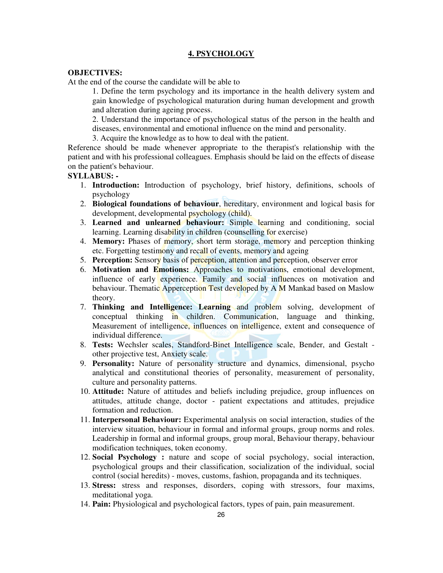#### **4. PSYCHOLOGY**

#### **OBJECTIVES:**

At the end of the course the candidate will be able to

1. Define the term psychology and its importance in the health delivery system and gain knowledge of psychological maturation during human development and growth and alteration during ageing process.

2. Understand the importance of psychological status of the person in the health and diseases, environmental and emotional influence on the mind and personality.

3. Acquire the knowledge as to how to deal with the patient.

Reference should be made whenever appropriate to the therapist's relationship with the patient and with his professional colleagues. Emphasis should be laid on the effects of disease on the patient's behaviour.

### **SYLLABUS: -**

- 1. **Introduction:** Introduction of psychology, brief history, definitions, schools of psychology
- 2. **Biological foundations of behaviour**, hereditary, environment and logical basis for development, developmental psychology (child).
- 3. **Learned and unlearned behaviour:** Simple learning and conditioning, social learning. Learning disability in children (counselling for exercise)
- 4. **Memory:** Phases of memory, short term storage, memory and perception thinking etc. Forgetting testimony and recall of events, memory and ageing
- 5. **Perception:** Sensory basis of perception, attention and perception, observer error
- 6. **Motivation and Emotions:** Approaches to motivations, emotional development, influence of early experience. Family and social influences on motivation and behaviour. Thematic Apperception Test developed by A M Mankad based on Maslow theory.
- 7. **Thinking and Intelligence: Learning** and problem solving, development of conceptual thinking in children. Communication, language and thinking, Measurement of intelligence, influences on intelligence, extent and consequence of individual difference.
- 8. **Tests:** Wechsler scales, Standford-Binet Intelligence scale, Bender, and Gestalt other projective test, Anxiety scale.
- 9. **Personality:** Nature of personality structure and dynamics, dimensional, psycho analytical and constitutional theories of personality, measurement of personality, culture and personality patterns.
- 10. **Attitude:** Nature of attitudes and beliefs including prejudice, group influences on attitudes, attitude change, doctor - patient expectations and attitudes, prejudice formation and reduction.
- 11. **Interpersonal Behaviour:** Experimental analysis on social interaction, studies of the interview situation, behaviour in formal and informal groups, group norms and roles. Leadership in formal and informal groups, group moral, Behaviour therapy, behaviour modification techniques, token economy.
- 12. **Social Psychology :** nature and scope of social psychology, social interaction, psychological groups and their classification, socialization of the individual, social control (social heredits) - moves, customs, fashion, propaganda and its techniques.
- 13. **Stress:** stress and responses, disorders, coping with stressors, four maxims, meditational yoga.
- 14. **Pain:** Physiological and psychological factors, types of pain, pain measurement.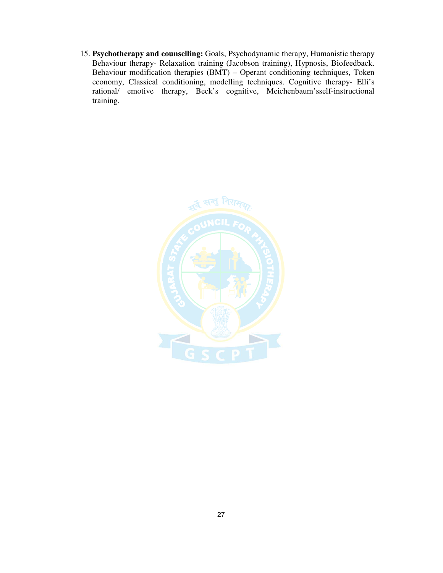15. **Psychotherapy and counselling:** Goals, Psychodynamic therapy, Humanistic therapy Behaviour therapy- Relaxation training (Jacobson training), Hypnosis, Biofeedback. Behaviour modification therapies (BMT) – Operant conditioning techniques, Token economy, Classical conditioning, modelling techniques. Cognitive therapy- Elli's rational/ emotive therapy, Beck's cognitive, Meichenbaum'sself-instructional training.

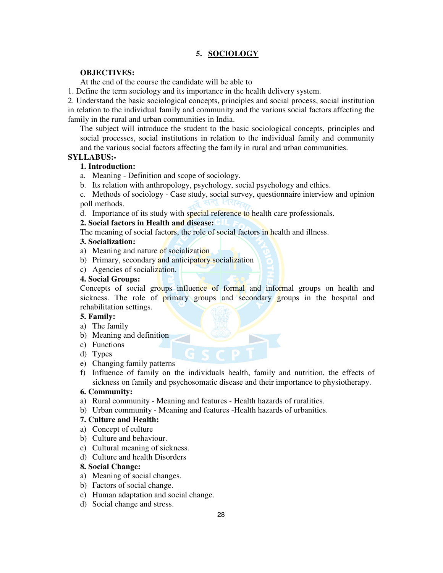#### **5. SOCIOLOGY**

#### **OBJECTIVES:**

At the end of the course the candidate will be able to

1. Define the term sociology and its importance in the health delivery system.

2. Understand the basic sociological concepts, principles and social process, social institution in relation to the individual family and community and the various social factors affecting the family in the rural and urban communities in India.

The subject will introduce the student to the basic sociological concepts, principles and social processes, social institutions in relation to the individual family and community and the various social factors affecting the family in rural and urban communities.

#### **SYLLABUS:-**

#### **1. Introduction:**

- a. Meaning Definition and scope of sociology.
- b. Its relation with anthropology, psychology, social psychology and ethics.

c. Methods of sociology - Case study, social survey, questionnaire interview and opinion poll methods.

d. Importance of its study with special reference to health care professionals.

#### **2. Social factors in Health and disease:**

The meaning of social factors, the role of social factors in health and illness.

#### **3. Socialization:**

- a) Meaning and nature of socialization
- b) Primary, secondary and anticipatory socialization
- c) Agencies of socialization.

#### **4. Social Groups:**

Concepts of social groups influence of formal and informal groups on health and sickness. The role of primary groups and secondary groups in the hospital and rehabilitation settings.

#### **5. Family:**

- a) The family
- b) Meaning and definition
- c) Functions
- d) Types
- e) Changing family patterns
- f) Influence of family on the individuals health, family and nutrition, the effects of sickness on family and psychosomatic disease and their importance to physiotherapy.

#### **6. Community:**

- a) Rural community Meaning and features Health hazards of ruralities.
- b) Urban community Meaning and features -Health hazards of urbanities.

#### **7. Culture and Health:**

- a) Concept of culture
- b) Culture and behaviour.
- c) Cultural meaning of sickness.
- d) Culture and health Disorders

#### **8. Social Change:**

- a) Meaning of social changes.
- b) Factors of social change.
- c) Human adaptation and social change.
- d) Social change and stress.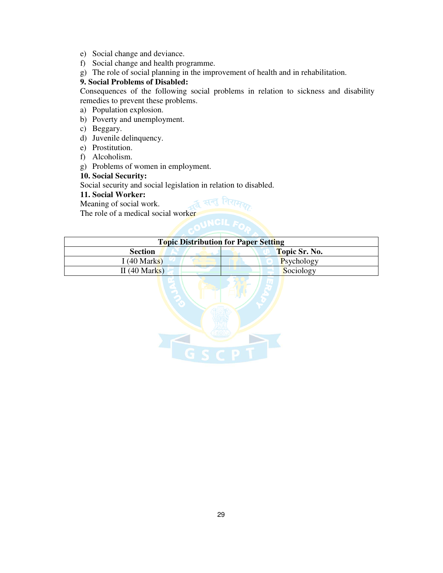- e) Social change and deviance.
- f) Social change and health programme.
- g) The role of social planning in the improvement of health and in rehabilitation.

#### **9. Social Problems of Disabled:**

Consequences of the following social problems in relation to sickness and disability remedies to prevent these problems.

- a) Population explosion.
- b) Poverty and unemployment.
- c) Beggary.
- d) Juvenile delinquency.
- e) Prostitution.
- f) Alcoholism.
- g) Problems of women in employment.

#### **10. Social Security:**

Social security and social legislation in relation to disabled.

#### **11. Social Worker:**

Meaning of social work.

The role of a medical social worker

| <b>Topic Distribution for Paper Setting</b> |               |  |  |
|---------------------------------------------|---------------|--|--|
| <b>Section</b>                              | Topic Sr. No. |  |  |
| I $(40$ Marks)                              | Psychology    |  |  |
| II $(40$ Marks)                             | Sociology     |  |  |

≴ सन् गिरा

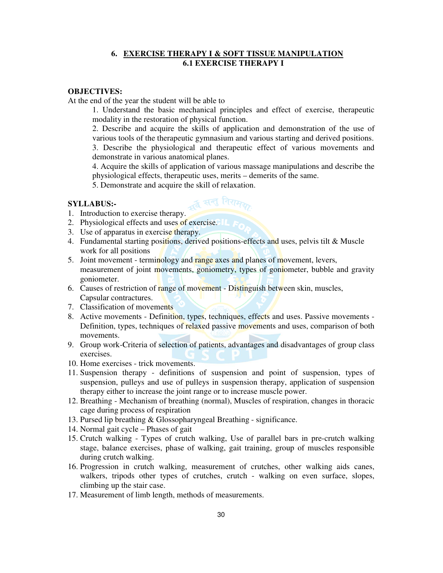#### **6. EXERCISE THERAPY I & SOFT TISSUE MANIPULATION 6.1 EXERCISE THERAPY I**

#### **OBJECTIVES:**

At the end of the year the student will be able to

1. Understand the basic mechanical principles and effect of exercise, therapeutic modality in the restoration of physical function.

2. Describe and acquire the skills of application and demonstration of the use of various tools of the therapeutic gymnasium and various starting and derived positions.

3. Describe the physiological and therapeutic effect of various movements and demonstrate in various anatomical planes.

4. Acquire the skills of application of various massage manipulations and describe the physiological effects, therapeutic uses, merits – demerits of the same.

5. Demonstrate and acquire the skill of relaxation.

#### **SYLLABUS:-**

- 1. Introduction to exercise therapy.
- 2. Physiological effects and uses of exercise.
- 3. Use of apparatus in exercise therapy.
- 4. Fundamental starting positions, derived positions-effects and uses, pelvis tilt & Muscle work for all positions

ूद्व सन्तु निरामक

- 5. Joint movement terminology and range axes and planes of movement, levers, measurement of joint movements, goniometry, types of goniometer, bubble and gravity goniometer.
- 6. Causes of restriction of range of movement Distinguish between skin, muscles, Capsular contractures.
- 7. Classification of movements
- 8. Active movements Definition, types, techniques, effects and uses. Passive movements Definition, types, techniques of relaxed passive movements and uses, comparison of both movements.
- 9. Group work-Criteria of selection of patients, advantages and disadvantages of group class exercises.
- 10. Home exercises trick movements.
- 11. Suspension therapy definitions of suspension and point of suspension, types of suspension, pulleys and use of pulleys in suspension therapy, application of suspension therapy either to increase the joint range or to increase muscle power.
- 12. Breathing Mechanism of breathing (normal), Muscles of respiration, changes in thoracic cage during process of respiration
- 13. Pursed lip breathing & Glossopharyngeal Breathing significance.
- 14. Normal gait cycle Phases of gait
- 15. Crutch walking Types of crutch walking, Use of parallel bars in pre-crutch walking stage, balance exercises, phase of walking, gait training, group of muscles responsible during crutch walking.
- 16. Progression in crutch walking, measurement of crutches, other walking aids canes, walkers, tripods other types of crutches, crutch - walking on even surface, slopes, climbing up the stair case.
- 17. Measurement of limb length, methods of measurements.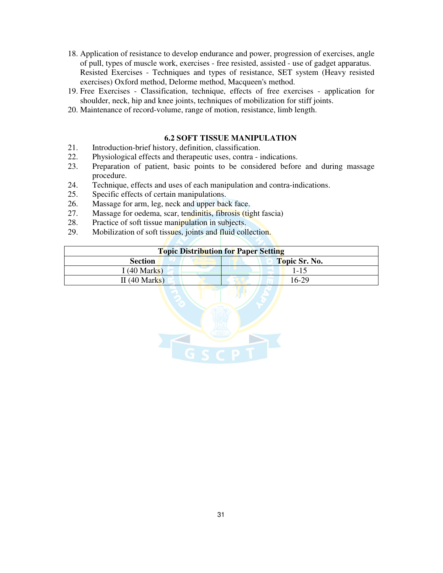- 18. Application of resistance to develop endurance and power, progression of exercises, angle of pull, types of muscle work, exercises - free resisted, assisted - use of gadget apparatus. Resisted Exercises - Techniques and types of resistance, SET system (Heavy resisted exercises) Oxford method, Delorme method, Macqueen's method.
- 19. Free Exercises Classification, technique, effects of free exercises application for shoulder, neck, hip and knee joints, techniques of mobilization for stiff joints.
- 20. Maintenance of record-volume, range of motion, resistance, limb length.

#### **6.2 SOFT TISSUE MANIPULATION**

- 21. Introduction-brief history, definition, classification.
- 22. Physiological effects and therapeutic uses, contra indications.
- 23. Preparation of patient, basic points to be considered before and during massage procedure.
- 24. Technique, effects and uses of each manipulation and contra-indications.
- 25. Specific effects of certain manipulations.
- 26. Massage for arm, leg, neck and upper back face.
- 27. Massage for oedema, scar, tendinitis, fibrosis (tight fascia)
- 28. Practice of soft tissue manipulation in subjects.
- 29. Mobilization of soft tissues, joints and fluid collection.

| <b>Topic Distribution for Paper Setting</b> |               |  |  |
|---------------------------------------------|---------------|--|--|
| <b>Section</b>                              | Topic Sr. No. |  |  |
| I $(40 \text{ Marks})$                      | 1-15          |  |  |
| II(40 Marks)                                | $16-29$       |  |  |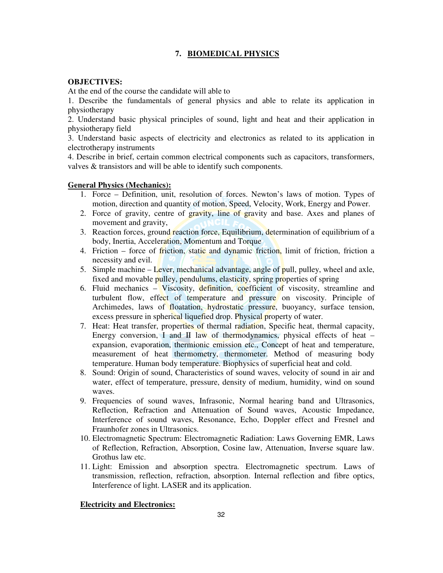#### **7. BIOMEDICAL PHYSICS**

#### **OBJECTIVES:**

At the end of the course the candidate will able to

1. Describe the fundamentals of general physics and able to relate its application in physiotherapy

2. Understand basic physical principles of sound, light and heat and their application in physiotherapy field

3. Understand basic aspects of electricity and electronics as related to its application in electrotherapy instruments

4. Describe in brief, certain common electrical components such as capacitors, transformers, valves & transistors and will be able to identify such components.

#### **General Physics (Mechanics):**

- 1. Force Definition, unit, resolution of forces. Newton's laws of motion. Types of motion, direction and quantity of motion, Speed, Velocity, Work, Energy and Power.
- 2. Force of gravity, centre of gravity, line of gravity and base. Axes and planes of movement and gravity,
- 3. Reaction forces, ground reaction force, Equilibrium, determination of equilibrium of a body, Inertia, Acceleration, Momentum and Torque
- 4. Friction force of friction, static and dynamic friction, limit of friction, friction a necessity and evil.
- 5. Simple machine  $-\text{Lever}$ , mechanical advantage, angle of pull, pulley, wheel and axle, fixed and movable pulley, pendulums, elasticity, spring properties of spring
- 6. Fluid mechanics Viscosity, definition, coefficient of viscosity, streamline and turbulent flow, effect of temperature and pressure on viscosity. Principle of Archimedes, laws of floatation, hydrostatic pressure, buoyancy, surface tension, excess pressure in spherical liquefied drop. Physical property of water.
- 7. Heat: Heat transfer, properties of thermal radiation, Specific heat, thermal capacity, Energy conversion, I and II law of thermodynamics, physical effects of heat  $$ expansion, evaporation, thermionic emission etc., Concept of heat and temperature, measurement of heat thermometry, thermometer. Method of measuring body temperature. Human body temperature. Biophysics of superficial heat and cold.
- 8. Sound: Origin of sound, Characteristics of sound waves, velocity of sound in air and water, effect of temperature, pressure, density of medium, humidity, wind on sound waves.
- 9. Frequencies of sound waves, Infrasonic, Normal hearing band and Ultrasonics, Reflection, Refraction and Attenuation of Sound waves, Acoustic Impedance, Interference of sound waves, Resonance, Echo, Doppler effect and Fresnel and Fraunhofer zones in Ultrasonics.
- 10. Electromagnetic Spectrum: Electromagnetic Radiation: Laws Governing EMR, Laws of Reflection, Refraction, Absorption, Cosine law, Attenuation, Inverse square law. Grothus law etc.
- 11. Light: Emission and absorption spectra. Electromagnetic spectrum. Laws of transmission, reflection, refraction, absorption. Internal reflection and fibre optics, Interference of light. LASER and its application.

#### **Electricity and Electronics:**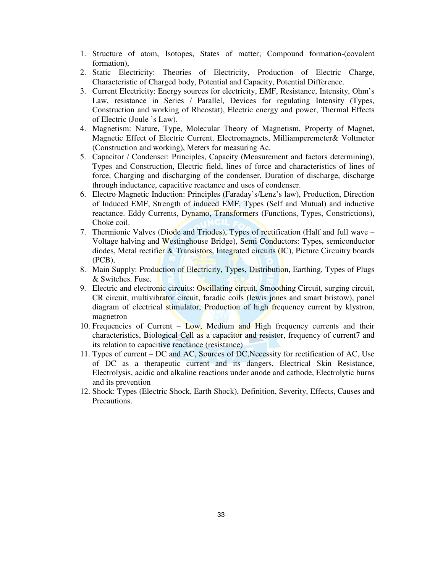- 1. Structure of atom, Isotopes, States of matter; Compound formation-(covalent formation),
- 2. Static Electricity: Theories of Electricity, Production of Electric Charge, Characteristic of Charged body, Potential and Capacity, Potential Difference.
- 3. Current Electricity: Energy sources for electricity, EMF, Resistance, Intensity, Ohm's Law, resistance in Series / Parallel, Devices for regulating Intensity (Types, Construction and working of Rheostat), Electric energy and power, Thermal Effects of Electric (Joule 's Law).
- 4. Magnetism: Nature, Type, Molecular Theory of Magnetism, Property of Magnet, Magnetic Effect of Electric Current, Electromagnets, Milliamperemeter& Voltmeter (Construction and working), Meters for measuring Ac.
- 5. Capacitor / Condenser: Principles, Capacity (Measurement and factors determining), Types and Construction, Electric field, lines of force and characteristics of lines of force, Charging and discharging of the condenser, Duration of discharge, discharge through inductance, capacitive reactance and uses of condenser.
- 6. Electro Magnetic Induction: Principles (Faraday's/Lenz's law), Production, Direction of Induced EMF, Strength of induced EMF, Types (Self and Mutual) and inductive reactance. Eddy Currents, Dynamo, Transformers (Functions, Types, Constrictions), Choke coil.
- 7. Thermionic Valves (Diode and Triodes), Types of rectification (Half and full wave Voltage halving and Westinghouse Bridge), Semi Conductors: Types, semiconductor diodes, Metal rectifier & Transistors, Integrated circuits (IC), Picture Circuitry boards (PCB),
- 8. Main Supply: Production of Electricity, Types, Distribution, Earthing, Types of Plugs & Switches. Fuse.
- 9. Electric and electronic circuits: Oscillating circuit, Smoothing Circuit, surging circuit, CR circuit, multivibrator circuit, faradic coils (lewis jones and smart bristow), panel diagram of electrical stimulator, Production of high frequency current by klystron, magnetron
- 10. Frequencies of Current Low, Medium and High frequency currents and their characteristics, Biological Cell as a capacitor and resistor, frequency of current7 and its relation to capacitive reactance (resistance)
- 11. Types of current DC and AC, Sources of DC,Necessity for rectification of AC, Use of DC as a therapeutic current and its dangers, Electrical Skin Resistance, Electrolysis, acidic and alkaline reactions under anode and cathode, Electrolytic burns and its prevention
- 12. Shock: Types (Electric Shock, Earth Shock), Definition, Severity, Effects, Causes and Precautions.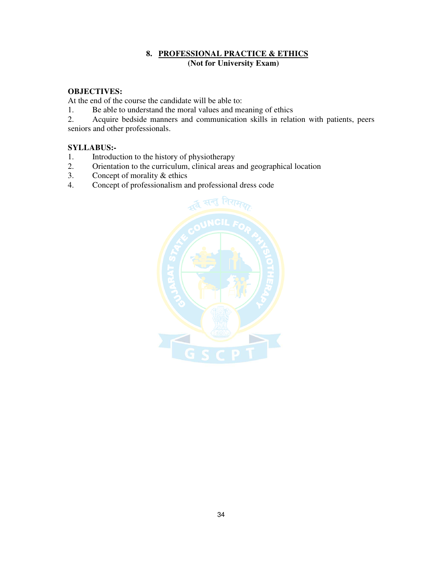#### **8. PROFESSIONAL PRACTICE & ETHICS (Not for University Exam)**

#### **OBJECTIVES:**

At the end of the course the candidate will be able to:

1. Be able to understand the moral values and meaning of ethics<br>2. Acquire bedside manners and communication skills in relat

2. Acquire bedside manners and communication skills in relation with patients, peers seniors and other professionals.

#### **SYLLABUS:-**

- 1. Introduction to the history of physiotherapy
- 2. Orientation to the curriculum, clinical areas and geographical location 3. Concept of morality  $\&$  ethics
- 3. Concept of morality  $&$  ethics 4. Concept of professionalism and
- 4. Concept of professionalism and professional dress code

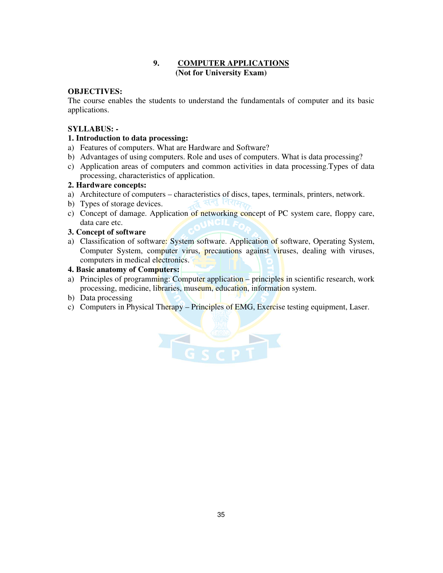#### **9. COMPUTER APPLICATIONS (Not for University Exam)**

#### **OBJECTIVES:**

The course enables the students to understand the fundamentals of computer and its basic applications.

#### **SYLLABUS: -**

#### **1. Introduction to data processing:**

- a) Features of computers. What are Hardware and Software?
- b) Advantages of using computers. Role and uses of computers. What is data processing?
- c) Application areas of computers and common activities in data processing.Types of data processing, characteristics of application.

#### **2. Hardware concepts:**

- a) Architecture of computers characteristics of discs, tapes, terminals, printers, network.
- b) Types of storage devices.
- c) Concept of damage. Application of networking concept of PC system care, floppy care, data care etc.

### **3. Concept of software**

a) Classification of software: System software. Application of software, Operating System, Computer System, computer virus, precautions against viruses, dealing with viruses, computers in medical electronics.

#### **4. Basic anatomy of Computers:**

- a) Principles of programming: Computer application principles in scientific research, work processing, medicine, libraries, museum, education, information system.
- b) Data processing
- c) Computers in Physical Therapy Principles of EMG, Exercise testing equipment, Laser.

A G S C P T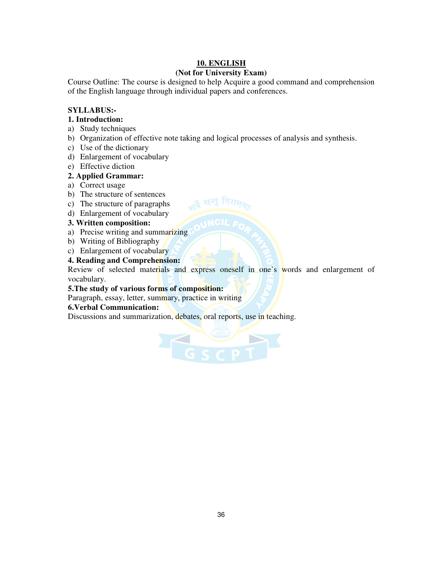# **10. ENGLISH**

# **(Not for University Exam)**

Course Outline: The course is designed to help Acquire a good command and comprehension of the English language through individual papers and conferences.

#### **SYLLABUS:-**

#### **1. Introduction:**

- a) Study techniques
- b) Organization of effective note taking and logical processes of analysis and synthesis.

ुद्ध सन्तु निराम

- c) Use of the dictionary
- d) Enlargement of vocabulary
- e) Effective diction

#### **2. Applied Grammar:**

- a) Correct usage
- b) The structure of sentences
- c) The structure of paragraphs
- d) Enlargement of vocabulary

#### **3. Written composition:**

- a) Precise writing and summarizing
- b) Writing of Bibliography
- c) Enlargement of vocabulary

#### **4. Reading and Comprehension:**

Review of selected materials and express oneself in one's words and enlargement of vocabulary.

#### **5.The study of various forms of composition:**

Paragraph, essay, letter, summary, practice in writing

#### **6.Verbal Communication:**

Discussions and summarization, debates, oral reports, use in teaching.

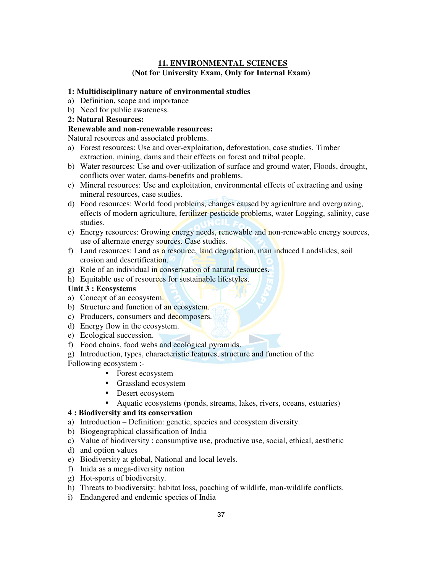# **11. ENVIRONMENTAL SCIENCES (Not for University Exam, Only for Internal Exam)**

## **1: Multidisciplinary nature of environmental studies**

- a) Definition, scope and importance
- b) Need for public awareness.
- **2: Natural Resources:**

## **Renewable and non-renewable resources:**

Natural resources and associated problems.

- a) Forest resources: Use and over-exploitation, deforestation, case studies. Timber extraction, mining, dams and their effects on forest and tribal people.
- b) Water resources: Use and over-utilization of surface and ground water, Floods, drought, conflicts over water, dams-benefits and problems.
- c) Mineral resources: Use and exploitation, environmental effects of extracting and using mineral resources, case studies.
- d) Food resources: World food problems, changes caused by agriculture and overgrazing, effects of modern agriculture, fertilizer-pesticide problems, water Logging, salinity, case studies.
- e) Energy resources: Growing energy needs, renewable and non-renewable energy sources, use of alternate energy sources. Case studies.
- f) Land resources: Land as a resource, land degradation, man induced Landslides, soil erosion and desertification.
- g) Role of an individual in conservation of natural resources.
- h) Equitable use of resources for sustainable lifestyles.

## **Unit 3 : Ecosystems**

- a) Concept of an ecosystem.
- b) Structure and function of an ecosystem.
- c) Producers, consumers and decomposers.
- d) Energy flow in the ecosystem.
- e) Ecological succession.
- f) Food chains, food webs and ecological pyramids.
- g) Introduction, types, characteristic features, structure and function of the

Following ecosystem :-

- Forest ecosystem
- Grassland ecosystem
- Desert ecosystem
- Aquatic ecosystems (ponds, streams, lakes, rivers, oceans, estuaries)

## **4 : Biodiversity and its conservation**

- a) Introduction Definition: genetic, species and ecosystem diversity.
- b) Biogeographical classification of India
- c) Value of biodiversity : consumptive use, productive use, social, ethical, aesthetic
- d) and option values
- e) Biodiversity at global, National and local levels.
- f) Inida as a mega-diversity nation
- g) Hot-sports of biodiversity.
- h) Threats to biodiversity: habitat loss, poaching of wildlife, man-wildlife conflicts.
- i) Endangered and endemic species of India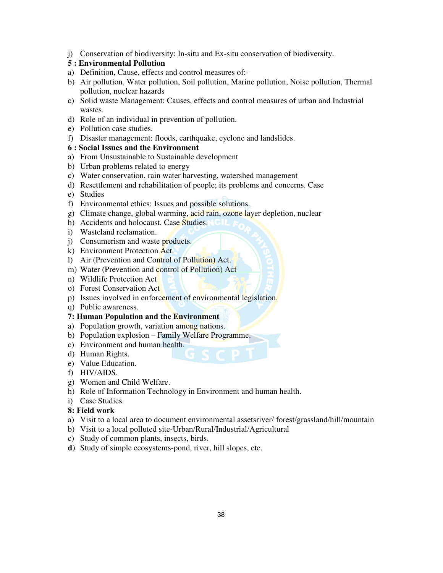j) Conservation of biodiversity: In-situ and Ex-situ conservation of biodiversity.

## **5 : Environmental Pollution**

- a) Definition, Cause, effects and control measures of:-
- b) Air pollution, Water pollution, Soil pollution, Marine pollution, Noise pollution, Thermal pollution, nuclear hazards
- c) Solid waste Management: Causes, effects and control measures of urban and Industrial wastes.
- d) Role of an individual in prevention of pollution.
- e) Pollution case studies.
- f) Disaster management: floods, earthquake, cyclone and landslides.

### **6 : Social Issues and the Environment**

- a) From Unsustainable to Sustainable development
- b) Urban problems related to energy
- c) Water conservation, rain water harvesting, watershed management
- d) Resettlement and rehabilitation of people; its problems and concerns. Case
- e) Studies
- f) Environmental ethics: Issues and possible solutions.
- g) Climate change, global warming, acid rain, ozone layer depletion, nuclear
- h) Accidents and holocaust. Case Studies.
- i) Wasteland reclamation.
- j) Consumerism and waste products.
- k) Environment Protection Act.
- l) Air (Prevention and Control of Pollution) Act.
- m) Water (Prevention and control of Pollution) Act
- n) Wildlife Protection Act
- o) Forest Conservation Act
- p) Issues involved in enforcement of environmental legislation.
- q) Public awareness.

#### **7: Human Population and the Environment**

- a) Population growth, variation among nations.
- b) Population explosion Family Welfare Programme.
- c) Environment and human health.
- d) Human Rights.
- e) Value Education.
- f) HIV/AIDS.
- g) Women and Child Welfare.
- h) Role of Information Technology in Environment and human health.
- i) Case Studies.

#### **8: Field work**

- a) Visit to a local area to document environmental assetsriver/ forest/grassland/hill/mountain
- b) Visit to a local polluted site-Urban/Rural/Industrial/Agricultural
- c) Study of common plants, insects, birds.
- **d)** Study of simple ecosystems-pond, river, hill slopes, etc.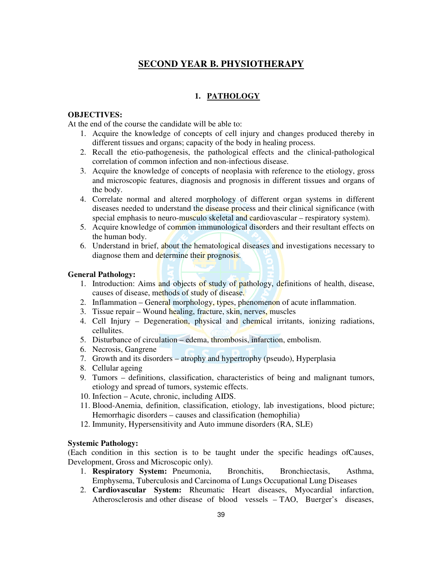# **SECOND YEAR B. PHYSIOTHERAPY**

## **1. PATHOLOGY**

#### **OBJECTIVES:**

At the end of the course the candidate will be able to:

- 1. Acquire the knowledge of concepts of cell injury and changes produced thereby in different tissues and organs; capacity of the body in healing process.
- 2. Recall the etio-pathogenesis, the pathological effects and the clinical-pathological correlation of common infection and non-infectious disease.
- 3. Acquire the knowledge of concepts of neoplasia with reference to the etiology, gross and microscopic features, diagnosis and prognosis in different tissues and organs of the body.
- 4. Correlate normal and altered morphology of different organ systems in different diseases needed to understand the disease process and their clinical significance (with special emphasis to neuro-musculo skeletal and cardiovascular – respiratory system).
- 5. Acquire knowledge of common immunological disorders and their resultant effects on the human body.
- 6. Understand in brief, about the hematological diseases and investigations necessary to diagnose them and determine their prognosis.

#### **General Pathology:**

- 1. Introduction: Aims and objects of study of pathology, definitions of health, disease, causes of disease, methods of study of disease.
- 2. Inflammation General morphology, types, phenomenon of acute inflammation.
- 3. Tissue repair Wound healing, fracture, skin, nerves, muscles
- 4. Cell Injury Degeneration, physical and chemical irritants, ionizing radiations, cellulites.
- 5. Disturbance of circulation edema, thrombosis, infarction, embolism.
- 6. Necrosis, Gangrene
- 7. Growth and its disorders atrophy and hypertrophy (pseudo), Hyperplasia
- 8. Cellular ageing
- 9. Tumors definitions, classification, characteristics of being and malignant tumors, etiology and spread of tumors, systemic effects.
- 10. Infection Acute, chronic, including AIDS.
- 11. Blood-Anemia, definition, classification, etiology, lab investigations, blood picture; Hemorrhagic disorders – causes and classification (hemophilia)
- 12. Immunity, Hypersensitivity and Auto immune disorders (RA, SLE)

#### **Systemic Pathology:**

(Each condition in this section is to be taught under the specific headings ofCauses, Development, Gross and Microscopic only).

- 1. **Respiratory System:** Pneumonia, Bronchitis, Bronchiectasis, Asthma, Emphysema, Tuberculosis and Carcinoma of Lungs Occupational Lung Diseases
- 2. **Cardiovascular System:** Rheumatic Heart diseases, Myocardial infarction, Atherosclerosis and other disease of blood vessels – TAO, Buerger's diseases,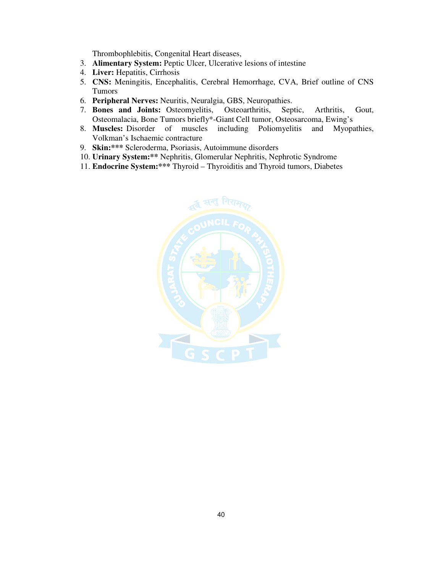Thrombophlebitis, Congenital Heart diseases,

- 3. **Alimentary System:** Peptic Ulcer, Ulcerative lesions of intestine
- 4. **Liver:** Hepatitis, Cirrhosis
- 5. **CNS:** Meningitis, Encephalitis, Cerebral Hemorrhage, CVA, Brief outline of CNS Tumors
- 6. **Peripheral Nerves:** Neuritis, Neuralgia, GBS, Neuropathies.
- 7. **Bones and Joints:** Osteomyelitis, Osteoarthritis, Septic, Arthritis, Gout, Osteomalacia, Bone Tumors briefly\*-Giant Cell tumor, Osteosarcoma, Ewing's
- 8. **Muscles:** Disorder of muscles including Poliomyelitis and Myopathies, Volkman's Ischaemic contracture
- 9. **Skin:\*\*\*** Scleroderma, Psoriasis, Autoimmune disorders
- 10. **Urinary System:\*\*** Nephritis, Glomerular Nephritis, Nephrotic Syndrome
- 11. **Endocrine System:\*\*\*** Thyroid Thyroiditis and Thyroid tumors, Diabetes

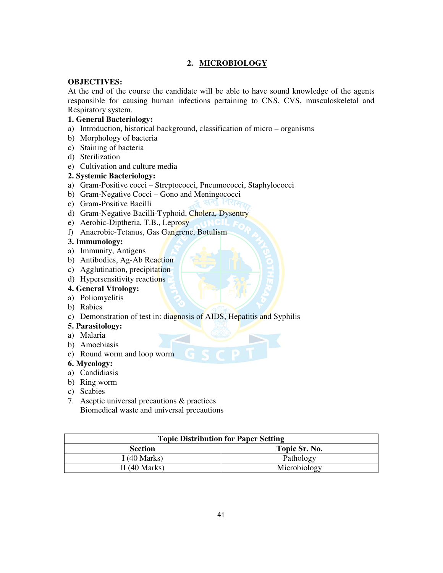## **2. MICROBIOLOGY**

## **OBJECTIVES:**

At the end of the course the candidate will be able to have sound knowledge of the agents responsible for causing human infections pertaining to CNS, CVS, musculoskeletal and Respiratory system.

## **1. General Bacteriology:**

- a) Introduction, historical background, classification of micro organisms
- b) Morphology of bacteria
- c) Staining of bacteria
- d) Sterilization
- e) Cultivation and culture media

#### **2. Systemic Bacteriology:**

- a) Gram-Positive cocci Streptococci, Pneumococci, Staphylococci
- b) Gram-Negative Cocci Gono and Meningococci<br>
c) Gram-Positive Bacilli
- c) Gram-Positive Bacilli
- d) Gram-Negative Bacilli-Typhoid, Cholera, Dysentry
- e) Aerobic-Diptheria, T.B., Leprosy
- f) Anaerobic-Tetanus, Gas Gangrene, Botulism

#### **3. Immunology:**

- a) Immunity, Antigens
- b) Antibodies, Ag-Ab Reaction
- c) Agglutination, precipitation
- d) Hypersensitivity reactions

# **4. General Virology:**

- a) Poliomyelitis
- b) Rabies
- c) Demonstration of test in: diagnosis of AIDS, Hepatitis and Syphilis

## **5. Parasitology:**

- a) Malaria
- b) Amoebiasis
- c) Round worm and loop worm

## **6. Mycology:**

- a) Candidiasis
- b) Ring worm
- c) Scabies
- 7. Aseptic universal precautions & practices Biomedical waste and universal precautions

| <b>Topic Distribution for Paper Setting</b> |               |
|---------------------------------------------|---------------|
| <b>Section</b>                              | Topic Sr. No. |
| I (40 Marks)                                | Pathology     |
| II $(40$ Marks)                             | Microbiology  |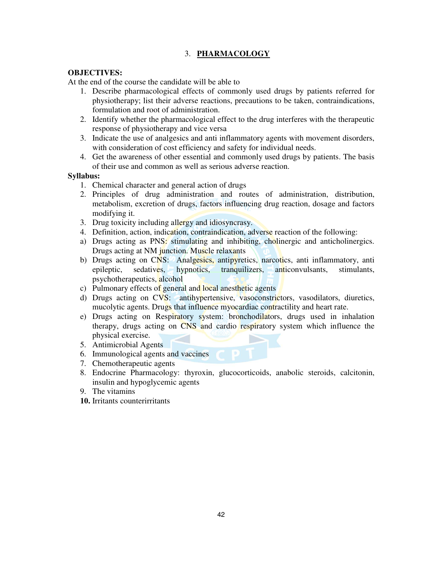# 3. **PHARMACOLOGY**

### **OBJECTIVES:**

At the end of the course the candidate will be able to

- 1. Describe pharmacological effects of commonly used drugs by patients referred for physiotherapy; list their adverse reactions, precautions to be taken, contraindications, formulation and root of administration.
- 2. Identify whether the pharmacological effect to the drug interferes with the therapeutic response of physiotherapy and vice versa
- 3. Indicate the use of analgesics and anti inflammatory agents with movement disorders, with consideration of cost efficiency and safety for individual needs.
- 4. Get the awareness of other essential and commonly used drugs by patients. The basis of their use and common as well as serious adverse reaction.

#### **Syllabus:**

- 1. Chemical character and general action of drugs
- 2. Principles of drug administration and routes of administration, distribution, metabolism, excretion of drugs, factors influencing drug reaction, dosage and factors modifying it.
- 3. Drug toxicity including allergy and idiosyncrasy.
- 4. Definition, action, indication, contraindication, adverse reaction of the following:
- a) Drugs acting as PNS: stimulating and inhibiting, cholinergic and anticholinergics. Drugs acting at NM junction. Muscle relaxants
- b) Drugs acting on CNS: Analgesics, antipyretics, narcotics, anti-inflammatory, antiepileptic, sedatives, hypnotics, tranquilizers, anticonvulsants, stimulants, psychotherapeutics, alcohol
- c) Pulmonary effects of general and local anesthetic agents
- d) Drugs acting on CVS: antihypertensive, vasoconstrictors, vasodilators, diuretics, mucolytic agents. Drugs that influence myocardiac contractility and heart rate.
- e) Drugs acting on Respiratory system: bronchodilators, drugs used in inhalation therapy, drugs acting on CNS and cardio respiratory system which influence the physical exercise.
- 5. Antimicrobial Agents
- 6. Immunological agents and vaccines
- 7. Chemotherapeutic agents
- 8. Endocrine Pharmacology: thyroxin, glucocorticoids, anabolic steroids, calcitonin, insulin and hypoglycemic agents
- 9. The vitamins
- **10.** Irritants counterirritants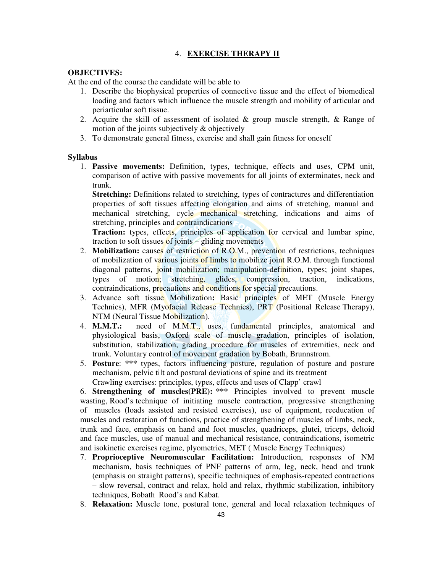## 4. **EXERCISE THERAPY II**

#### **OBJECTIVES:**

At the end of the course the candidate will be able to

- 1. Describe the biophysical properties of connective tissue and the effect of biomedical loading and factors which influence the muscle strength and mobility of articular and periarticular soft tissue.
- 2. Acquire the skill of assessment of isolated & group muscle strength, & Range of motion of the joints subjectively & objectively
- 3. To demonstrate general fitness, exercise and shall gain fitness for oneself

#### **Syllabus**

1. **Passive movements:** Definition, types, technique, effects and uses, CPM unit, comparison of active with passive movements for all joints of exterminates, neck and trunk.

**Stretching:** Definitions related to stretching, types of contractures and differentiation properties of soft tissues affecting elongation and aims of stretching, manual and mechanical stretching, cycle mechanical stretching, indications and aims of stretching, principles and contraindications

**Traction:** types, effects, principles of application for cervical and lumbar spine, traction to soft tissues of joints – gliding movements

- 2. **Mobilization:** causes of restriction of R.O.M., prevention of restrictions, techniques of mobilization of various joints of limbs to mobilize joint R.O.M. through functional diagonal patterns, joint mobilization; manipulation-definition, types; joint shapes, types of motion; stretching, glides, compression, traction, indications, contraindications, precautions and conditions for special precautions.
- 3. Advance soft tissue Mobilization**:** Basic principles of MET (Muscle Energy Technics), MFR (Myofacial Release Technics), PRT (Positional Release Therapy), NTM (Neural Tissue Mobilization).
- 4. **M.M.T.:** need of M.M.T., uses, fundamental principles, anatomical and physiological basis, Oxford scale of muscle gradation, principles of isolation, substitution, stabilization, grading procedure for muscles of extremities, neck and trunk. Voluntary control of movement gradation by Bobath, Brunnstrom.
- 5. **Posture**: **\*\*\*** types, factors influencing posture, regulation of posture and posture mechanism, pelvic tilt and postural deviations of spine and its treatment Crawling exercises: principles, types, effects and uses of Clapp' crawl

6. **Strengthening of muscles(PRE): \*\*\*** Principles involved to prevent muscle wasting, Rood's technique of initiating muscle contraction, progressive strengthening of muscles (loads assisted and resisted exercises), use of equipment, reeducation of muscles and restoration of functions, practice of strengthening of muscles of limbs, neck, trunk and face, emphasis on hand and foot muscles, quadriceps, glutei, triceps, deltoid and face muscles, use of manual and mechanical resistance, contraindications, isometric and isokinetic exercises regime, plyometrics, MET ( Muscle Energy Techniques)

- 7. **Proprioceptive Neuromuscular Facilitation:** Introduction, responses of NM mechanism, basis techniques of PNF patterns of arm, leg, neck, head and trunk (emphasis on straight patterns), specific techniques of emphasis-repeated contractions – slow reversal, contract and relax, hold and relax, rhythmic stabilization, inhibitory techniques, Bobath Rood's and Kabat.
- 8. **Relaxation:** Muscle tone, postural tone, general and local relaxation techniques of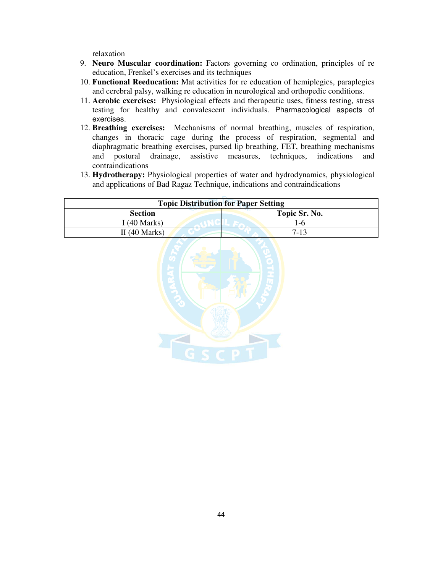relaxation

- 9. **Neuro Muscular coordination:** Factors governing co ordination, principles of re education, Frenkel's exercises and its techniques
- 10. **Functional Reeducation:** Mat activities for re education of hemiplegics, paraplegics and cerebral palsy, walking re education in neurological and orthopedic conditions.
- 11. **Aerobic exercises:** Physiological effects and therapeutic uses, fitness testing, stress testing for healthy and convalescent individuals. Pharmacological aspects of exercises.
- 12. **Breathing exercises:** Mechanisms of normal breathing, muscles of respiration, changes in thoracic cage during the process of respiration, segmental and diaphragmatic breathing exercises, pursed lip breathing, FET, breathing mechanisms and postural drainage, assistive measures, techniques, indications and contraindications
- 13. **Hydrotherapy:** Physiological properties of water and hydrodynamics, physiological and applications of Bad Ragaz Technique, indications and contraindications

| <b>Topic Distribution for Paper Setting</b> |               |
|---------------------------------------------|---------------|
| <b>Section</b>                              | Topic Sr. No. |
| I (40 Marks)                                | $1-6$         |
| II $(40$ Marks)                             | $7-13$        |
|                                             |               |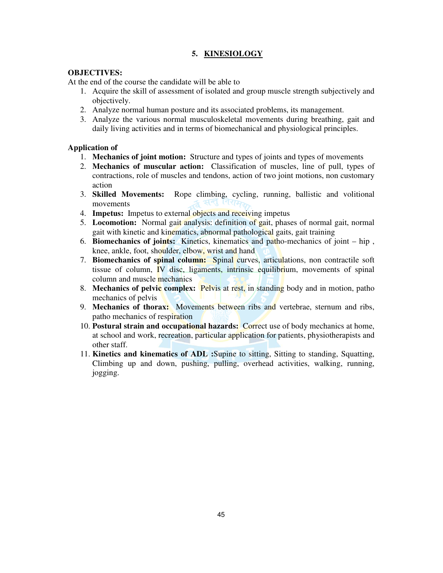# **5. KINESIOLOGY**

#### **OBJECTIVES:**

At the end of the course the candidate will be able to

- 1. Acquire the skill of assessment of isolated and group muscle strength subjectively and objectively.
- 2. Analyze normal human posture and its associated problems, its management.
- 3. Analyze the various normal musculoskeletal movements during breathing, gait and daily living activities and in terms of biomechanical and physiological principles.

## **Application of**

- 1. **Mechanics of joint motion:** Structure and types of joints and types of movements
- 2. **Mechanics of muscular action:** Classification of muscles, line of pull, types of contractions, role of muscles and tendons, action of two joint motions, non customary action
- 3. **Skilled Movements:** Rope climbing, cycling, running, ballistic and volitional movements
- 4. **Impetus:** Impetus to external objects and receiving impetus
- 5. **Locomotion:** Normal gait analysis: definition of gait, phases of normal gait, normal gait with kinetic and kinematics, abnormal pathological gaits, gait training
- 6. **Biomechanics of joints:** Kinetics, kinematics and patho-mechanics of joint hip , knee, ankle, foot, shoulder, elbow, wrist and hand
- 7. **Biomechanics of spinal column:** Spinal curves, articulations, non contractile soft tissue of column, IV disc, ligaments, intrinsic equilibrium, movements of spinal column and muscle mechanics
- 8. **Mechanics of pelvic complex:** Pelvis at rest, in standing body and in motion, patho mechanics of pelvis
- 9. **Mechanics of thorax:** Movements between ribs and vertebrae, sternum and ribs, patho mechanics of respiration
- 10. **Postural strain and occupational hazards:** Correct use of body mechanics at home, at school and work, recreation, particular application for patients, physiotherapists and other staff.
- 11. **Kinetics and kinematics of ADL :**Supine to sitting, Sitting to standing, Squatting, Climbing up and down, pushing, pulling, overhead activities, walking, running, jogging.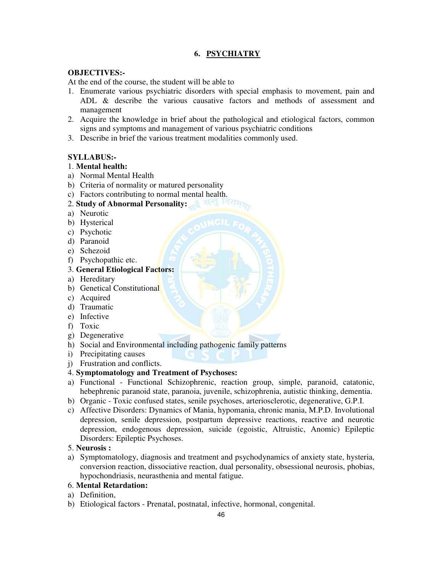# **6. PSYCHIATRY**

#### **OBJECTIVES:-**

At the end of the course, the student will be able to

- 1. Enumerate various psychiatric disorders with special emphasis to movement, pain and ADL & describe the various causative factors and methods of assessment and management
- 2. Acquire the knowledge in brief about the pathological and etiological factors, common signs and symptoms and management of various psychiatric conditions
- 3. Describe in brief the various treatment modalities commonly used.

## **SYLLABUS:-**

## 1. **Mental health:**

- a) Normal Mental Health
- b) Criteria of normality or matured personality
- c) Factors contributing to normal mental health.
- 2. **Study of Abnormal Personality:**
- a) Neurotic
- b) Hysterical
- c) Psychotic
- d) Paranoid
- e) Schezoid
- f) Psychopathic etc.
- 3. **General Etiological Factors:**
- a) Hereditary
- b) Genetical Constitutional
- c) Acquired
- d) Traumatic
- e) Infective
- f) Toxic
- g) Degenerative
- h) Social and Environmental including pathogenic family patterns
- i) Precipitating causes
- j) Frustration and conflicts.
- 4. **Symptomatology and Treatment of Psychoses:**
- a) Functional Functional Schizophrenic, reaction group, simple, paranoid, catatonic, hebephrenic paranoid state, paranoia, juvenile, schizophrenia, autistic thinking, dementia.
- b) Organic Toxic confused states, senile psychoses, arteriosclerotic, degenerative, G.P.I.
- c) Affective Disorders: Dynamics of Mania, hypomania, chronic mania, M.P.D. Involutional depression, senile depression, postpartum depressive reactions, reactive and neurotic depression, endogenous depression, suicide (egoistic, Altruistic, Anomic) Epileptic Disorders: Epileptic Psychoses.

## 5. **Neurosis :**

a) Symptomatology, diagnosis and treatment and psychodynamics of anxiety state, hysteria, conversion reaction, dissociative reaction, dual personality, obsessional neurosis, phobias, hypochondriasis, neurasthenia and mental fatigue.

#### 6. **Mental Retardation:**

- a) Definition,
- b) Etiological factors Prenatal, postnatal, infective, hormonal, congenital.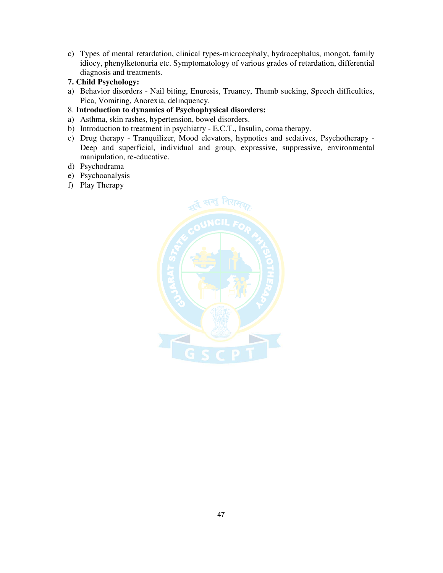- c) Types of mental retardation, clinical types-microcephaly, hydrocephalus, mongot, family idiocy, phenylketonuria etc. Symptomatology of various grades of retardation, differential diagnosis and treatments.
- **7. Child Psychology:**
- a) Behavior disorders Nail biting, Enuresis, Truancy, Thumb sucking, Speech difficulties, Pica, Vomiting, Anorexia, delinquency.
- 8. **Introduction to dynamics of Psychophysical disorders:**
- a) Asthma, skin rashes, hypertension, bowel disorders.
- b) Introduction to treatment in psychiatry E.C.T., Insulin, coma therapy.
- c) Drug therapy Tranquilizer, Mood elevators, hypnotics and sedatives, Psychotherapy Deep and superficial, individual and group, expressive, suppressive, environmental manipulation, re-educative.
- d) Psychodrama
- e) Psychoanalysis
- f) Play Therapy

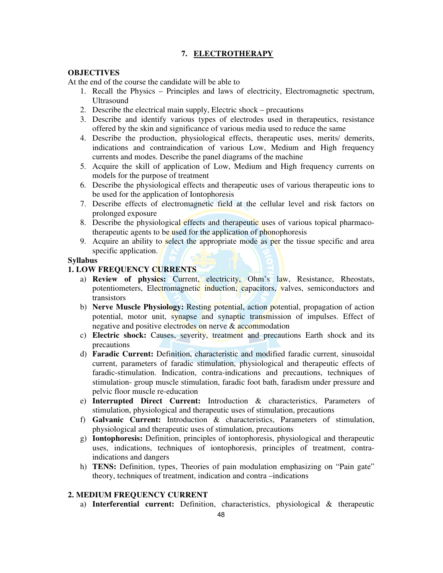# **7. ELECTROTHERAPY**

### **OBJECTIVES**

At the end of the course the candidate will be able to

- 1. Recall the Physics Principles and laws of electricity, Electromagnetic spectrum, Ultrasound
- 2. Describe the electrical main supply, Electric shock precautions
- 3. Describe and identify various types of electrodes used in therapeutics, resistance offered by the skin and significance of various media used to reduce the same
- 4. Describe the production, physiological effects, therapeutic uses, merits/ demerits, indications and contraindication of various Low, Medium and High frequency currents and modes. Describe the panel diagrams of the machine
- 5. Acquire the skill of application of Low, Medium and High frequency currents on models for the purpose of treatment
- 6. Describe the physiological effects and therapeutic uses of various therapeutic ions to be used for the application of Iontophoresis
- 7. Describe effects of electromagnetic field at the cellular level and risk factors on prolonged exposure
- 8. Describe the physiological effects and therapeutic uses of various topical pharmacotherapeutic agents to be used for the application of phonophoresis
- 9. Acquire an ability to select the appropriate mode as per the tissue specific and area specific application.

#### **Syllabus**

#### **1. LOW FREQUENCY CURRENTS**

- a) **Review of physics:** Current, electricity, Ohm's law, Resistance, Rheostats, potentiometers, Electromagnetic induction, capacitors, valves, semiconductors and transistors
- b) **Nerve Muscle Physiology:** Resting potential, action potential, propagation of action potential, motor unit, synapse and synaptic transmission of impulses. Effect of negative and positive electrodes on nerve & accommodation
- c) **Electric shock:** Causes, severity, treatment and precautions Earth shock and its precautions
- d) **Faradic Current:** Definition, characteristic and modified faradic current, sinusoidal current, parameters of faradic stimulation, physiological and therapeutic effects of faradic-stimulation. Indication, contra-indications and precautions, techniques of stimulation- group muscle stimulation, faradic foot bath, faradism under pressure and pelvic floor muscle re-education
- e) **Interrupted Direct Current:** Introduction & characteristics, Parameters of stimulation, physiological and therapeutic uses of stimulation, precautions
- f) **Galvanic Current:** Introduction & characteristics, Parameters of stimulation, physiological and therapeutic uses of stimulation, precautions
- g) **Iontophoresis:** Definition, principles of iontophoresis, physiological and therapeutic uses, indications, techniques of iontophoresis, principles of treatment, contraindications and dangers
- h) **TENS:** Definition, types, Theories of pain modulation emphasizing on "Pain gate" theory, techniques of treatment, indication and contra –indications

#### **2. MEDIUM FREQUENCY CURRENT**

a) **Interferential current:** Definition, characteristics, physiological & therapeutic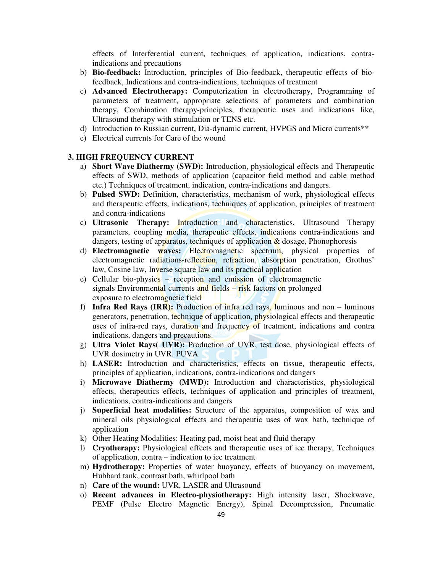effects of Interferential current, techniques of application, indications, contraindications and precautions

- b) **Bio-feedback:** Introduction, principles of Bio-feedback, therapeutic effects of biofeedback, Indications and contra-indications, techniques of treatment
- c) **Advanced Electrotherapy:** Computerization in electrotherapy, Programming of parameters of treatment, appropriate selections of parameters and combination therapy, Combination therapy-principles, therapeutic uses and indications like, Ultrasound therapy with stimulation or TENS etc.
- d) Introduction to Russian current, Dia-dynamic current, HVPGS and Micro currents**\*\***
- e) Electrical currents for Care of the wound

#### **3. HIGH FREQUENCY CURRENT**

- a) **Short Wave Diathermy (SWD):** Introduction, physiological effects and Therapeutic effects of SWD, methods of application (capacitor field method and cable method etc.) Techniques of treatment, indication, contra-indications and dangers.
- b) **Pulsed SWD:** Definition, characteristics, mechanism of work, physiological effects and therapeutic effects, indications, techniques of application, principles of treatment and contra-indications
- c) **Ultrasonic Therapy:** Introduction and characteristics, Ultrasound Therapy parameters, coupling media, therapeutic effects, indications contra-indications and dangers, testing of apparatus, techniques of application  $\&$  dosage, Phonophoresis
- d) **Electromagnetic waves:** Electromagnetic spectrum, physical properties of electromagnetic radiations-reflection, refraction, absorption penetration, Grothus' law, Cosine law, Inverse square law and its practical application
- e) Cellular bio-physics reception and emission of electromagnetic signals Environmental currents and fields – risk factors on prolonged exposure to electromagnetic field
- f) **Infra Red Rays (IRR):** Production of infra red rays, luminous and non luminous generators, penetration, technique of application, physiological effects and therapeutic uses of infra-red rays, duration and frequency of treatment, indications and contra indications, dangers and precautions.
- g) **Ultra Violet Rays( UVR):** Production of UVR, test dose, physiological effects of UVR dosimetry in UVR. PUVA
- h) **LASER:** Introduction and characteristics, effects on tissue, therapeutic effects, principles of application, indications, contra-indications and dangers
- i) **Microwave Diathermy (MWD):** Introduction and characteristics, physiological effects, therapeutics effects, techniques of application and principles of treatment, indications, contra-indications and dangers
- j) **Superficial heat modalities:** Structure of the apparatus, composition of wax and mineral oils physiological effects and therapeutic uses of wax bath, technique of application
- k) Other Heating Modalities: Heating pad, moist heat and fluid therapy
- l) **Cryotherapy:** Physiological effects and therapeutic uses of ice therapy, Techniques of application, contra – indication to ice treatment
- m) **Hydrotherapy:** Properties of water buoyancy, effects of buoyancy on movement, Hubbard tank, contrast bath, whirlpool bath
- n) **Care of the wound:** UVR, LASER and Ultrasound
- o) **Recent advances in Electro-physiotherapy:** High intensity laser, Shockwave, PEMF (Pulse Electro Magnetic Energy), Spinal Decompression, Pneumatic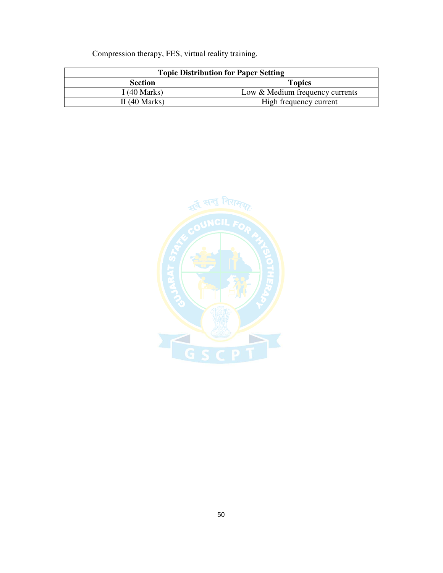Compression therapy, FES, virtual reality training.

| <b>Topic Distribution for Paper Setting</b> |                                 |
|---------------------------------------------|---------------------------------|
| <b>Section</b>                              | <b>Topics</b>                   |
| I (40 Marks)                                | Low & Medium frequency currents |
| II $(40$ Marks)                             | High frequency current          |

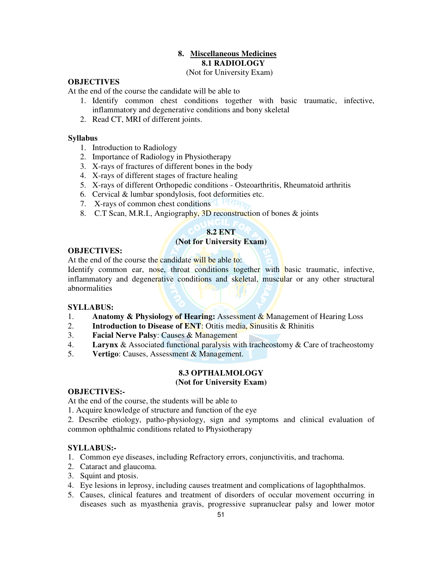# **8. Miscellaneous Medicines 8.1 RADIOLOGY**

(Not for University Exam)

# **OBJECTIVES**

At the end of the course the candidate will be able to

- 1. Identify common chest conditions together with basic traumatic, infective, inflammatory and degenerative conditions and bony skeletal
- 2. Read CT, MRI of different joints.

## **Syllabus**

- 1. Introduction to Radiology
- 2. Importance of Radiology in Physiotherapy
- 3. X-rays of fractures of different bones in the body
- 4. X-rays of different stages of fracture healing
- 5. X-rays of different Orthopedic conditions Osteoarthritis, Rheumatoid arthritis
- 6. Cervical & lumbar spondylosis, foot deformities etc.
- 7. X-rays of common chest conditions
- 8. C.T Scan, M.R.I., Angiography, 3D reconstruction of bones & joints

# **8.2 ENT**

## **(Not for University Exam)**

## **OBJECTIVES:**

At the end of the course the candidate will be able to:

Identify common ear, nose, throat conditions together with basic traumatic, infective, inflammatory and degenerative conditions and skeletal, muscular or any other structural abnormalities

## **SYLLABUS:**

- 1. **Anatomy & Physiology of Hearing:** Assessment & Management of Hearing Loss
- 2. **Introduction to Disease of ENT**: Otitis media, Sinusitis & Rhinitis
- 3. **Facial Nerve Palsy**: Causes & Management
- 4. **Larynx** & Associated functional paralysis with tracheostomy & Care of tracheostomy
- 5. **Vertigo**: Causes, Assessment & Management.

# **8.3 OPTHALMOLOGY**

## **(Not for University Exam)**

## **OBJECTIVES:-**

At the end of the course, the students will be able to

1. Acquire knowledge of structure and function of the eye

2. Describe etiology, patho-physiology, sign and symptoms and clinical evaluation of common ophthalmic conditions related to Physiotherapy

## **SYLLABUS:-**

- 1. Common eye diseases, including Refractory errors, conjunctivitis, and trachoma.
- 2. Cataract and glaucoma.
- 3. Squint and ptosis.
- 4. Eye lesions in leprosy, including causes treatment and complications of lagophthalmos.
- 5. Causes, clinical features and treatment of disorders of occular movement occurring in diseases such as myasthenia gravis, progressive supranuclear palsy and lower motor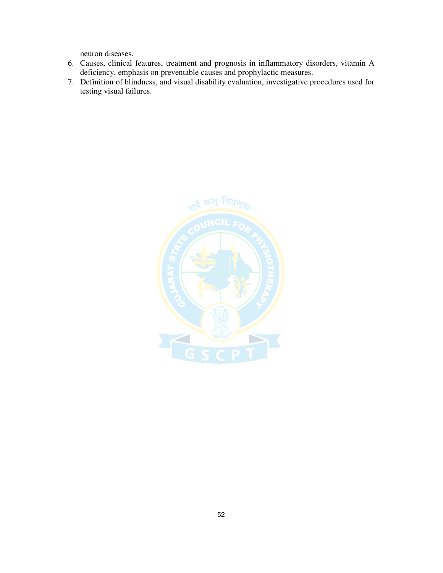neuron diseases.

- 6. Causes, clinical features, treatment and prognosis in inflammatory disorders, vitamin A deficiency, emphasis on preventable causes and prophylactic measures.
- 7. Definition of blindness, and visual disability evaluation, investigative procedures used for testing visual failures.

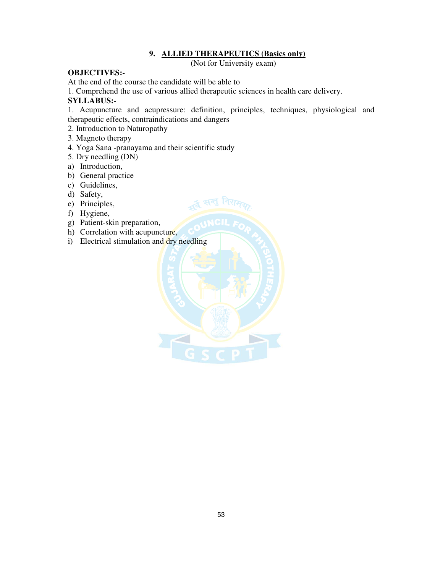## **9. ALLIED THERAPEUTICS (Basics only)**

(Not for University exam)

# **OBJECTIVES:-**

At the end of the course the candidate will be able to

1. Comprehend the use of various allied therapeutic sciences in health care delivery.

 $\overline{A}$  सन्तु

# **SYLLABUS:-**

1. Acupuncture and acupressure: definition, principles, techniques, physiological and therapeutic effects, contraindications and dangers

- 2. Introduction to Naturopathy
- 3. Magneto therapy
- 4. Yoga Sana -pranayama and their scientific study
- 5. Dry needling (DN)
- a) Introduction,
- b) General practice
- c) Guidelines,
- d) Safety,
- e) Principles,
- f) Hygiene,
- g) Patient-skin preparation,
- h) Correlation with acupuncture,
- i) Electrical stimulation and dry needling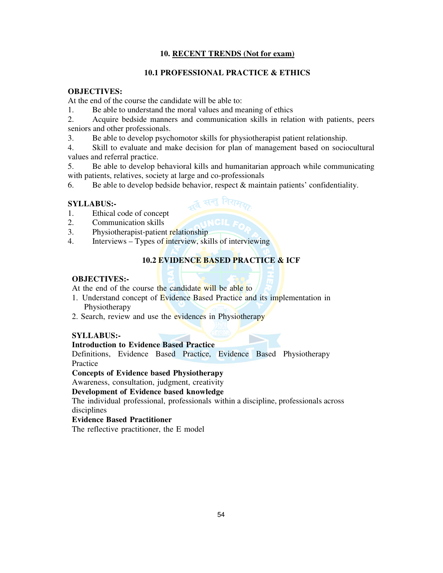#### **10. RECENT TRENDS (Not for exam)**

#### **10.1 PROFESSIONAL PRACTICE & ETHICS**

## **OBJECTIVES:**

At the end of the course the candidate will be able to:

1. Be able to understand the moral values and meaning of ethics

2. Acquire bedside manners and communication skills in relation with patients, peers seniors and other professionals.

- 3. Be able to develop psychomotor skills for physiotherapist patient relationship.
- 4. Skill to evaluate and make decision for plan of management based on sociocultural values and referral practice.
- 5. Be able to develop behavioral kills and humanitarian approach while communicating with patients, relatives, society at large and co-professionals
- 6. Be able to develop bedside behavior, respect  $\&$  maintain patients' confidentiality.

्द्व सन्तु निरामक

#### **SYLLABUS:-**

- 1. Ethical code of concept
- 2. Communication skills
- 3. Physiotherapist-patient relationship
- 4. Interviews Types of interview, skills of interviewing

## **10.2 EVIDENCE BASED PRACTICE & ICF**

#### **OBJECTIVES:-**

At the end of the course the candidate will be able to

- 1. Understand concept of Evidence Based Practice and its implementation in Physiotherapy
- 2. Search, review and use the evidences in Physiotherapy

#### **SYLLABUS:-**

## **Introduction to Evidence Based Practice**

Definitions, Evidence Based Practice, Evidence Based Physiotherapy Practice

#### **Concepts of Evidence based Physiotherapy**

Awareness, consultation, judgment, creativity

#### **Development of Evidence based knowledge**

The individual professional, professionals within a discipline, professionals across disciplines

#### **Evidence Based Practitioner**

The reflective practitioner, the E model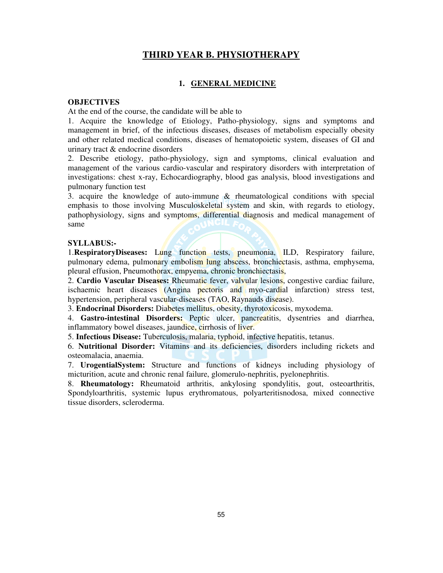# **THIRD YEAR B. PHYSIOTHERAPY**

#### **1. GENERAL MEDICINE**

#### **OBJECTIVES**

At the end of the course, the candidate will be able to

1. Acquire the knowledge of Etiology, Patho-physiology, signs and symptoms and management in brief, of the infectious diseases, diseases of metabolism especially obesity and other related medical conditions, diseases of hematopoietic system, diseases of GI and urinary tract & endocrine disorders

2. Describe etiology, patho-physiology, sign and symptoms, clinical evaluation and management of the various cardio-vascular and respiratory disorders with interpretation of investigations: chest x-ray, Echocardiography, blood gas analysis, blood investigations and pulmonary function test

3. acquire the knowledge of auto-immune & rheumatological conditions with special emphasis to those involving Musculoskeletal system and skin, with regards to etiology, pathophysiology, signs and symptoms, differential diagnosis and medical management of same

#### **SYLLABUS:-**

1.**RespiratoryDiseases:** Lung function tests, pneumonia, ILD, Respiratory failure, pulmonary edema, pulmonary embolism lung abscess, bronchiectasis, asthma, emphysema, pleural effusion, Pneumothorax, empyema, chronic bronchiectasis,

2. **Cardio Vascular Diseases:** Rheumatic fever, valvular lesions, congestive cardiac failure, ischaemic heart diseases (Angina pectoris and myo-cardial infarction) stress test, hypertension, peripheral vascular-diseases (TAO, Raynauds disease).

3. **Endocrinal Disorders:** Diabetes mellitus, obesity, thyrotoxicosis, myxodema.

4. **Gastro-intestinal Disorders:** Peptic ulcer, pancreatitis, dysentries and diarrhea, inflammatory bowel diseases, jaundice, cirrhosis of liver.

5. **Infectious Disease:** Tuberculosis, malaria, typhoid, infective hepatitis, tetanus.

6. **Nutritional Disorder:** Vitamins and its deficiencies, disorders including rickets and osteomalacia, anaemia.

7. **UrogentialSystem:** Structure and functions of kidneys including physiology of micturition, acute and chronic renal failure, glomerulo-nephritis, pyelonephritis.

8. **Rheumatology:** Rheumatoid arthritis, ankylosing spondylitis, gout, osteoarthritis, Spondyloarthritis, systemic lupus erythromatous, polyarteritisnodosa, mixed connective tissue disorders, scleroderma.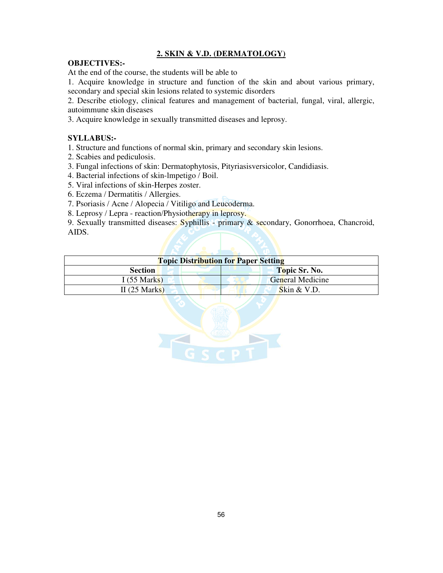# **2. SKIN & V.D. (DERMATOLOGY)**

#### **OBJECTIVES:-**

At the end of the course, the students will be able to

1. Acquire knowledge in structure and function of the skin and about various primary, secondary and special skin lesions related to systemic disorders

2. Describe etiology, clinical features and management of bacterial, fungal, viral, allergic, autoimmune skin diseases

3. Acquire knowledge in sexually transmitted diseases and leprosy.

## **SYLLABUS:-**

1. Structure and functions of normal skin, primary and secondary skin lesions.

- 2. Scabies and pediculosis.
- 3. Fungal infections of skin: Dermatophytosis, Pityriasisversicolor, Candidiasis.
- 4. Bacterial infections of skin-lmpetigo / Boil.
- 5. Viral infections of skin-Herpes zoster.
- 6. Eczema / Dermatitis / Allergies.
- 7. Psoriasis / Acne / Alopecia / Vitiligo and Leucoderma.
- 8. Leprosy / Lepra reaction/Physiotherapy in leprosy.

9. Sexually transmitted diseases: Syphillis - primary & secondary, Gonorrhoea, Chancroid, AIDS.

| <b>Topic Distribution for Paper Setting</b> |                      |
|---------------------------------------------|----------------------|
| <b>Section</b>                              | <b>Topic Sr. No.</b> |
| I(55 Marks)                                 | General Medicine     |
| II $(25 \text{ Marks})$                     | Skin $&$ V.D.        |

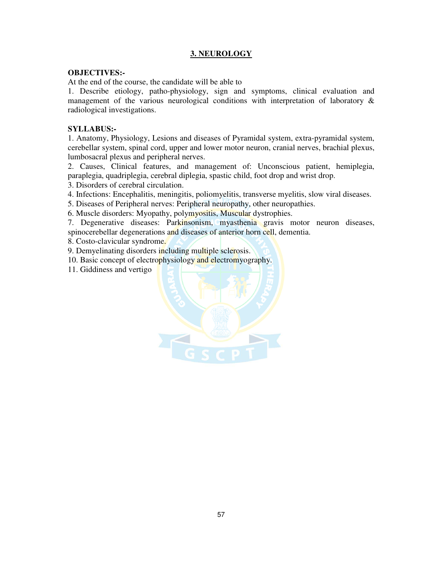# **3. NEUROLOGY**

#### **OBJECTIVES:-**

At the end of the course, the candidate will be able to

1. Describe etiology, patho-physiology, sign and symptoms, clinical evaluation and management of the various neurological conditions with interpretation of laboratory & radiological investigations.

#### **SYLLABUS:-**

1. Anatomy, Physiology, Lesions and diseases of Pyramidal system, extra-pyramidal system, cerebellar system, spinal cord, upper and lower motor neuron, cranial nerves, brachial plexus, lumbosacral plexus and peripheral nerves.

2. Causes, Clinical features, and management of: Unconscious patient, hemiplegia, paraplegia, quadriplegia, cerebral diplegia, spastic child, foot drop and wrist drop.

3. Disorders of cerebral circulation.

4. Infections: Encephalitis, meningitis, poliomyelitis, transverse myelitis, slow viral diseases.

5. Diseases of Peripheral nerves: Peripheral neuropathy, other neuropathies.

6. Muscle disorders: Myopathy, polymyositis, Muscular dystrophies.

7. Degenerative diseases: Parkinsonism, myasthenia gravis motor neuron diseases, spinocerebellar degenerations and diseases of anterior horn cell, dementia.

8. Costo-clavicular syndrome.

9. Demyelinating disorders including multiple sclerosis.

10. Basic concept of electrophysiology and electromyography.

11. Giddiness and vertigo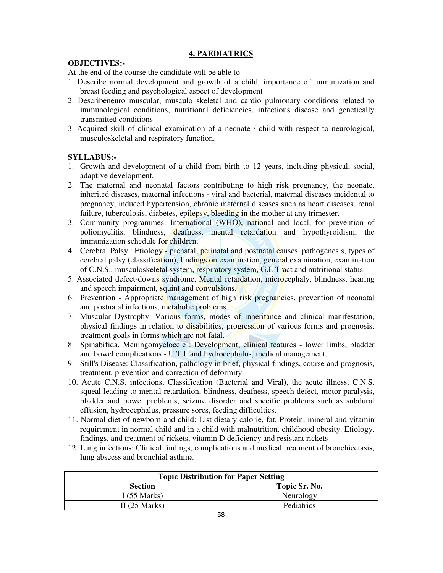# **4. PAEDIATRICS**

# **OBJECTIVES:-**

At the end of the course the candidate will be able to

- 1. Describe normal development and growth of a child, importance of immunization and breast feeding and psychological aspect of development
- 2. Describeneuro muscular, musculo skeletal and cardio pulmonary conditions related to immunological conditions, nutritional deficiencies, infectious disease and genetically transmitted conditions
- 3. Acquired skill of clinical examination of a neonate / child with respect to neurological, musculoskeletal and respiratory function.

# **SYLLABUS:-**

- 1. Growth and development of a child from birth to 12 years, including physical, social, adaptive development.
- 2. The maternal and neonatal factors contributing to high risk pregnancy, the neonate, inherited diseases, maternal infections - viral and bacterial, maternal diseases incidental to pregnancy, induced hypertension, chronic maternal diseases such as heart diseases, renal failure, tuberculosis, diabetes, epilepsy, bleeding in the mother at any trimester.
- 3. Community programmes: International (WHO), national and local, for prevention of poliomyelitis, blindness, deafness, mental retardation and hypothyroidism, the immunization schedule for children.
- 4. Cerebral Palsy: Etiology prenatal, perinatal and postnatal causes, pathogenesis, types of cerebral palsy (classification), findings on examination, general examination, examination of C.N.S., musculoskeletal system, respiratory system, G.I. Tract and nutritional status.
- 5. Associated defect-downs syndrome, Mental retardation, microcephaly, blindness, hearing and speech impairment, squint and convulsions.
- 6. Prevention Appropriate management of high risk pregnancies, prevention of neonatal and postnatal infections, metabolic problems.
- 7. Muscular Dystrophy: Various forms, modes of inheritance and clinical manifestation, physical findings in relation to disabilities, progression of various forms and prognosis, treatment goals in forms which are not fatal.
- 8. Spinabifida, Meningomyelocele : Development, clinical features lower limbs, bladder and bowel complications - U.T.I. and hydrocephalus, medical management.
- 9. Still's Disease: Classification, pathology in brief, physical findings, course and prognosis, treatment, prevention and correction of deformity.
- 10. Acute C.N.S. infections, Classification (Bacterial and Viral), the acute illness, C.N.S. squeal leading to mental retardation, blindness, deafness, speech defect, motor paralysis, bladder and bowel problems, seizure disorder and specific problems such as subdural effusion, hydrocephalus, pressure sores, feeding difficulties.
- 11. Normal diet of newborn and child: List dietary calorie, fat, Protein, mineral and vitamin requirement in normal child and in a child with malnutrition. childhood obesity. Etiology, findings, and treatment of rickets, vitamin D deficiency and resistant rickets
- 12. Lung infections: Clinical findings, complications and medical treatment of bronchiectasis, lung abscess and bronchial asthma.

| <b>Topic Distribution for Paper Setting</b> |                   |
|---------------------------------------------|-------------------|
| <b>Section</b>                              | Topic Sr. No.     |
| I $(55 \text{ Marks})$                      | Neurology         |
| II $(25 \text{ Marks})$                     | <b>Pediatrics</b> |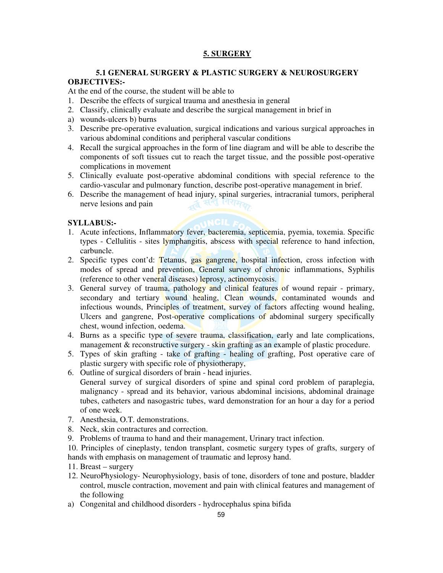# **5. SURGERY**

## **5.1 GENERAL SURGERY & PLASTIC SURGERY & NEUROSURGERY OBJECTIVES:-**

### At the end of the course, the student will be able to

- 1. Describe the effects of surgical trauma and anesthesia in general
- 2. Classify, clinically evaluate and describe the surgical management in brief in
- a) wounds-ulcers b) burns
- 3. Describe pre-operative evaluation, surgical indications and various surgical approaches in various abdominal conditions and peripheral vascular conditions
- 4. Recall the surgical approaches in the form of line diagram and will be able to describe the components of soft tissues cut to reach the target tissue, and the possible post-operative complications in movement
- 5. Clinically evaluate post-operative abdominal conditions with special reference to the cardio-vascular and pulmonary function, describe post-operative management in brief.
- 6. Describe the management of head injury, spinal surgeries, intracranial tumors, peripheral nerve lesions and pain nerve lesions and pain

#### **SYLLABUS:-**

- 1. Acute infections, Inflammatory fever, bacteremia, septicemia, pyemia, toxemia. Specific types - Cellulitis - sites lymphangitis, abscess with special reference to hand infection, carbuncle.
- 2. Specific types cont'd: Tetanus, gas gangrene, hospital infection, cross infection with modes of spread and prevention, General survey of chronic inflammations, Syphilis (reference to other veneral diseases) leprosy, actinomycosis.
- 3. General survey of trauma, pathology and clinical features of wound repair primary, secondary and tertiary wound healing, Clean wounds, contaminated wounds and infectious wounds, Principles of treatment, survey of factors affecting wound healing, Ulcers and gangrene, Post-operative complications of abdominal surgery specifically chest, wound infection, oedema.
- 4. Burns as a specific type of severe trauma, classification, early and late complications, management & reconstructive surgery - skin grafting as an example of plastic procedure.
- 5. Types of skin grafting take of grafting healing of grafting, Post operative care of plastic surgery with specific role of physiotherapy,
- 6. Outline of surgical disorders of brain head injuries. General survey of surgical disorders of spine and spinal cord problem of paraplegia, malignancy - spread and its behavior, various abdominal incisions, abdominal drainage tubes, catheters and nasogastric tubes, ward demonstration for an hour a day for a period of one week.
- 7. Anesthesia, O.T. demonstrations.
- 8. Neck, skin contractures and correction.
- 9. Problems of trauma to hand and their management, Urinary tract infection.

10. Principles of cineplasty, tendon transplant, cosmetic surgery types of grafts, surgery of hands with emphasis on management of traumatic and leprosy hand.

- 11. Breast surgery
- 12. NeuroPhysiology- Neurophysiology, basis of tone, disorders of tone and posture, bladder control, muscle contraction, movement and pain with clinical features and management of the following
- a) Congenital and childhood disorders hydrocephalus spina bifida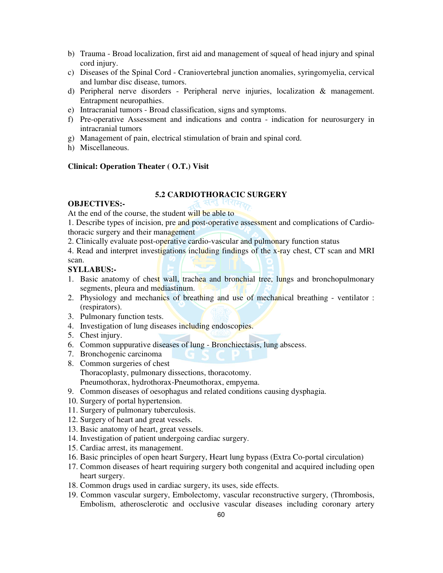- b) Trauma Broad localization, first aid and management of squeal of head injury and spinal cord injury.
- c) Diseases of the Spinal Cord Craniovertebral junction anomalies, syringomyelia, cervical and lumbar disc disease, tumors.
- d) Peripheral nerve disorders Peripheral nerve injuries, localization & management. Entrapment neuropathies.
- e) Intracranial tumors Broad classification, signs and symptoms.
- f) Pre-operative Assessment and indications and contra indication for neurosurgery in intracranial tumors
- g) Management of pain, electrical stimulation of brain and spinal cord.
- h) Miscellaneous.

## **Clinical: Operation Theater ( O.T.) Visit**

#### **5.2 CARDIOTHORACIC SURGERY**

#### **OBJECTIVES:-**

At the end of the course, the student will be able to

1. Describe types of incision, pre and post-operative assessment and complications of Cardiothoracic surgery and their management

- 2. Clinically evaluate post-operative cardio-vascular and pulmonary function status
- 4. Read and interpret investigations including findings of the x-ray chest, CT scan and MRI scan.

#### **SYLLABUS:-**

- 1. Basic anatomy of chest wall, trachea and bronchial tree, lungs and bronchopulmonary segments, pleura and mediastinum.
- 2. Physiology and mechanics of breathing and use of mechanical breathing ventilator : (respirators).
- 3. Pulmonary function tests.
- 4. Investigation of lung diseases including endoscopies.
- 5. Chest injury.
- 6. Common suppurative diseases of lung Bronchiectasis, lung abscess.
- 7. Bronchogenic carcinoma
- 8. Common surgeries of chest Thoracoplasty, pulmonary dissections, thoracotomy. Pneumothorax, hydrothorax-Pneumothorax, empyema.
- 9. Common diseases of oesophagus and related conditions causing dysphagia.
- 10. Surgery of portal hypertension.
- 11. Surgery of pulmonary tuberculosis.
- 12. Surgery of heart and great vessels.
- 13. Basic anatomy of heart, great vessels.
- 14. Investigation of patient undergoing cardiac surgery.
- 15. Cardiac arrest, its management.
- 16. Basic principles of open heart Surgery, Heart lung bypass (Extra Co-portal circulation)
- 17. Common diseases of heart requiring surgery both congenital and acquired including open heart surgery.
- 18. Common drugs used in cardiac surgery, its uses, side effects.
- 19. Common vascular surgery, Embolectomy, vascular reconstructive surgery, (Thrombosis, Embolism, atherosclerotic and occlusive vascular diseases including coronary artery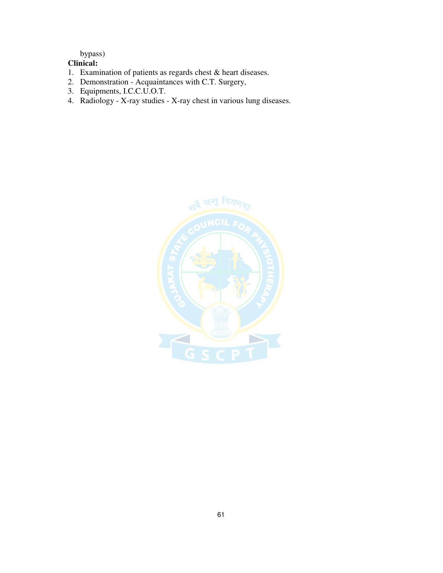# bypass)

# **Clinical:**

- 1. Examination of patients as regards chest & heart diseases.
- 2. Demonstration Acquaintances with C.T. Surgery,
- 3. Equipments, I.C.C.U.O.T.
- 4. Radiology X-ray studies X-ray chest in various lung diseases.

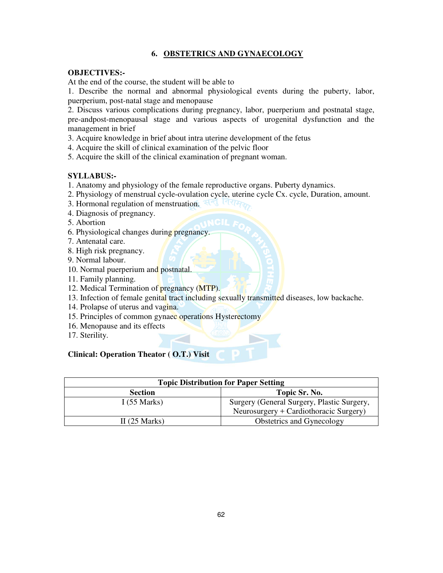# **6. OBSTETRICS AND GYNAECOLOGY**

#### **OBJECTIVES:-**

At the end of the course, the student will be able to

1. Describe the normal and abnormal physiological events during the puberty, labor, puerperium, post-natal stage and menopause

2. Discuss various complications during pregnancy, labor, puerperium and postnatal stage, pre-andpost-menopausal stage and various aspects of urogenital dysfunction and the management in brief

3. Acquire knowledge in brief about intra uterine development of the fetus

4. Acquire the skill of clinical examination of the pelvic floor

5. Acquire the skill of the clinical examination of pregnant woman.

#### **SYLLABUS:-**

- 1. Anatomy and physiology of the female reproductive organs. Puberty dynamics.
- 2. Physiology of menstrual cycle-ovulation cycle, uterine cycle Cx. cycle, Duration, amount.
- 3. Hormonal regulation of menstruation.
- 4. Diagnosis of pregnancy.
- 5. Abortion
- 6. Physiological changes during pregnancy.
- 7. Antenatal care.
- 8. High risk pregnancy.
- 9. Normal labour.
- 10. Normal puerperium and postnatal.
- 11. Family planning.
- 12. Medical Termination of pregnancy (MTP).
- 13. Infection of female genital tract including sexually transmitted diseases, low backache.
- 14. Prolapse of uterus and vagina.
- 15. Principles of common gynaec operations Hysterectomy
- 16. Menopause and its effects
- 17. Sterility.

## **Clinical: Operation Theator ( O.T.) Visit**

| <b>Topic Distribution for Paper Setting</b> |                                            |
|---------------------------------------------|--------------------------------------------|
| <b>Section</b>                              | Topic Sr. No.                              |
| I $(55 \text{ Marks})$                      | Surgery (General Surgery, Plastic Surgery, |
|                                             | Neurosurgery + Cardiothoracic Surgery)     |
| II $(25 \text{ Marks})$                     | <b>Obstetrics and Gynecology</b>           |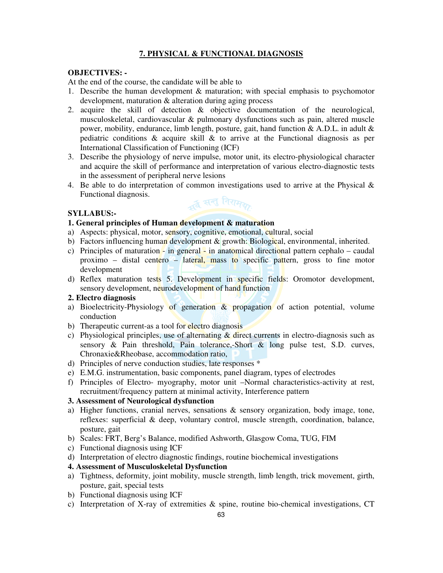# **7. PHYSICAL & FUNCTIONAL DIAGNOSIS**

#### **OBJECTIVES: -**

At the end of the course, the candidate will be able to

- 1. Describe the human development & maturation; with special emphasis to psychomotor development, maturation & alteration during aging process
- 2. acquire the skill of detection & objective documentation of the neurological, musculoskeletal, cardiovascular & pulmonary dysfunctions such as pain, altered muscle power, mobility, endurance, limb length, posture, gait, hand function & A.D.L. in adult & pediatric conditions  $\&$  acquire skill  $\&$  to arrive at the Functional diagnosis as per International Classification of Functioning (ICF)
- 3. Describe the physiology of nerve impulse, motor unit, its electro-physiological character and acquire the skill of performance and interpretation of various electro-diagnostic tests in the assessment of peripheral nerve lesions
- 4. Be able to do interpretation of common investigations used to arrive at the Physical  $\&$ Functional diagnosis.

## **SYLLABUS:-**



#### **1. General principles of Human development & maturation**

- a) Aspects: physical, motor, sensory, cognitive, emotional, cultural, social
- b) Factors influencing human development  $\&$  growth: Biological, environmental, inherited.
- c) Principles of maturation  $\frac{1}{x}$  in general  $\frac{1}{x}$  in anatomical directional pattern cephalo caudal proximo – distal centero – lateral, mass to specific pattern, gross to fine motor development
- d) Reflex maturation tests 5. Development in specific fields: Oromotor development, sensory development, neurodevelopment of hand function

#### **2. Electro diagnosis**

- a) Bioelectricity-Physiology of generation & propagation of action potential, volume conduction
- b) Therapeutic current-as a tool for electro diagnosis
- c) Physiological principles, use of alternating  $\&$  direct currents in electro-diagnosis such as sensory & Pain threshold, Pain tolerance,-Short & long pulse test, S.D. curves, Chronaxie&Rheobase, accommodation ratio,
- d) Principles of nerve conduction studies, late responses \*
- e) E.M.G. instrumentation, basic components, panel diagram, types of electrodes
- f) Principles of Electro- myography, motor unit –Normal characteristics-activity at rest, recruitment/frequency pattern at minimal activity, Interference pattern

## **3. Assessment of Neurological dysfunction**

- a) Higher functions, cranial nerves, sensations & sensory organization, body image, tone, reflexes: superficial & deep, voluntary control, muscle strength, coordination, balance, posture, gait
- b) Scales: FRT, Berg's Balance, modified Ashworth, Glasgow Coma, TUG, FIM
- c) Functional diagnosis using ICF
- d) Interpretation of electro diagnostic findings, routine biochemical investigations

#### **4. Assessment of Musculoskeletal Dysfunction**

- a) Tightness, deformity, joint mobility, muscle strength, limb length, trick movement, girth, posture, gait, special tests
- b) Functional diagnosis using ICF
- c) Interpretation of X-ray of extremities & spine, routine bio-chemical investigations, CT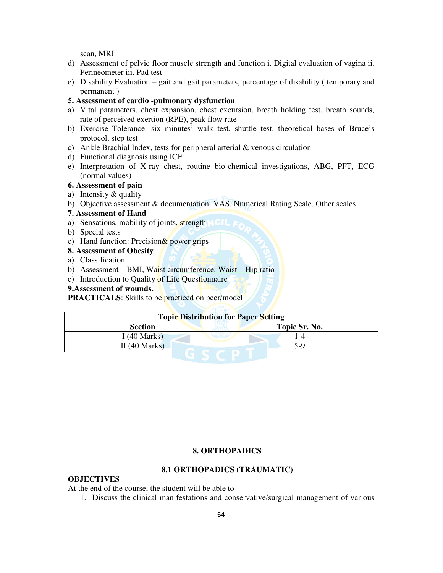scan, MRI

- d) Assessment of pelvic floor muscle strength and function i. Digital evaluation of vagina ii. Perineometer iii. Pad test
- e) Disability Evaluation gait and gait parameters, percentage of disability ( temporary and permanent )
- **5. Assessment of cardio -pulmonary dysfunction**
- a) Vital parameters, chest expansion, chest excursion, breath holding test, breath sounds, rate of perceived exertion (RPE), peak flow rate
- b) Exercise Tolerance: six minutes' walk test, shuttle test, theoretical bases of Bruce's protocol, step test
- c) Ankle Brachial Index, tests for peripheral arterial & venous circulation
- d) Functional diagnosis using ICF
- e) Interpretation of X-ray chest, routine bio-chemical investigations, ABG, PFT, ECG (normal values)

## **6. Assessment of pain**

- a) Intensity & quality
- b) Objective assessment & documentation: VAS, Numerical Rating Scale. Other scales
- **7. Assessment of Hand**
- a) Sensations, mobility of joints, strength
- b) Special tests
- c) Hand function: Precision  $&$  power grips
- **8. Assessment of Obesity**
- a) Classification
- b) Assessment BMI, Waist circumference, Waist Hip ratio
- c) Introduction to Quality of Life Questionnaire
- **9.Assessment of wounds.**

**PRACTICALS:** Skills to be practiced on peer/model

| <b>Topic Distribution for Paper Setting</b> |               |
|---------------------------------------------|---------------|
| <b>Section</b>                              | Topic Sr. No. |
| I (40 Marks)                                | $-4$          |
| II $(40$ Marks)                             | $5-9$         |
|                                             |               |

#### **8. ORTHOPADICS**

## **8.1 ORTHOPADICS (TRAUMATIC)**

## **OBJECTIVES**

At the end of the course, the student will be able to

1. Discuss the clinical manifestations and conservative/surgical management of various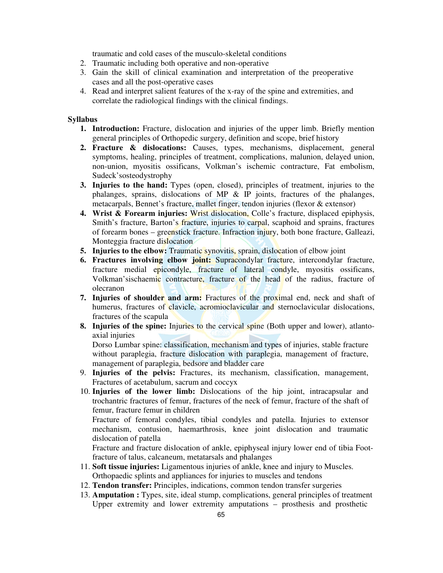traumatic and cold cases of the musculo-skeletal conditions

- 2. Traumatic including both operative and non-operative
- 3. Gain the skill of clinical examination and interpretation of the preoperative cases and all the post-operative cases
- 4. Read and interpret salient features of the x-ray of the spine and extremities, and correlate the radiological findings with the clinical findings.

#### **Syllabus**

- **1. Introduction:** Fracture, dislocation and injuries of the upper limb. Briefly mention general principles of Orthopedic surgery, definition and scope, brief history
- **2. Fracture & dislocations:** Causes, types, mechanisms, displacement, general symptoms, healing, principles of treatment, complications, malunion, delayed union, non-union, myositis ossificans, Volkman's ischemic contracture, Fat embolism, Sudeck'sosteodystrophy
- **3. Injuries to the hand:** Types (open, closed), principles of treatment, injuries to the phalanges, sprains, dislocations of MP & IP joints, fractures of the phalanges, metacarpals, Bennet's fracture, mallet finger, tendon injuries (flexor & extensor)
- **4. Wrist & Forearm injuries:** Wrist dislocation, Colle's fracture, displaced epiphysis, Smith's fracture, Barton's fracture, injuries to carpal, scaphoid and sprains, fractures of forearm bones – greenstick fracture. Infraction injury, both bone fracture, Galleazi, Monteggia fracture dislocation
- **5. Injuries to the elbow:** Traumatic synovitis, sprain, dislocation of elbow joint
- **6. Fractures involving elbow joint:** Supracondylar fracture, intercondylar fracture, fracture medial epicondyle, fracture of lateral condyle, myositis ossificans, Volkman'sischaemic contracture, fracture of the head of the radius, fracture of olecranon
- **7. Injuries of shoulder and arm:** Fractures of the proximal end, neck and shaft of humerus, fractures of clavicle, acromioclavicular and sternoclavicular dislocations, fractures of the scapula
- **8. Injuries of the spine:** Injuries to the cervical spine (Both upper and lower), atlantoaxial injuries

Dorso Lumbar spine: classification, mechanism and types of injuries, stable fracture without paraplegia, fracture dislocation with paraplegia, management of fracture, management of paraplegia, bedsore and bladder care

- 9. **Injuries of the pelvis:** Fractures, its mechanism, classification, management, Fractures of acetabulum, sacrum and coccyx
- 10. **Injuries of the lower limb:** Dislocations of the hip joint, intracapsular and trochantric fractures of femur, fractures of the neck of femur, fracture of the shaft of femur, fracture femur in children

Fracture of femoral condyles, tibial condyles and patella. Injuries to extensor mechanism, contusion, haemarthrosis, knee joint dislocation and traumatic dislocation of patella

Fracture and fracture dislocation of ankle, epiphyseal injury lower end of tibia Footfracture of talus, calcaneum, metatarsals and phalanges

- 11. **Soft tissue injuries:** Ligamentous injuries of ankle, knee and injury to Muscles. Orthopaedic splints and appliances for injuries to muscles and tendons
- 12. **Tendon transfer:** Principles, indications, common tendon transfer surgeries
- 13. **Amputation :** Types, site, ideal stump, complications, general principles of treatment Upper extremity and lower extremity amputations – prosthesis and prosthetic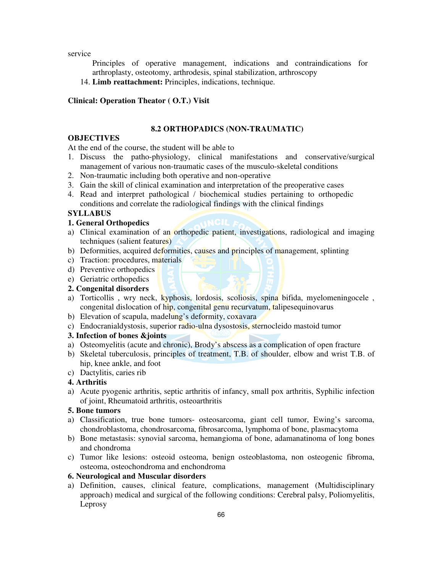service

Principles of operative management, indications and contraindications for arthroplasty, osteotomy, arthrodesis, spinal stabilization, arthroscopy

14. **Limb reattachment:** Principles, indications, technique.

#### **Clinical: Operation Theator ( O.T.) Visit**

#### **8.2 ORTHOPADICS (NON-TRAUMATIC)**

#### **OBJECTIVES**

At the end of the course, the student will be able to

- 1. Discuss the patho-physiology, clinical manifestations and conservative/surgical management of various non-traumatic cases of the musculo-skeletal conditions
- 2. Non-traumatic including both operative and non-operative
- 3. Gain the skill of clinical examination and interpretation of the preoperative cases
- 4. Read and interpret pathological / biochemical studies pertaining to orthopedic conditions and correlate the radiological findings with the clinical findings

#### **SYLLABUS**

#### **1. General Orthopedics**

- a) Clinical examination of an orthopedic patient, investigations, radiological and imaging techniques (salient features)
- b) Deformities, acquired deformities, causes and principles of management, splinting
- c) Traction: procedures, materials
- d) Preventive orthopedics
- e) Geriatric orthopedics

## **2. Congenital disorders**

- a) Torticollis, wry neck, kyphosis, lordosis, scoliosis, spina bifida, myelomeningocele, congenital dislocation of hip, congenital genu recurvatum, talipesequinovarus
- b) Elevation of scapula, madelung's deformity, coxavara
- c) Endocranialdystosis, superior radio-ulna dysostosis, sternocleido mastoid tumor

#### **3. Infection of bones &joints**

- a) Osteomyelitis (acute and chronic), Brody's abscess as a complication of open fracture
- b) Skeletal tuberculosis, principles of treatment, T.B. of shoulder, elbow and wrist T.B. of hip, knee ankle, and foot
- c) Dactylitis, caries rib

#### **4. Arthritis**

a) Acute pyogenic arthritis, septic arthritis of infancy, small pox arthritis, Syphilic infection of joint, Rheumatoid arthritis, osteoarthritis

#### **5. Bone tumors**

- a) Classification, true bone tumors- osteosarcoma, giant cell tumor, Ewing's sarcoma, chondroblastoma, chondrosarcoma, fibrosarcoma, lymphoma of bone, plasmacytoma
- b) Bone metastasis: synovial sarcoma, hemangioma of bone, adamanatinoma of long bones and chondroma
- c) Tumor like lesions: osteoid osteoma, benign osteoblastoma, non osteogenic fibroma, osteoma, osteochondroma and enchondroma

#### **6. Neurological and Muscular disorders**

a) Definition, causes, clinical feature, complications, management (Multidisciplinary approach) medical and surgical of the following conditions: Cerebral palsy, Poliomyelitis, Leprosy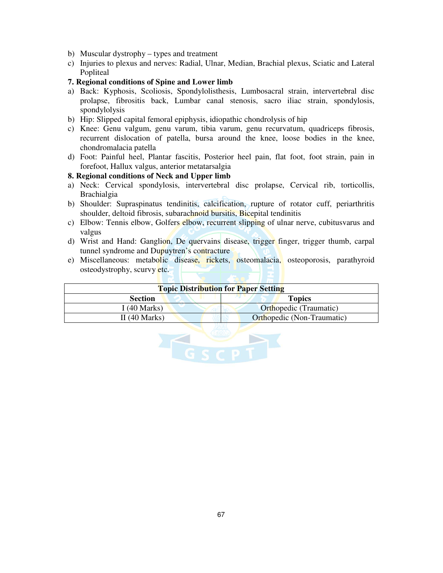- b) Muscular dystrophy types and treatment
- c) Injuries to plexus and nerves: Radial, Ulnar, Median, Brachial plexus, Sciatic and Lateral Popliteal

#### **7. Regional conditions of Spine and Lower limb**

- a) Back: Kyphosis, Scoliosis, Spondylolisthesis, Lumbosacral strain, intervertebral disc prolapse, fibrositis back, Lumbar canal stenosis, sacro iliac strain, spondylosis, spondylolysis
- b) Hip: Slipped capital femoral epiphysis, idiopathic chondrolysis of hip
- c) Knee: Genu valgum, genu varum, tibia varum, genu recurvatum, quadriceps fibrosis, recurrent dislocation of patella, bursa around the knee, loose bodies in the knee, chondromalacia patella
- d) Foot: Painful heel, Plantar fascitis, Posterior heel pain, flat foot, foot strain, pain in forefoot, Hallux valgus, anterior metatarsalgia

#### **8. Regional conditions of Neck and Upper limb**

- a) Neck: Cervical spondylosis, intervertebral disc prolapse, Cervical rib, torticollis, Brachialgia
- b) Shoulder: Supraspinatus tendinitis, calcification, rupture of rotator cuff, periarthritis shoulder, deltoid fibrosis, subarachnoid bursitis, Bicepital tendinitis
- c) Elbow: Tennis elbow, Golfers elbow, recurrent slipping of ulnar nerve, cubitusvarus and valgus
- d) Wrist and Hand: Ganglion, De quervains disease, trigger finger, trigger thumb, carpal tunnel syndrome and Dupuytren's contracture
- e) Miscellaneous: metabolic disease, rickets, osteomalacia, osteoporosis, parathyroid osteodystrophy, scurvy etc.

| <b>Topic Distribution for Paper Setting</b> |                                   |
|---------------------------------------------|-----------------------------------|
| <b>Section</b>                              | <b>Topics</b>                     |
| I (40 Marks)                                | <b>Orthopedic (Traumatic)</b>     |
| II $(40$ Marks)                             | <b>Orthopedic</b> (Non-Traumatic) |

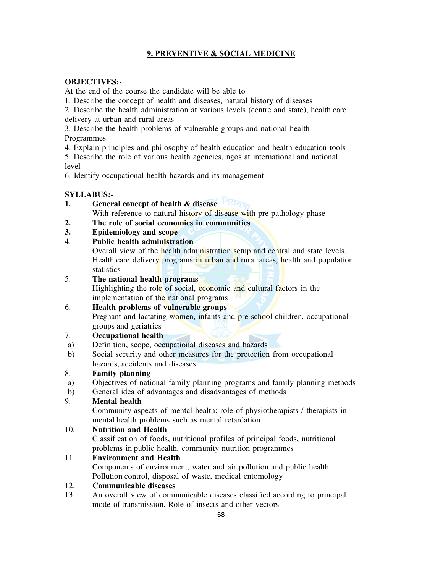# **9. PREVENTIVE & SOCIAL MEDICINE**

# **OBJECTIVES:-**

At the end of the course the candidate will be able to

1. Describe the concept of health and diseases, natural history of diseases

2. Describe the health administration at various levels (centre and state), health care delivery at urban and rural areas

3. Describe the health problems of vulnerable groups and national health Programmes

4. Explain principles and philosophy of health education and health education tools

5. Describe the role of various health agencies, ngos at international and national level

6. Identify occupational health hazards and its management

## **SYLLABUS:-**

- **1. General concept of health & disease** 
	- With reference to natural history of disease with pre-pathology phase
- **2. The role of social economics in communities**
- **3. Epidemiology and scope**
- 4. **Public health administration**

Overall view of the health administration setup and central and state levels. Health care delivery programs in urban and rural areas, health and population

statistics<br>5. The nati 5. **The national health programs**  Highlighting the role of social, economic and cultural factors in the

#### implementation of the national programs 6. **Health problems of vulnerable groups**

 Pregnant and lactating women, infants and pre-school children, occupational groups and geriatrics

# 7. **Occupational health**

- a) Definition, scope, occupational diseases and hazards
- b) Social security and other measures for the protection from occupational hazards, accidents and diseases

# 8. **Family planning**

- a) Objectives of national family planning programs and family planning methods
- b) General idea of advantages and disadvantages of methods

# 9. **Mental health**

 Community aspects of mental health: role of physiotherapists / therapists in mental health problems such as mental retardation

# 10. **Nutrition and Health**

 Classification of foods, nutritional profiles of principal foods, nutritional problems in public health, community nutrition programmes

# 11. **Environment and Health**

Components of environment, water and air pollution and public health:

Pollution control, disposal of waste, medical entomology

# 12. **Communicable diseases**

13. An overall view of communicable diseases classified according to principal mode of transmission. Role of insects and other vectors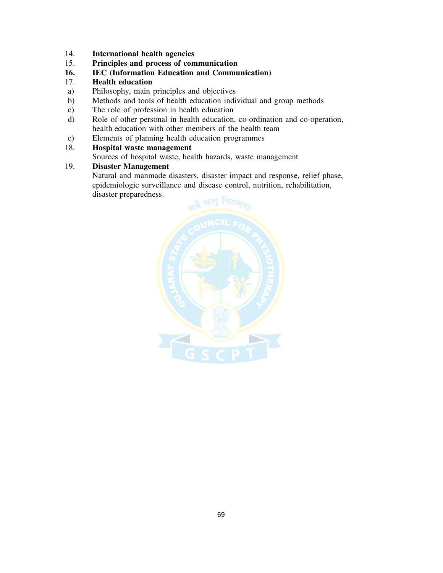- 14. **International health agencies**
- 15. **Principles and process of communication**
- **16. IEC (Information Education and Communication)**
- 17. **Health education**
- a) Philosophy, main principles and objectives
- b) Methods and tools of health education individual and group methods
- c) The role of profession in health education
- d) Role of other personal in health education, co-ordination and co-operation, health education with other members of the health team
- e) Elements of planning health education programmes

## 18. **Hospital waste management**

Sources of hospital waste, health hazards, waste management

#### 19. **Disaster Management**

 Natural and manmade disasters, disaster impact and response, relief phase, epidemiologic surveillance and disease control, nutrition, rehabilitation, disaster preparedness.

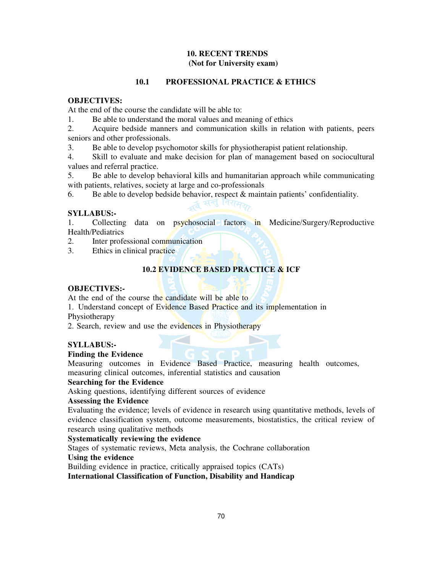## **10. RECENT TRENDS (Not for University exam)**

## **10.1 PROFESSIONAL PRACTICE & ETHICS**

## **OBJECTIVES:**

At the end of the course the candidate will be able to:

1. Be able to understand the moral values and meaning of ethics

2. Acquire bedside manners and communication skills in relation with patients, peers seniors and other professionals.

3. Be able to develop psychomotor skills for physiotherapist patient relationship.

4. Skill to evaluate and make decision for plan of management based on sociocultural values and referral practice.

5. Be able to develop behavioral kills and humanitarian approach while communicating with patients, relatives, society at large and co-professionals

6. Be able to develop bedside behavior, respect & maintain patients' confidentiality.

्द्व सन्तु *निरामक* 

## **SYLLABUS:-**

1. Collecting data on psychosocial factors in Medicine/Surgery/Reproductive Health/Pediatrics

2. Inter professional communication

3. Ethics in clinical practice

## **10.2 EVIDENCE BASED PRACTICE & ICF**

### **OBJECTIVES:-**

At the end of the course the candidate will be able to

1. Understand concept of Evidence Based Practice and its implementation in Physiotherapy

2. Search, review and use the evidences in Physiotherapy

## **SYLLABUS:-**

## **Finding the Evidence**

Measuring outcomes in Evidence Based Practice, measuring health outcomes, measuring clinical outcomes, inferential statistics and causation

#### **Searching for the Evidence**

Asking questions, identifying different sources of evidence

## **Assessing the Evidence**

Evaluating the evidence; levels of evidence in research using quantitative methods, levels of evidence classification system, outcome measurements, biostatistics, the critical review of research using qualitative methods

#### **Systematically reviewing the evidence**

Stages of systematic reviews, Meta analysis, the Cochrane collaboration

# **Using the evidence**

Building evidence in practice, critically appraised topics (CATs)

**International Classification of Function, Disability and Handicap**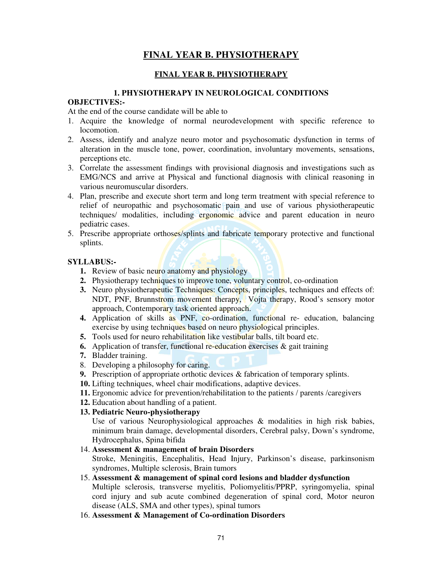# **FINAL YEAR B. PHYSIOTHERAPY**

# **FINAL YEAR B. PHYSIOTHERAPY**

## **1. PHYSIOTHERAPY IN NEUROLOGICAL CONDITIONS**

## **OBJECTIVES:-**

At the end of the course candidate will be able to

- 1. Acquire the knowledge of normal neurodevelopment with specific reference to locomotion.
- 2. Assess, identify and analyze neuro motor and psychosomatic dysfunction in terms of alteration in the muscle tone, power, coordination, involuntary movements, sensations, perceptions etc.
- 3. Correlate the assessment findings with provisional diagnosis and investigations such as EMG/NCS and arrive at Physical and functional diagnosis with clinical reasoning in various neuromuscular disorders.
- 4. Plan, prescribe and execute short term and long term treatment with special reference to relief of neuropathic and psychosomatic pain and use of various physiotherapeutic techniques/ modalities, including ergonomic advice and parent education in neuro pediatric cases.
- 5. Prescribe appropriate orthoses/splints and fabricate temporary protective and functional splints.

# **SYLLABUS:-**

- **1.** Review of basic neuro anatomy and physiology
- **2.** Physiotherapy techniques to improve tone, voluntary control, co-ordination
- **3.** Neuro physiotherapeutic Techniques: Concepts, principles, techniques and effects of: NDT, PNF, Brunnstrom movement therapy, Vojta therapy, Rood's sensory motor approach, Contemporary task oriented approach.
- **4.** Application of skills as PNF, co-ordination, functional re- education, balancing exercise by using techniques based on neuro physiological principles.
- **5.** Tools used for neuro rehabilitation like vestibular balls, tilt board etc.
- **6.** Application of transfer, functional re-education exercises & gait training
- **7.** Bladder training.
- 8. Developing a philosophy for caring.
- **9.** Prescription of appropriate orthotic devices & fabrication of temporary splints.
- **10.** Lifting techniques, wheel chair modifications, adaptive devices.
- **11.** Ergonomic advice for prevention/rehabilitation to the patients / parents /caregivers
- **12.** Education about handling of a patient.
- **13. Pediatric Neuro-physiotherapy**

Use of various Neurophysiological approaches & modalities in high risk babies, minimum brain damage, developmental disorders, Cerebral palsy, Down's syndrome, Hydrocephalus, Spina bifida

# 14. **Assessment & management of brain Disorders**

Stroke, Meningitis, Encephalitis, Head Injury, Parkinson's disease, parkinsonism syndromes, Multiple sclerosis, Brain tumors

# 15. **Assessment & management of spinal cord lesions and bladder dysfunction**

Multiple sclerosis, transverse myelitis, Poliomyelitis/PPRP, syringomyelia, spinal cord injury and sub acute combined degeneration of spinal cord, Motor neuron disease (ALS, SMA and other types), spinal tumors

16. **Assessment & Management of Co-ordination Disorders**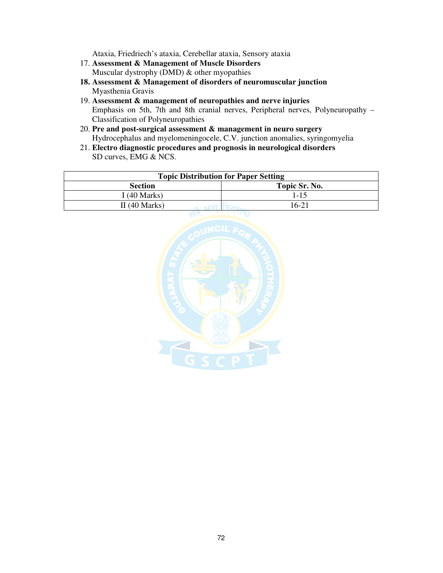Ataxia, Friedriech's ataxia, Cerebellar ataxia, Sensory ataxia

- 17. **Assessment & Management of Muscle Disorders**  Muscular dystrophy (DMD) & other myopathies
- **18. Assessment & Management of disorders of neuromuscular junction**  Myasthenia Gravis
- 19. **Assessment & management of neuropathies and nerve injuries**  Emphasis on 5th, 7th and 8th cranial nerves, Peripheral nerves, Polyneuropathy – Classification of Polyneuropathies
- 20. **Pre and post-surgical assessment & management in neuro surgery**  Hydrocephalus and myelomeningocele, C.V. junction anomalies, syringomyelia
- 21. **Electro diagnostic procedures and prognosis in neurological disorders** SD curves, EMG & NCS.

| <b>Topic Distribution for Paper Setting</b> |               |
|---------------------------------------------|---------------|
| <b>Section</b>                              | Topic Sr. No. |
| I (40 Marks)                                | 1-15          |
| II $(40$ Marks)                             | $16-21$       |

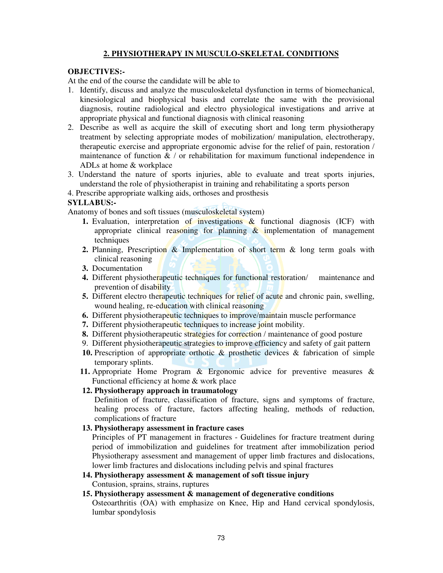## **2. PHYSIOTHERAPY IN MUSCULO-SKELETAL CONDITIONS**

## **OBJECTIVES:-**

At the end of the course the candidate will be able to

- 1. Identify, discuss and analyze the musculoskeletal dysfunction in terms of biomechanical, kinesiological and biophysical basis and correlate the same with the provisional diagnosis, routine radiological and electro physiological investigations and arrive at appropriate physical and functional diagnosis with clinical reasoning
- 2. Describe as well as acquire the skill of executing short and long term physiotherapy treatment by selecting appropriate modes of mobilization/ manipulation, electrotherapy, therapeutic exercise and appropriate ergonomic advise for the relief of pain, restoration / maintenance of function  $\& /$  or rehabilitation for maximum functional independence in ADLs at home & workplace
- 3. Understand the nature of sports injuries, able to evaluate and treat sports injuries, understand the role of physiotherapist in training and rehabilitating a sports person
- 4. Prescribe appropriate walking aids, orthoses and prosthesis

## **SYLLABUS:-**

Anatomy of bones and soft tissues (musculoskeletal system)

- **1.** Evaluation, interpretation of investigations & functional diagnosis (ICF) with appropriate clinical reasoning for planning  $\&$  implementation of management techniques
- **2.** Planning, Prescription & Implementation of short term & long term goals with clinical reasoning
- **3.** Documentation
- **4.** Different physiotherapeutic techniques for functional restoration/ maintenance and prevention of disability
- **5.** Different electro therapeutic techniques for relief of acute and chronic pain, swelling, wound healing, re-education with clinical reasoning
- **6.** Different physiotherapeutic techniques to improve/maintain muscle performance
- **7.** Different physiotherapeutic techniques to increase joint mobility.
- **8.** Different physiotherapeutic strategies for correction / maintenance of good posture
- 9. Different physiotherapeutic strategies to improve efficiency and safety of gait pattern
- **10.** Prescription of appropriate orthotic & prosthetic devices & fabrication of simple temporary splints.
- **11.** Appropriate Home Program & Ergonomic advice for preventive measures & Functional efficiency at home & work place

## **12. Physiotherapy approach in traumatology**

Definition of fracture, classification of fracture, signs and symptoms of fracture, healing process of fracture, factors affecting healing, methods of reduction, complications of fracture

#### **13. Physiotherapy assessment in fracture cases**

Principles of PT management in fractures - Guidelines for fracture treatment during period of immobilization and guidelines for treatment after immobilization period Physiotherapy assessment and management of upper limb fractures and dislocations, lower limb fractures and dislocations including pelvis and spinal fractures

# **14. Physiotherapy assessment & management of soft tissue injury**

Contusion, sprains, strains, ruptures

## **15. Physiotherapy assessment & management of degenerative conditions**

Osteoarthritis (OA) with emphasize on Knee, Hip and Hand cervical spondylosis, lumbar spondylosis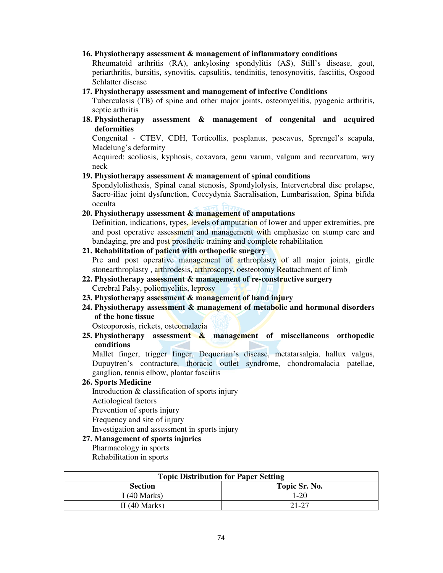#### **16. Physiotherapy assessment & management of inflammatory conditions**

Rheumatoid arthritis (RA), ankylosing spondylitis (AS), Still's disease, gout, periarthritis, bursitis, synovitis, capsulitis, tendinitis, tenosynovitis, fasciitis, Osgood Schlatter disease

**17. Physiotherapy assessment and management of infective Conditions** 

Tuberculosis (TB) of spine and other major joints, osteomyelitis, pyogenic arthritis, septic arthritis

**18. Physiotherapy assessment & management of congenital and acquired deformities** 

Congenital - CTEV, CDH, Torticollis, pesplanus, pescavus, Sprengel's scapula, Madelung's deformity

Acquired: scoliosis, kyphosis, coxavara, genu varum, valgum and recurvatum, wry neck

## **19. Physiotherapy assessment & management of spinal conditions**

Spondylolisthesis, Spinal canal stenosis, Spondylolysis, Intervertebral disc prolapse, Sacro-iliac joint dysfunction, Coccydynia Sacralisation, Lumbarisation, Spina bifida occulta

**20. Physiotherapy assessment & management of amputations** 

Definition, indications, types, levels of amputation of lower and upper extremities, pre and post operative assessment and management with emphasize on stump care and bandaging, pre and post prosthetic training and complete rehabilitation

### **21. Rehabilitation of patient with orthopedic surgery**

Pre and post operative management of arthroplasty of all major joints, girdle stonearthroplasty, arthrodesis, arthroscopy, oesteotomy Reattachment of limb

- **22. Physiotherapy assessment & management of re-constructive surgery**  Cerebral Palsy, poliomyelitis, leprosy
- **23. Physiotherapy assessment & management of hand injury**
- **24. Physiotherapy assessment & management of metabolic and hormonal disorders of the bone tissue**

Osteoporosis, rickets, osteomalacia

**25. Physiotherapy assessment & management of miscellaneous orthopedic conditions** 

Mallet finger, trigger finger, Dequerian's disease, metatarsalgia, hallux valgus, Dupuytren's contracture, thoracic outlet syndrome, chondromalacia patellae, ganglion, tennis elbow, plantar fasciitis

#### **26. Sports Medicine**

Introduction & classification of sports injury

Aetiological factors

Prevention of sports injury

Frequency and site of injury

Investigation and assessment in sports injury

## **27. Management of sports injuries**

Pharmacology in sports

Rehabilitation in sports

| <b>Topic Distribution for Paper Setting</b> |               |
|---------------------------------------------|---------------|
| <b>Section</b>                              | Topic Sr. No. |
| I (40 Marks)                                | 1-20          |
| II $(40$ Marks)                             | 21-27         |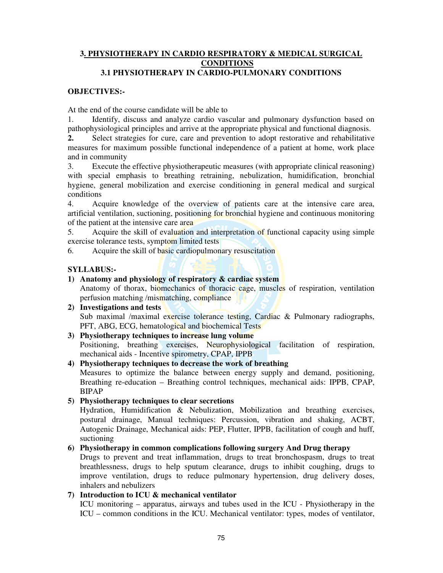## **3. PHYSIOTHERAPY IN CARDIO RESPIRATORY & MEDICAL SURGICAL CONDITIONS**

## **3.1 PHYSIOTHERAPY IN CARDIO-PULMONARY CONDITIONS**

## **OBJECTIVES:-**

At the end of the course candidate will be able to

1. Identify, discuss and analyze cardio vascular and pulmonary dysfunction based on pathophysiological principles and arrive at the appropriate physical and functional diagnosis. **2.** Select strategies for cure, care and prevention to adopt restorative and rehabilitative measures for maximum possible functional independence of a patient at home, work place and in community

3. Execute the effective physiotherapeutic measures (with appropriate clinical reasoning) with special emphasis to breathing retraining, nebulization, humidification, bronchial hygiene, general mobilization and exercise conditioning in general medical and surgical conditions

4. Acquire knowledge of the overview of patients care at the intensive care area, artificial ventilation, suctioning, positioning for bronchial hygiene and continuous monitoring of the patient at the intensive care area

5. Acquire the skill of evaluation and interpretation of functional capacity using simple exercise tolerance tests, symptom limited tests

6. Acquire the skill of basic cardiopulmonary resuscitation

#### **SYLLABUS:-**

## **1) Anatomy and physiology of respiratory & cardiac system**

Anatomy of thorax, biomechanics of thoracic cage, muscles of respiration, ventilation perfusion matching /mismatching, compliance

- **2) Investigations and tests**  Sub maximal /maximal exercise tolerance testing, Cardiac & Pulmonary radiographs, PFT, ABG, ECG, hematological and biochemical Tests
- **3) Physiotherapy techniques to increase lung volume**  Positioning, breathing exercises, Neurophysiological facilitation of respiration, mechanical aids - Incentive spirometry, CPAP, IPPB

#### **4) Physiotherapy techniques to decrease the work of breathing**

Measures to optimize the balance between energy supply and demand, positioning, Breathing re-education – Breathing control techniques, mechanical aids: IPPB, CPAP, BIPAP

#### **5) Physiotherapy techniques to clear secretions**

Hydration, Humidification & Nebulization, Mobilization and breathing exercises, postural drainage, Manual techniques: Percussion, vibration and shaking, ACBT, Autogenic Drainage, Mechanical aids: PEP, Flutter, IPPB, facilitation of cough and huff, suctioning

#### **6) Physiotherapy in common complications following surgery And Drug therapy**

Drugs to prevent and treat inflammation, drugs to treat bronchospasm, drugs to treat breathlessness, drugs to help sputum clearance, drugs to inhibit coughing, drugs to improve ventilation, drugs to reduce pulmonary hypertension, drug delivery doses, inhalers and nebulizers

## **7) Introduction to ICU & mechanical ventilator**

ICU monitoring – apparatus, airways and tubes used in the ICU - Physiotherapy in the ICU – common conditions in the ICU. Mechanical ventilator: types, modes of ventilator,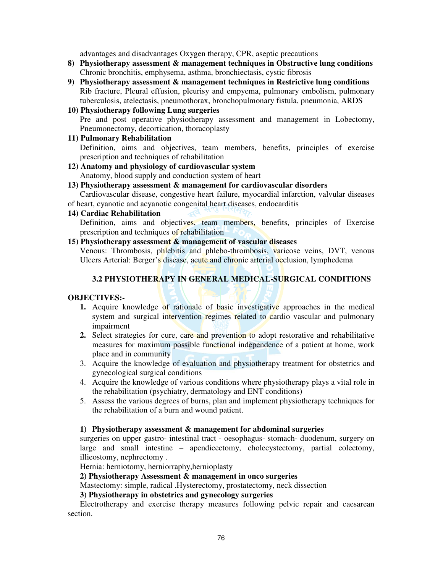advantages and disadvantages Oxygen therapy, CPR, aseptic precautions

- **8) Physiotherapy assessment & management techniques in Obstructive lung conditions**  Chronic bronchitis, emphysema, asthma, bronchiectasis, cystic fibrosis
- **9) Physiotherapy assessment & management techniques in Restrictive lung conditions**  Rib fracture, Pleural effusion, pleurisy and empyema, pulmonary embolism, pulmonary tuberculosis, atelectasis, pneumothorax, bronchopulmonary fistula, pneumonia, ARDS
- **10) Physiotherapy following Lung surgeries**

Pre and post operative physiotherapy assessment and management in Lobectomy, Pneumonectomy, decortication, thoracoplasty

#### **11) Pulmonary Rehabilitation**

Definition, aims and objectives, team members, benefits, principles of exercise prescription and techniques of rehabilitation

**12) Anatomy and physiology of cardiovascular system**  Anatomy, blood supply and conduction system of heart

#### **13) Physiotherapy assessment & management for cardiovascular disorders**

Cardiovascular disease, congestive heart failure, myocardial infarction, valvular diseases of heart, cyanotic and acyanotic congenital heart diseases, endocarditis

#### **14) Cardiac Rehabilitation**

Definition, aims and objectives, team members, benefits, principles of Exercise prescription and techniques of rehabilitation

#### **15) Physiotherapy assessment & management of vascular diseases**

Venous: Thrombosis, phlebitis and phlebo-thrombosis, varicose veins, DVT, venous Ulcers Arterial: Berger's disease, acute and chronic arterial occlusion, lymphedema

#### **3.2 PHYSIOTHERAPY IN GENERAL MEDICAL-SURGICAL CONDITIONS**

#### **OBJECTIVES:-**

- **1.** Acquire knowledge of rationale of basic investigative approaches in the medical system and surgical intervention regimes related to cardio vascular and pulmonary impairment
- **2.** Select strategies for cure, care and prevention to adopt restorative and rehabilitative measures for maximum possible functional independence of a patient at home, work place and in community
- 3. Acquire the knowledge of evaluation and physiotherapy treatment for obstetrics and gynecological surgical conditions
- 4. Acquire the knowledge of various conditions where physiotherapy plays a vital role in the rehabilitation (psychiatry, dermatology and ENT conditions)
- 5. Assess the various degrees of burns, plan and implement physiotherapy techniques for the rehabilitation of a burn and wound patient.

#### **1) Physiotherapy assessment & management for abdominal surgeries**

surgeries on upper gastro- intestinal tract - oesophagus- stomach- duodenum, surgery on large and small intestine – apendicectomy, cholecystectomy, partial colectomy, illieostomy, nephrectomy .

Hernia: herniotomy, herniorraphy,hernioplasty

**2) Physiotherapy Assessment & management in onco surgeries** 

Mastectomy: simple, radical .Hysterectomy, prostatectomy, neck dissection

 **3) Physiotherapy in obstetrics and gynecology surgeries** 

Electrotherapy and exercise therapy measures following pelvic repair and caesarean section.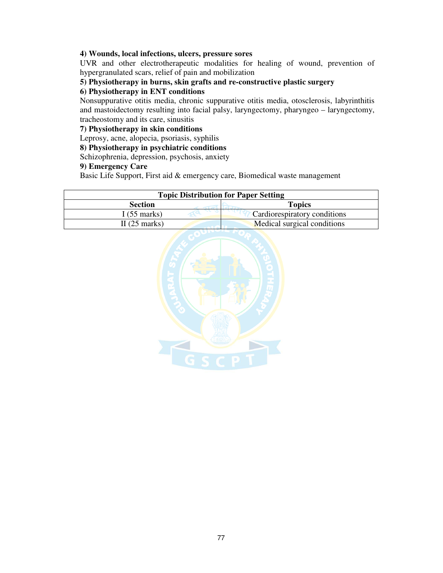#### **4) Wounds, local infections, ulcers, pressure sores**

UVR and other electrotherapeutic modalities for healing of wound, prevention of hypergranulated scars, relief of pain and mobilization

## **5) Physiotherapy in burns, skin grafts and re-constructive plastic surgery**

#### **6) Physiotherapy in ENT conditions**

Nonsuppurative otitis media, chronic suppurative otitis media, otosclerosis, labyrinthitis and mastoidectomy resulting into facial palsy, laryngectomy, pharyngeo – laryngectomy, tracheostomy and its care, sinusitis

#### **7) Physiotherapy in skin conditions**

Leprosy, acne, alopecia, psoriasis, syphilis

### **8) Physiotherapy in psychiatric conditions**

Schizophrenia, depression, psychosis, anxiety

#### **9) Emergency Care**

Basic Life Support, First aid & emergency care, Biomedical waste management

| <b>Topic Distribution for Paper Setting</b> |                              |
|---------------------------------------------|------------------------------|
| <b>Section</b>                              | <b>Topics</b>                |
| I $(55$ marks)                              | Cardiorespiratory conditions |
| II $(25 \text{ marks})$                     | Medical surgical conditions  |

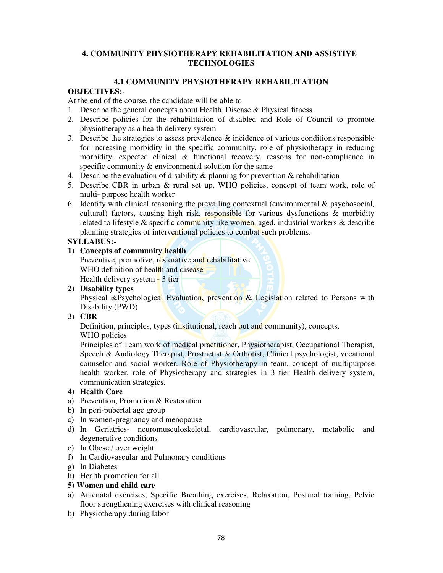## **4. COMMUNITY PHYSIOTHERAPY REHABILITATION AND ASSISTIVE TECHNOLOGIES**

## **4.1 COMMUNITY PHYSIOTHERAPY REHABILITATION**

## **OBJECTIVES:-**

At the end of the course, the candidate will be able to

- 1. Describe the general concepts about Health, Disease & Physical fitness
- 2. Describe policies for the rehabilitation of disabled and Role of Council to promote physiotherapy as a health delivery system
- 3. Describe the strategies to assess prevalence  $\&$  incidence of various conditions responsible for increasing morbidity in the specific community, role of physiotherapy in reducing morbidity, expected clinical & functional recovery, reasons for non-compliance in specific community & environmental solution for the same
- 4. Describe the evaluation of disability  $\&$  planning for prevention  $\&$  rehabilitation
- 5. Describe CBR in urban & rural set up, WHO policies, concept of team work, role of multi- purpose health worker
- 6. Identify with clinical reasoning the prevailing contextual (environmental  $\&$  psychosocial, cultural) factors, causing high risk, responsible for various dysfunctions & morbidity related to lifestyle & specific community like women, aged, industrial workers & describe planning strategies of interventional policies to combat such problems.

## **SYLLABUS:-**

**1) Concepts of community health** 

Preventive, promotive, restorative and rehabilitative WHO definition of health and disease Health delivery system - 3 tier

**2) Disability types** 

Physical &Psychological Evaluation, prevention & Legislation related to Persons with Disability (PWD)

#### **3) CBR**

Definition, principles, types (institutional, reach out and community), concepts,

WHO policies

Principles of Team work of medical practitioner, Physiotherapist, Occupational Therapist, Speech & Audiology Therapist, Prosthetist & Orthotist, Clinical psychologist, vocational counselor and social worker. Role of Physiotherapy in team, concept of multipurpose health worker, role of Physiotherapy and strategies in 3 tier Health delivery system, communication strategies.

## **4) Health Care**

- a) Prevention, Promotion & Restoration
- b) In peri-pubertal age group
- c) In women-pregnancy and menopause
- d) In Geriatrics- neuromusculoskeletal, cardiovascular, pulmonary, metabolic and degenerative conditions
- e) In Obese / over weight
- f) In Cardiovascular and Pulmonary conditions
- g) In Diabetes
- h) Health promotion for all
- **5) Women and child care**
- a) Antenatal exercises, Specific Breathing exercises, Relaxation, Postural training, Pelvic floor strengthening exercises with clinical reasoning
- b) Physiotherapy during labor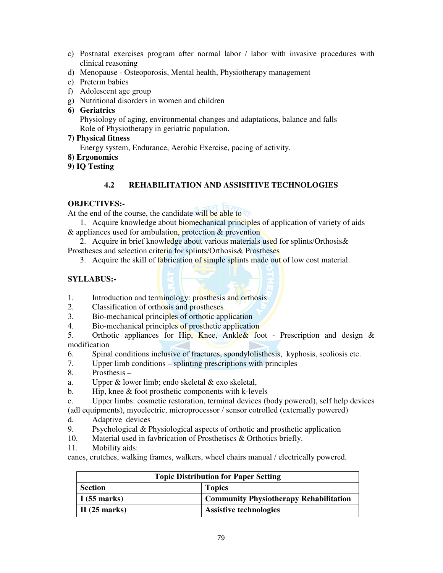- c) Postnatal exercises program after normal labor / labor with invasive procedures with clinical reasoning
- d) Menopause Osteoporosis, Mental health, Physiotherapy management
- e) Preterm babies
- f) Adolescent age group
- g) Nutritional disorders in women and children
- **6) Geriatrics**

Physiology of aging, environmental changes and adaptations, balance and falls Role of Physiotherapy in geriatric population.

**7) Physical fitness** 

Energy system, Endurance, Aerobic Exercise, pacing of activity.

- **8) Ergonomics**
- **9) IQ Testing**

## **4.2 REHABILITATION AND ASSISITIVE TECHNOLOGIES**

## **OBJECTIVES:-**

At the end of the course, the candidate will be able to

- 1. Acquire knowledge about biomechanical principles of application of variety of aids & appliances used for ambulation, protection & prevention
- 2. Acquire in brief knowledge about various materials used for splints/Orthosis &
- Prostheses and selection criteria for splints/Orthosis& Prostheses
	- 3. Acquire the skill of fabrication of simple splints made out of low cost material.

## **SYLLABUS:-**

- 1. Introduction and terminology: prosthesis and orthosis
- 2. Classification of orthosis and prostheses
- 3. Bio-mechanical principles of orthotic application
- 4. Bio-mechanical principles of prosthetic application
- 5. Orthotic appliances for Hip, Knee, Ankle & foot Prescription and design & modification
- 6. Spinal conditions inclusive of fractures, spondylolisthesis, kyphosis, scoliosis etc.
- 7. Upper limb conditions splinting prescriptions with principles
- 8. Prosthesis –
- a. Upper & lower limb; endo skeletal & exo skeletal,
- b. Hip, knee & foot prosthetic components with k-levels
- c. Upper limbs: cosmetic restoration, terminal devices (body powered), self help devices
- (adl equipments), myoelectric, microprocessor / sensor cotrolled (externally powered)
- d. Adaptive devices
- 9. Psychological & Physiological aspects of orthotic and prosthetic application
- 10. Material used in favbrication of Prosthetiscs & Orthotics briefly.
- 11. Mobility aids:

canes, crutches, walking frames, walkers, wheel chairs manual / electrically powered.

| <b>Topic Distribution for Paper Setting</b> |                                               |
|---------------------------------------------|-----------------------------------------------|
| <b>Section</b>                              | <b>Topics</b>                                 |
| I(55 marks)                                 | <b>Community Physiotherapy Rehabilitation</b> |
| II $(25 \text{ marks})$                     | <b>Assistive technologies</b>                 |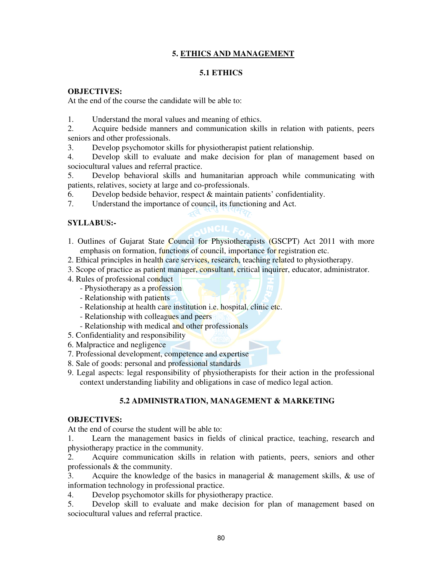## **5. ETHICS AND MANAGEMENT**

### **5.1 ETHICS**

### **OBJECTIVES:**

At the end of the course the candidate will be able to:

1. Understand the moral values and meaning of ethics.

2. Acquire bedside manners and communication skills in relation with patients, peers seniors and other professionals.

3. Develop psychomotor skills for physiotherapist patient relationship.

4. Develop skill to evaluate and make decision for plan of management based on sociocultural values and referral practice.

5. Develop behavioral skills and humanitarian approach while communicating with patients, relatives, society at large and co-professionals.

6. Develop bedside behavior, respect  $\&$  maintain patients' confidentiality.

7. Understand the importance of council, its functioning and Act.

## **SYLLABUS:-**

1. Outlines of Gujarat State Council for Physiotherapists (GSCPT) Act 2011 with more emphasis on formation, functions of council, importance for registration etc.

2. Ethical principles in health care services, research, teaching related to physiotherapy.

- 3. Scope of practice as patient manager, consultant, critical inquirer, educator, administrator.
- 4. Rules of professional conduct
	- Physiotherapy as a profession
	- Relationship with patients
	- Relationship at health care institution i.e. hospital, clinic etc.
	- Relationship with colleagues and peers
	- Relationship with medical and other professionals
- 5. Confidentiality and responsibility
- 6. Malpractice and negligence
- 7. Professional development, competence and expertise
- 8. Sale of goods: personal and professional standards
- 9. Legal aspects: legal responsibility of physiotherapists for their action in the professional context understanding liability and obligations in case of medico legal action.

## **5.2 ADMINISTRATION, MANAGEMENT & MARKETING**

#### **OBJECTIVES:**

At the end of course the student will be able to:

1. Learn the management basics in fields of clinical practice, teaching, research and physiotherapy practice in the community.

2. Acquire communication skills in relation with patients, peers, seniors and other professionals & the community.

3. Acquire the knowledge of the basics in managerial & management skills, & use of information technology in professional practice.

4. Develop psychomotor skills for physiotherapy practice.

5. Develop skill to evaluate and make decision for plan of management based on sociocultural values and referral practice.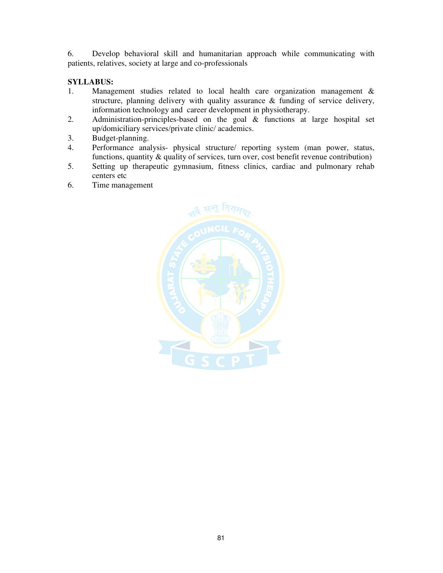6. Develop behavioral skill and humanitarian approach while communicating with patients, relatives, society at large and co-professionals

## **SYLLABUS:**

- 1. Management studies related to local health care organization management & structure, planning delivery with quality assurance & funding of service delivery, information technology and career development in physiotherapy.<br>2. Administration-principles-based on the goal & functions at
- Administration-principles-based on the goal & functions at large hospital set up/domiciliary services/private clinic/ academics.
- 3. Budget-planning.
- 4. Performance analysis- physical structure/ reporting system (man power, status, functions, quantity & quality of services, turn over, cost benefit revenue contribution)
- 5. Setting up therapeutic gymnasium, fitness clinics, cardiac and pulmonary rehab centers etc
- 6. Time management